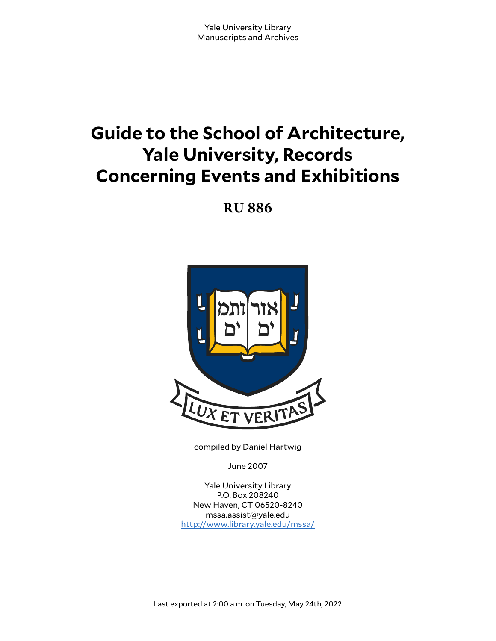# **Guide to the School of Architecture, Yale University, Records Concerning Events and Exhibitions**

**RU 886**



compiled by Daniel Hartwig

June 2007

Yale University Library P.O. Box 208240 New Haven, CT 06520-8240 mssa.assist@yale.edu <http://www.library.yale.edu/mssa/>

Last exported at 2:00 a.m. on Tuesday, May 24th, 2022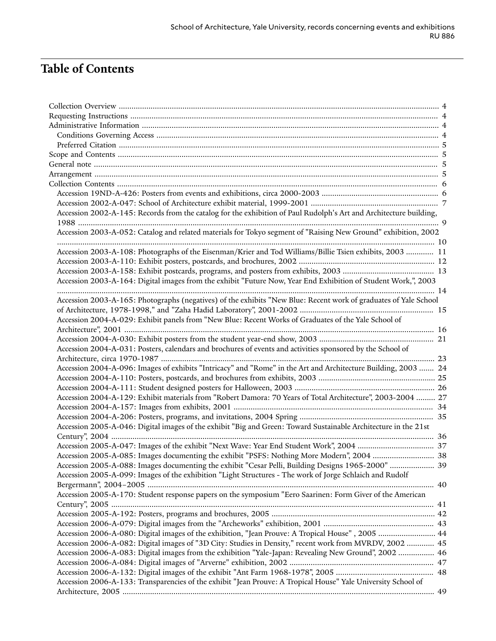# **Table of Contents**

| Accession 2002-A-145: Records from the catalog for the exhibition of Paul Rudolph's Art and Architecture building, |  |
|--------------------------------------------------------------------------------------------------------------------|--|
|                                                                                                                    |  |
| Accession 2003-A-052: Catalog and related materials for Tokyo segment of "Raising New Ground" exhibition, 2002     |  |
| Accession 2003-A-108: Photographs of the Eisenman/Krier and Tod Williams/Billie Tsien exhibits, 2003  11           |  |
|                                                                                                                    |  |
|                                                                                                                    |  |
| Accession 2003-A-164: Digital images from the exhibit "Future Now, Year End Exhibition of Student Work,", 2003     |  |
|                                                                                                                    |  |
| Accession 2003-A-165: Photographs (negatives) of the exhibits "New Blue: Recent work of graduates of Yale School   |  |
|                                                                                                                    |  |
| Accession 2004-A-029: Exhibit panels from "New Blue: Recent Works of Graduates of the Yale School of               |  |
|                                                                                                                    |  |
|                                                                                                                    |  |
| Accession 2004-A-031: Posters, calendars and brochures of events and activities sponsored by the School of         |  |
| 23                                                                                                                 |  |
| Accession 2004-A-096: Images of exhibits "Intricacy" and "Rome" in the Art and Architecture Building, 2003  24     |  |
|                                                                                                                    |  |
|                                                                                                                    |  |
| Accession 2004-A-129: Exhibit materials from "Robert Damora: 70 Years of Total Architecture", 2003-2004  27        |  |
|                                                                                                                    |  |
|                                                                                                                    |  |
| Accession 2005-A-046: Digital images of the exhibit "Big and Green: Toward Sustainable Architecture in the 21st    |  |
|                                                                                                                    |  |
|                                                                                                                    |  |
|                                                                                                                    |  |
| Accession 2005-A-088: Images documenting the exhibit "Cesar Pelli, Building Designs 1965-2000"  39                 |  |
| Accession 2005-A-099: Images of the exhibition "Light Structures - The work of Jorge Schlaich and Rudolf           |  |
|                                                                                                                    |  |
| Accession 2005-A-170: Student response papers on the symposium "Eero Saarinen: Form Giver of the American          |  |
|                                                                                                                    |  |
|                                                                                                                    |  |
|                                                                                                                    |  |
| Accession 2006-A-080: Digital images of the exhibition, "Jean Prouve: A Tropical House", 2005  44                  |  |
| Accession 2006-A-082: Digital images of "3D City: Studies in Density," recent work from MVRDV, 2002  45            |  |
| Accession 2006-A-083: Digital images from the exhibition "Yale-Japan: Revealing New Ground", 2002  46              |  |
|                                                                                                                    |  |
|                                                                                                                    |  |
| Accession 2006-A-133: Transparencies of the exhibit "Jean Prouve: A Tropical House" Yale University School of      |  |
|                                                                                                                    |  |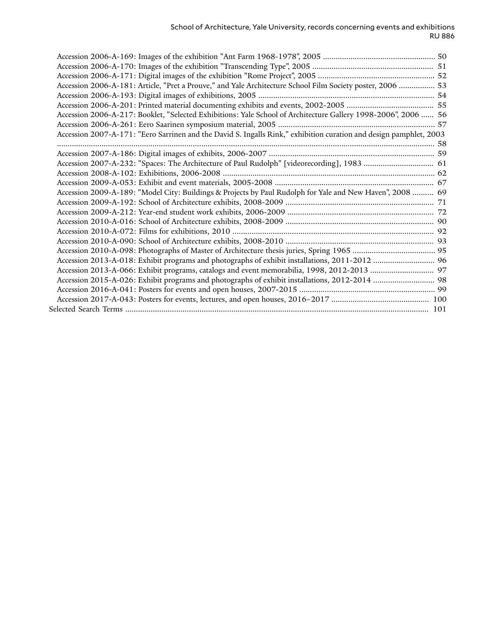| Accession 2006-A-181: Article, "Pret a Prouve," and Yale Architecture School Film Society poster, 2006  53         |  |
|--------------------------------------------------------------------------------------------------------------------|--|
|                                                                                                                    |  |
|                                                                                                                    |  |
| Accession 2006-A-217: Booklet, "Selected Exhibitions: Yale School of Architecture Gallery 1998-2006", 2006  56     |  |
|                                                                                                                    |  |
| Accession 2007-A-171: "Eero Sarrinen and the David S. Ingalls Rink," exhibition curation and design pamphlet, 2003 |  |
|                                                                                                                    |  |
|                                                                                                                    |  |
| Accession 2007-A-232: "Spaces: The Architecture of Paul Rudolph" [videorecording], 1983  61                        |  |
|                                                                                                                    |  |
|                                                                                                                    |  |
| Accession 2009-A-189: "Model City: Buildings & Projects by Paul Rudolph for Yale and New Haven", 2008  69          |  |
|                                                                                                                    |  |
|                                                                                                                    |  |
|                                                                                                                    |  |
|                                                                                                                    |  |
|                                                                                                                    |  |
|                                                                                                                    |  |
|                                                                                                                    |  |
|                                                                                                                    |  |
|                                                                                                                    |  |
|                                                                                                                    |  |
|                                                                                                                    |  |
|                                                                                                                    |  |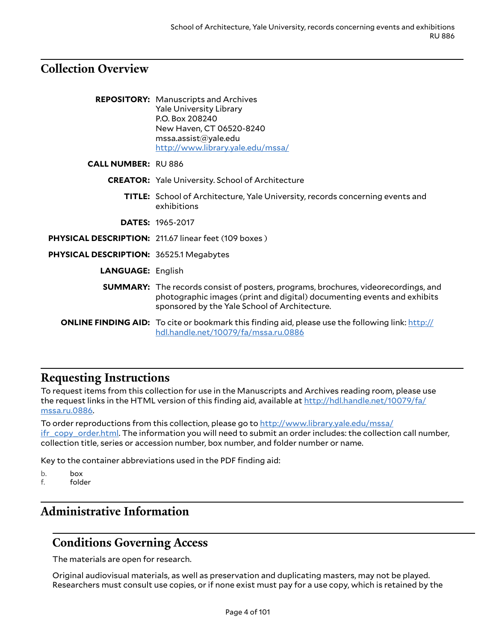## <span id="page-3-0"></span>**Collection Overview**

|                                                | <b>REPOSITORY:</b> Manuscripts and Archives<br><b>Yale University Library</b><br>P.O. Box 208240<br>New Haven, CT 06520-8240<br>msa. assist@yale.edu<br>http://www.library.yale.edu/mssa/                             |
|------------------------------------------------|-----------------------------------------------------------------------------------------------------------------------------------------------------------------------------------------------------------------------|
| <b>CALL NUMBER: RU 886</b>                     |                                                                                                                                                                                                                       |
|                                                | <b>CREATOR:</b> Yale University. School of Architecture                                                                                                                                                               |
|                                                | <b>TITLE:</b> School of Architecture, Yale University, records concerning events and<br>exhibitions                                                                                                                   |
|                                                | <b>DATES: 1965-2017</b>                                                                                                                                                                                               |
|                                                | PHYSICAL DESCRIPTION: 211.67 linear feet (109 boxes)                                                                                                                                                                  |
| <b>PHYSICAL DESCRIPTION: 36525.1 Megabytes</b> |                                                                                                                                                                                                                       |
| <b>LANGUAGE: English</b>                       |                                                                                                                                                                                                                       |
|                                                | <b>SUMMARY:</b> The records consist of posters, programs, brochures, videorecordings, and<br>photographic images (print and digital) documenting events and exhibits<br>sponsored by the Yale School of Architecture. |
|                                                | <b>ONLINE FINDING AID:</b> To cite or bookmark this finding aid, please use the following link: http://<br>hdl.handle.net/10079/fa/mssa.ru.0886                                                                       |

## <span id="page-3-1"></span>**Requesting Instructions**

To request items from this collection for use in the Manuscripts and Archives reading room, please use the request links in the HTML version of this finding aid, available at [http://hdl.handle.net/10079/fa/](http://hdl.handle.net/10079/fa/mssa.ru.0886) [mssa.ru.0886](http://hdl.handle.net/10079/fa/mssa.ru.0886).

To order reproductions from this collection, please go to [http://www.library.yale.edu/mssa/](http://www.library.yale.edu/mssa/ifr_copy_order.html) [ifr\\_copy\\_order.html.](http://www.library.yale.edu/mssa/ifr_copy_order.html) The information you will need to submit an order includes: the collection call number, collection title, series or accession number, box number, and folder number or name.

Key to the container abbreviations used in the PDF finding aid:

- b. box
- f. folder

## <span id="page-3-2"></span>**Administrative Information**

## <span id="page-3-3"></span>**Conditions Governing Access**

The materials are open for research.

Original audiovisual materials, as well as preservation and duplicating masters, may not be played. Researchers must consult use copies, or if none exist must pay for a use copy, which is retained by the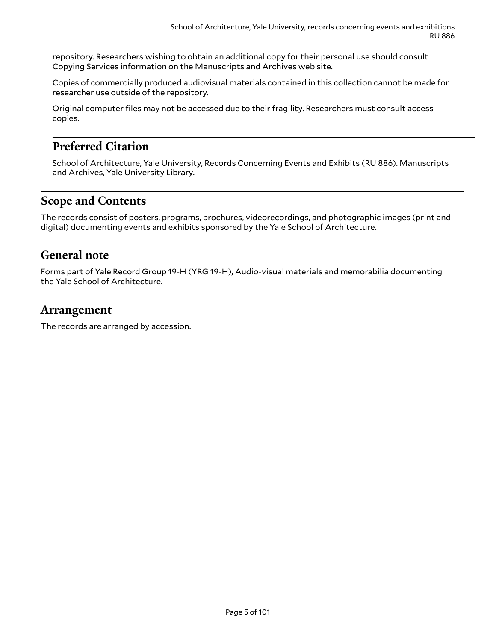repository. Researchers wishing to obtain an additional copy for their personal use should consult Copying Services information on the Manuscripts and Archives web site.

Copies of commercially produced audiovisual materials contained in this collection cannot be made for researcher use outside of the repository.

Original computer files may not be accessed due to their fragility. Researchers must consult access copies.

## <span id="page-4-0"></span>**Preferred Citation**

School of Architecture, Yale University, Records Concerning Events and Exhibits (RU 886). Manuscripts and Archives, Yale University Library.

## <span id="page-4-1"></span>**Scope and Contents**

The records consist of posters, programs, brochures, videorecordings, and photographic images (print and digital) documenting events and exhibits sponsored by the Yale School of Architecture.

### <span id="page-4-2"></span>**General note**

Forms part of Yale Record Group 19-H (YRG 19-H), Audio-visual materials and memorabilia documenting the Yale School of Architecture.

#### <span id="page-4-3"></span>**Arrangement**

The records are arranged by accession.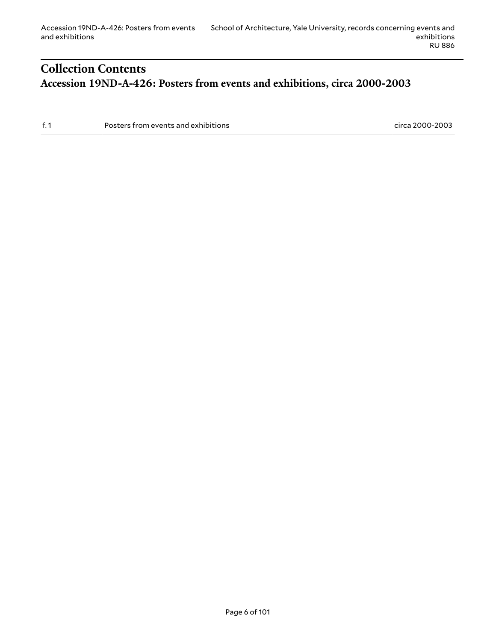## <span id="page-5-1"></span><span id="page-5-0"></span>**Collection Contents Accession 19ND-A-426: Posters from events and exhibitions, circa 2000-2003**

f. 1 Posters from events and exhibitions circa 2000-2003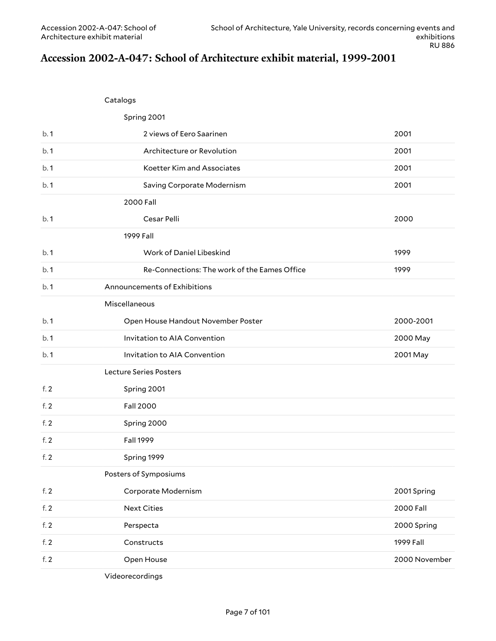## <span id="page-6-0"></span>**Accession 2002-A-047: School of Architecture exhibit material, 1999-2001**

Catalogs

|        | Spring 2001                                  |               |
|--------|----------------------------------------------|---------------|
| b.1    | 2 views of Eero Saarinen                     | 2001          |
| b.1    | Architecture or Revolution                   | 2001          |
| b.1    | Koetter Kim and Associates                   | 2001          |
| b.1    | Saving Corporate Modernism                   | 2001          |
|        | 2000 Fall                                    |               |
| b.1    | Cesar Pelli                                  | 2000          |
|        | 1999 Fall                                    |               |
| b.1    | Work of Daniel Libeskind                     | 1999          |
| b.1    | Re-Connections: The work of the Eames Office | 1999          |
| b.1    | Announcements of Exhibitions                 |               |
|        | Miscellaneous                                |               |
| b.1    | Open House Handout November Poster           | 2000-2001     |
| b.1    | Invitation to AIA Convention                 | 2000 May      |
| b.1    | Invitation to AIA Convention                 | 2001 May      |
|        | Lecture Series Posters                       |               |
| f. $2$ | Spring 2001                                  |               |
| f.2    | <b>Fall 2000</b>                             |               |
| f. $2$ | Spring 2000                                  |               |
| f. $2$ | <b>Fall 1999</b>                             |               |
| f. $2$ | Spring 1999                                  |               |
|        | Posters of Symposiums                        |               |
| f. 2   | Corporate Modernism                          | 2001 Spring   |
| f. $2$ | <b>Next Cities</b>                           | 2000 Fall     |
| f. 2   | Perspecta                                    | 2000 Spring   |
| f. 2   | Constructs                                   | 1999 Fall     |
| f. 2   | Open House                                   | 2000 November |
|        |                                              |               |

Videorecordings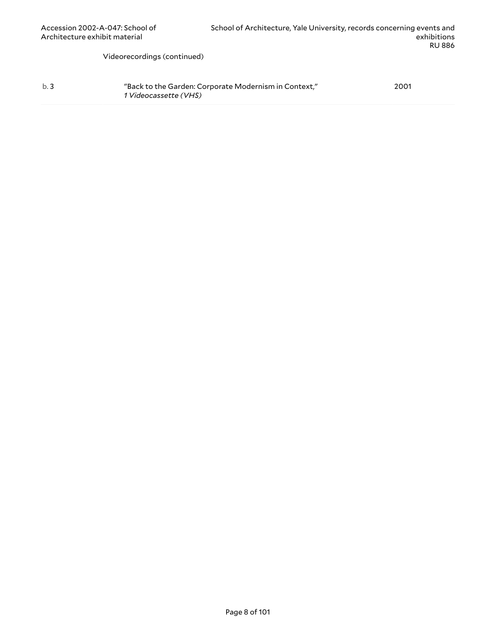Videorecordings (continued)

| b.3 | "Back to the Garden: Corporate Modernism in Context," | 2001 |
|-----|-------------------------------------------------------|------|
|     | <i>1 Videocassette (VHS)</i>                          |      |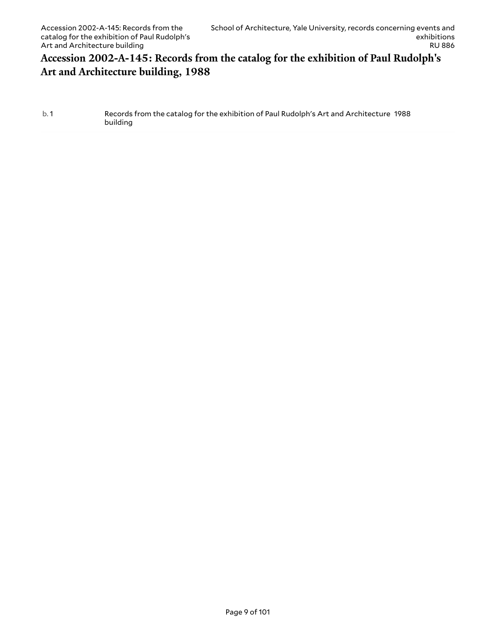### <span id="page-8-0"></span>**Accession 2002-A-145: Records from the catalog for the exhibition of Paul Rudolph's Art and Architecture building, 1988**

#### b. 1 Records from the catalog for the exhibition of Paul Rudolph's Art and Architecture 1988 building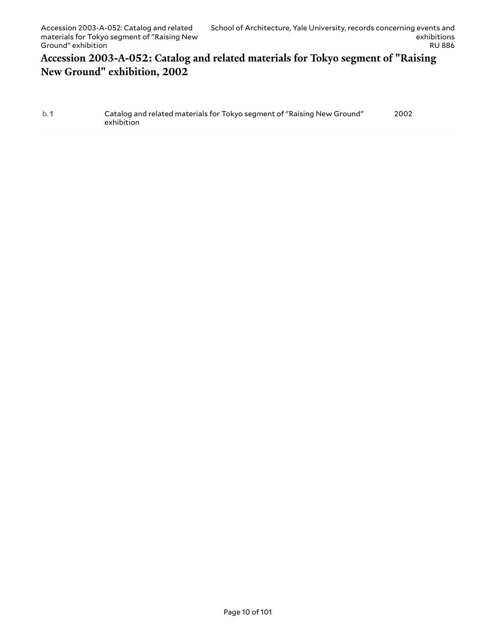### <span id="page-9-0"></span>**Accession 2003-A-052: Catalog and related materials for Tokyo segment of "Raising New Ground" exhibition, 2002**

| b.1 | Catalog and related materials for Tokyo segment of "Raising New Ground" | 2002 |
|-----|-------------------------------------------------------------------------|------|
|     | exhibition                                                              |      |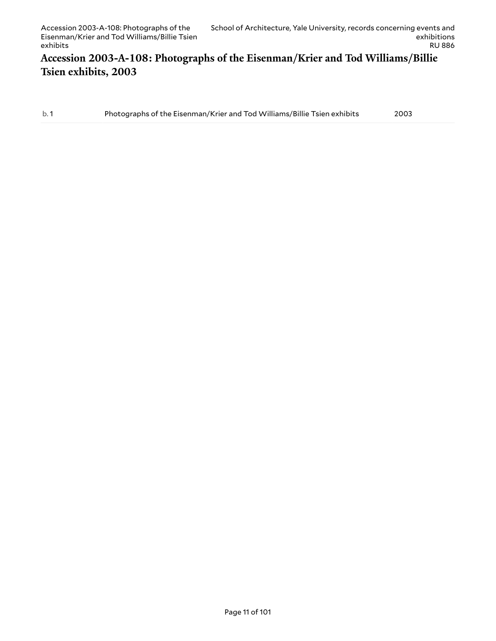### <span id="page-10-0"></span>**Accession 2003-A-108: Photographs of the Eisenman/Krier and Tod Williams/Billie Tsien exhibits, 2003**

b. 1 Photographs of the Eisenman/Krier and Tod Williams/Billie Tsien exhibits 2003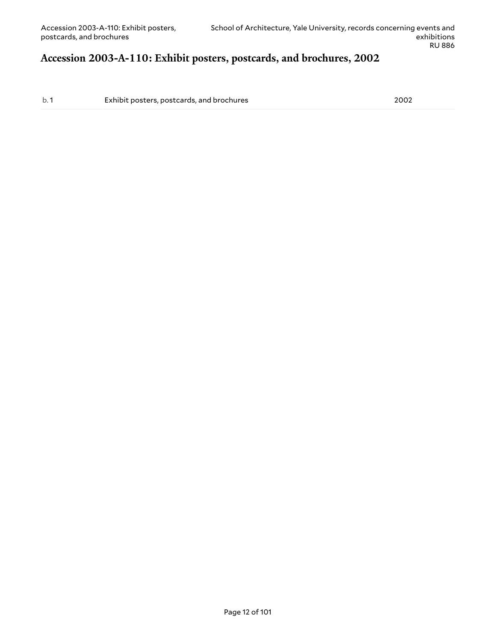# <span id="page-11-0"></span>**Accession 2003-A-110: Exhibit posters, postcards, and brochures, 2002**

b. 1 Exhibit posters, postcards, and brochures 2002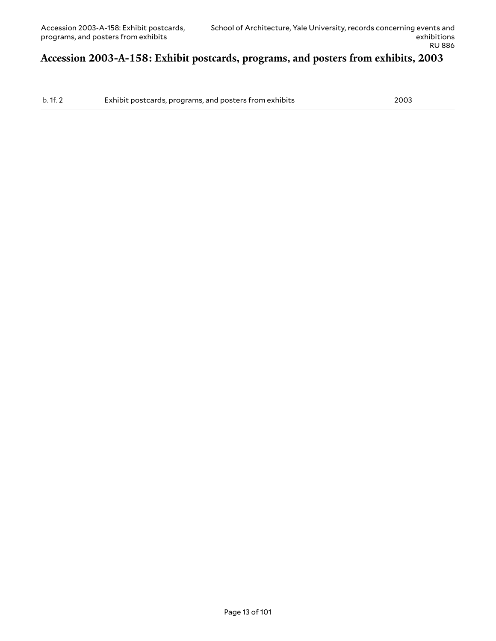#### <span id="page-12-0"></span>**Accession 2003-A-158: Exhibit postcards, programs, and posters from exhibits, 2003**

b. 1f. 2 Exhibit postcards, programs, and posters from exhibits 2003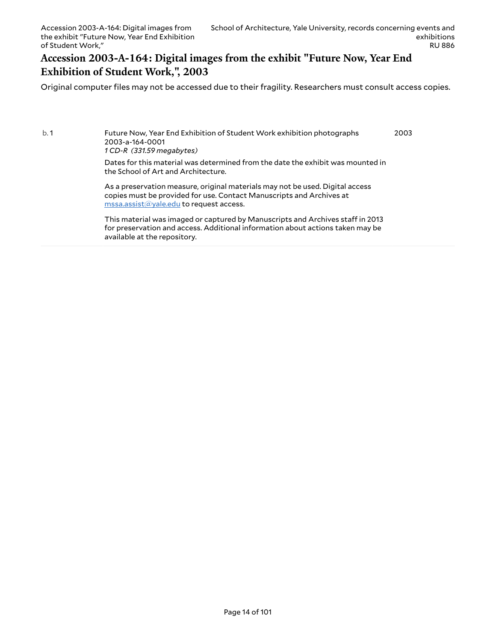#### <span id="page-13-0"></span>**Accession 2003-A-164: Digital images from the exhibit "Future Now, Year End Exhibition of Student Work,", 2003**

Original computer files may not be accessed due to their fragility. Researchers must consult access copies.

b. 1 Future Now, Year End Exhibition of Student Work exhibition photographs 2003-a-164-0001 *1 CD-R (331.59 megabytes)* Dates for this material was determined from the date the exhibit was mounted in the School of Art and Architecture. As a preservation measure, original materials may not be used. Digital access copies must be provided for use. Contact Manuscripts and Archives at [mssa.assist@yale.edu](mailto:mssa.assist@yale.edu?subject=Digital%20Copy%20Request:%20[Preservica]%202003-a-164-0001.) to request access. 2003

> This material was imaged or captured by Manuscripts and Archives staff in 2013 for preservation and access. Additional information about actions taken may be available at the repository.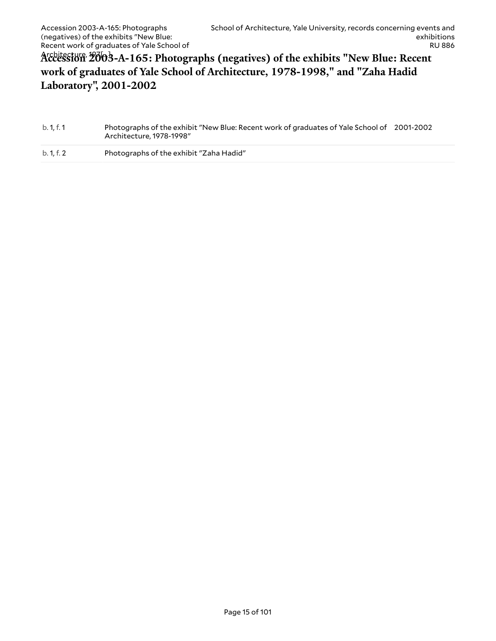## <span id="page-14-0"></span>Architecture, 197[...] **Accession 2003-A-165: Photographs (negatives) of the exhibits "New Blue: Recent work of graduates of Yale School of Architecture, 1978-1998," and "Zaha Hadid Laboratory", 2001-2002**

| b. 1, f. 1 | Photographs of the exhibit "New Blue: Recent work of graduates of Yale School of 2001-2002 |  |
|------------|--------------------------------------------------------------------------------------------|--|
|            | Architecture, 1978-1998″                                                                   |  |

b. 1, f. 2 Photographs of the exhibit "Zaha Hadid"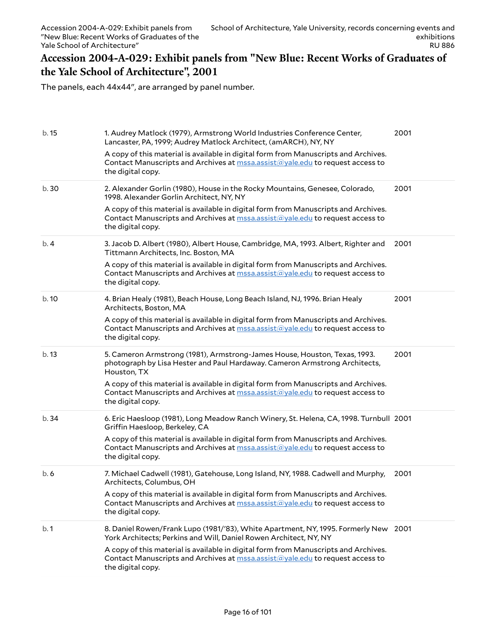#### <span id="page-15-0"></span>**Accession 2004-A-029: Exhibit panels from "New Blue: Recent Works of Graduates of the Yale School of Architecture", 2001**

The panels, each 44x44", are arranged by panel number.

| b. 15 | 1. Audrey Matlock (1979), Armstrong World Industries Conference Center,<br>Lancaster, PA, 1999; Audrey Matlock Architect, (amARCH), NY, NY<br>A copy of this material is available in digital form from Manuscripts and Archives.<br>Contact Manuscripts and Archives at mssa.assist@yale.edu to request access to<br>the digital copy.                             | 2001 |
|-------|---------------------------------------------------------------------------------------------------------------------------------------------------------------------------------------------------------------------------------------------------------------------------------------------------------------------------------------------------------------------|------|
| b. 30 | 2. Alexander Gorlin (1980), House in the Rocky Mountains, Genesee, Colorado,<br>1998. Alexander Gorlin Architect, NY, NY<br>A copy of this material is available in digital form from Manuscripts and Archives.<br>Contact Manuscripts and Archives at mssa.assist@yale.edu to request access to<br>the digital copy.                                               | 2001 |
| b.4   | 3. Jacob D. Albert (1980), Albert House, Cambridge, MA, 1993. Albert, Righter and<br>Tittmann Architects, Inc. Boston, MA<br>A copy of this material is available in digital form from Manuscripts and Archives.<br>Contact Manuscripts and Archives at mssa.assist@yale.edu to request access to<br>the digital copy.                                              | 2001 |
| b.10  | 4. Brian Healy (1981), Beach House, Long Beach Island, NJ, 1996. Brian Healy<br>Architects, Boston, MA<br>A copy of this material is available in digital form from Manuscripts and Archives.<br>Contact Manuscripts and Archives at mssa.assist@yale.edu to request access to<br>the digital copy.                                                                 | 2001 |
| b.13  | 5. Cameron Armstrong (1981), Armstrong-James House, Houston, Texas, 1993.<br>photograph by Lisa Hester and Paul Hardaway. Cameron Armstrong Architects,<br>Houston, TX<br>A copy of this material is available in digital form from Manuscripts and Archives.<br>Contact Manuscripts and Archives at mssa.assist@yale.edu to request access to<br>the digital copy. | 2001 |
| b.34  | 6. Eric Haesloop (1981), Long Meadow Ranch Winery, St. Helena, CA, 1998. Turnbull 2001<br>Griffin Haesloop, Berkeley, CA<br>A copy of this material is available in digital form from Manuscripts and Archives.<br>Contact Manuscripts and Archives at <b>mssa.assist@yale.edu</b> to request access to<br>the digital copy.                                        |      |
| b.6   | 7. Michael Cadwell (1981), Gatehouse, Long Island, NY, 1988. Cadwell and Murphy,<br>Architects, Columbus, OH<br>A copy of this material is available in digital form from Manuscripts and Archives.<br>Contact Manuscripts and Archives at mssa.assist@yale.edu to request access to<br>the digital copy.                                                           | 2001 |
| b.1   | 8. Daniel Rowen/Frank Lupo (1981/'83), White Apartment, NY, 1995. Formerly New 2001<br>York Architects; Perkins and Will, Daniel Rowen Architect, NY, NY<br>A copy of this material is available in digital form from Manuscripts and Archives.<br>Contact Manuscripts and Archives at mssa.assist@yale.edu to request access to<br>the digital copy.               |      |
|       |                                                                                                                                                                                                                                                                                                                                                                     |      |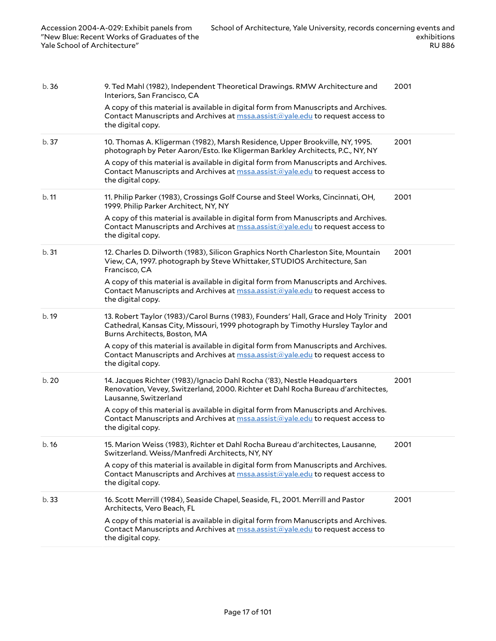| b.36  | 9. Ted Mahl (1982), Independent Theoretical Drawings. RMW Architecture and<br>Interiors, San Francisco, CA                                                                                             | 2001 |
|-------|--------------------------------------------------------------------------------------------------------------------------------------------------------------------------------------------------------|------|
|       | A copy of this material is available in digital form from Manuscripts and Archives.<br>Contact Manuscripts and Archives at mssa.assist@yale.edu to request access to<br>the digital copy.              |      |
| b. 37 | 10. Thomas A. Kligerman (1982), Marsh Residence, Upper Brookville, NY, 1995.<br>photograph by Peter Aaron/Esto. Ike Kligerman Barkley Architects, P.C., NY, NY                                         | 2001 |
|       | A copy of this material is available in digital form from Manuscripts and Archives.<br>Contact Manuscripts and Archives at <b>mssa.assist@yale.edu</b> to request access to<br>the digital copy.       |      |
| b.11  | 11. Philip Parker (1983), Crossings Golf Course and Steel Works, Cincinnati, OH,<br>1999. Philip Parker Architect, NY, NY                                                                              | 2001 |
|       | A copy of this material is available in digital form from Manuscripts and Archives.<br>Contact Manuscripts and Archives at mssa.assist@yale.edu to request access to<br>the digital copy.              |      |
| b.31  | 12. Charles D. Dilworth (1983), Silicon Graphics North Charleston Site, Mountain<br>View, CA, 1997. photograph by Steve Whittaker, STUDIOS Architecture, San<br>Francisco, CA                          | 2001 |
|       | A copy of this material is available in digital form from Manuscripts and Archives.<br>Contact Manuscripts and Archives at mssa.assist@yale.edu to request access to<br>the digital copy.              |      |
| b. 19 | 13. Robert Taylor (1983)/Carol Burns (1983), Founders' Hall, Grace and Holy Trinity<br>Cathedral, Kansas City, Missouri, 1999 photograph by Timothy Hursley Taylor and<br>Burns Architects, Boston, MA | 2001 |
|       | A copy of this material is available in digital form from Manuscripts and Archives.<br>Contact Manuscripts and Archives at mssa.assist@yale.edu to request access to<br>the digital copy.              |      |
| b. 20 | 14. Jacques Richter (1983)/Ignacio Dahl Rocha ('83), Nestle Headquarters<br>Renovation, Vevey, Switzerland, 2000. Richter et Dahl Rocha Bureau d'architectes,<br>Lausanne, Switzerland                 | 2001 |
|       | A copy of this material is available in digital form from Manuscripts and Archives.<br>Contact Manuscripts and Archives at mssa.assist@yale.edu to request access to<br>the digital copy.              |      |
| b. 16 | 15. Marion Weiss (1983), Richter et Dahl Rocha Bureau d'architectes, Lausanne,<br>Switzerland. Weiss/Manfredi Architects, NY, NY                                                                       | 2001 |
|       | A copy of this material is available in digital form from Manuscripts and Archives.<br>Contact Manuscripts and Archives at mssa.assist@yale.edu to request access to<br>the digital copy.              |      |
| b.33  | 16. Scott Merrill (1984), Seaside Chapel, Seaside, FL, 2001. Merrill and Pastor<br>Architects, Vero Beach, FL                                                                                          | 2001 |
|       | A copy of this material is available in digital form from Manuscripts and Archives.<br>Contact Manuscripts and Archives at mssa.assist@yale.edu to request access to<br>the digital copy.              |      |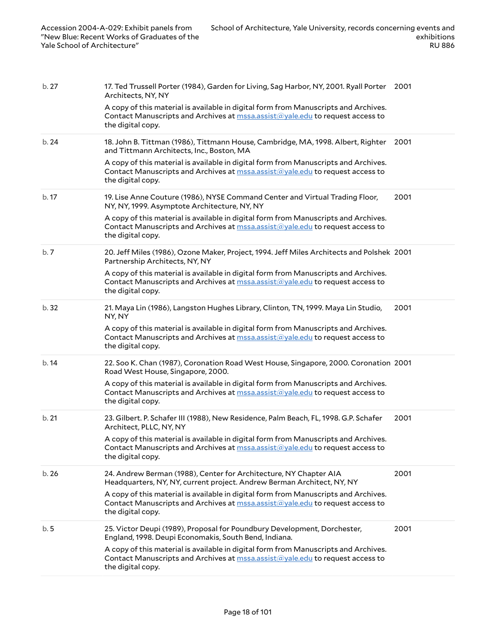| b.27  | 17. Ted Trussell Porter (1984), Garden for Living, Sag Harbor, NY, 2001. Ryall Porter 2001<br>Architects, NY, NY<br>A copy of this material is available in digital form from Manuscripts and Archives.<br>Contact Manuscripts and Archives at mssa.assist@yale.edu to request access to<br>the digital copy.                                   |      |
|-------|-------------------------------------------------------------------------------------------------------------------------------------------------------------------------------------------------------------------------------------------------------------------------------------------------------------------------------------------------|------|
| b.24  | 18. John B. Tittman (1986), Tittmann House, Cambridge, MA, 1998. Albert, Righter 2001<br>and Tittmann Architects, Inc., Boston, MA<br>A copy of this material is available in digital form from Manuscripts and Archives.<br>Contact Manuscripts and Archives at mssa.assist@yale.edu to request access to<br>the digital copy.                 |      |
| b. 17 | 19. Lise Anne Couture (1986), NYSE Command Center and Virtual Trading Floor,<br>NY, NY, 1999. Asymptote Architecture, NY, NY<br>A copy of this material is available in digital form from Manuscripts and Archives.<br>Contact Manuscripts and Archives at mssa.assist@yale.edu to request access to<br>the digital copy.                       | 2001 |
| b.7   | 20. Jeff Miles (1986), Ozone Maker, Project, 1994. Jeff Miles Architects and Polshek 2001<br>Partnership Architects, NY, NY<br>A copy of this material is available in digital form from Manuscripts and Archives.<br>Contact Manuscripts and Archives at mssa.assist@yale.edu to request access to<br>the digital copy.                        |      |
| b. 32 | 21. Maya Lin (1986), Langston Hughes Library, Clinton, TN, 1999. Maya Lin Studio,<br>NY, NY<br>A copy of this material is available in digital form from Manuscripts and Archives.<br>Contact Manuscripts and Archives at mssalassist@yale.edu to request access to<br>the digital copy.                                                        | 2001 |
| b.14  | 22. Soo K. Chan (1987), Coronation Road West House, Singapore, 2000. Coronation 2001<br>Road West House, Singapore, 2000.<br>A copy of this material is available in digital form from Manuscripts and Archives.<br>Contact Manuscripts and Archives at mssa.assist@yale.edu to request access to<br>the digital copy.                          |      |
| b.21  | 23. Gilbert. P. Schafer III (1988), New Residence, Palm Beach, FL, 1998. G.P. Schafer<br>Architect, PLLC, NY, NY<br>A copy of this material is available in digital form from Manuscripts and Archives.<br>Contact Manuscripts and Archives at mssa.assist@yale.edu to request access to<br>the digital copy.                                   | 2001 |
| b.26  | 24. Andrew Berman (1988), Center for Architecture, NY Chapter AIA<br>Headquarters, NY, NY, current project. Andrew Berman Architect, NY, NY<br>A copy of this material is available in digital form from Manuscripts and Archives.<br>Contact Manuscripts and Archives at <b>mssa.assist@yale.edu</b> to request access to<br>the digital copy. | 2001 |
| b.5   | 25. Victor Deupi (1989), Proposal for Poundbury Development, Dorchester,<br>England, 1998. Deupi Economakis, South Bend, Indiana.<br>A copy of this material is available in digital form from Manuscripts and Archives.<br>Contact Manuscripts and Archives at <b>mssa.assist@yale.edu</b> to request access to<br>the digital copy.           | 2001 |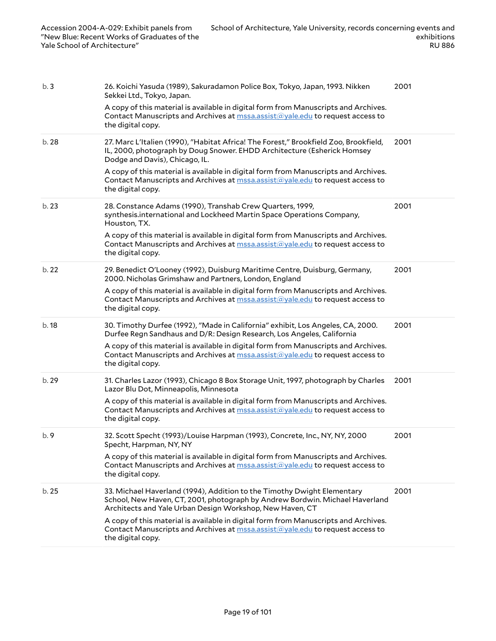| b.3   | 26. Koichi Yasuda (1989), Sakuradamon Police Box, Tokyo, Japan, 1993. Nikken<br>Sekkei Ltd., Tokyo, Japan.                                                                                                          | 2001 |
|-------|---------------------------------------------------------------------------------------------------------------------------------------------------------------------------------------------------------------------|------|
|       | A copy of this material is available in digital form from Manuscripts and Archives.<br>Contact Manuscripts and Archives at mssa.assist@yale.edu to request access to<br>the digital copy.                           |      |
| b. 28 | 27. Marc L'Italien (1990), "Habitat Africa! The Forest," Brookfield Zoo, Brookfield,<br>IL, 2000, photograph by Doug Snower. EHDD Architecture (Esherick Homsey<br>Dodge and Davis), Chicago, IL.                   | 2001 |
|       | A copy of this material is available in digital form from Manuscripts and Archives.<br>Contact Manuscripts and Archives at mssa.assist@yale.edu to request access to<br>the digital copy.                           |      |
| b.23  | 28. Constance Adams (1990), Transhab Crew Quarters, 1999,<br>synthesis.international and Lockheed Martin Space Operations Company,<br>Houston, TX.                                                                  | 2001 |
|       | A copy of this material is available in digital form from Manuscripts and Archives.<br>Contact Manuscripts and Archives at mssa.assist@yale.edu to request access to<br>the digital copy.                           |      |
| b.22  | 29. Benedict O'Looney (1992), Duisburg Maritime Centre, Duisburg, Germany,<br>2000. Nicholas Grimshaw and Partners, London, England                                                                                 | 2001 |
|       | A copy of this material is available in digital form from Manuscripts and Archives.<br>Contact Manuscripts and Archives at <b>mssa.assist@yale.edu</b> to request access to<br>the digital copy.                    |      |
| b. 18 | 30. Timothy Durfee (1992), "Made in California" exhibit, Los Angeles, CA, 2000.<br>Durfee Regn Sandhaus and D/R: Design Research, Los Angeles, California                                                           | 2001 |
|       | A copy of this material is available in digital form from Manuscripts and Archives.<br>Contact Manuscripts and Archives at mssa.assist@yale.edu to request access to<br>the digital copy.                           |      |
| b. 29 | 31. Charles Lazor (1993), Chicago 8 Box Storage Unit, 1997, photograph by Charles<br>Lazor Blu Dot, Minneapolis, Minnesota                                                                                          | 2001 |
|       | A copy of this material is available in digital form from Manuscripts and Archives.<br>Contact Manuscripts and Archives at mssa.assist@yale.edu to request access to<br>the digital copy.                           |      |
| b.9   | 32. Scott Specht (1993)/Louise Harpman (1993), Concrete, Inc., NY, NY, 2000<br>Specht, Harpman, NY, NY                                                                                                              | 2001 |
|       | A copy of this material is available in digital form from Manuscripts and Archives.<br>Contact Manuscripts and Archives at <b>mssa.assist@yale.edu</b> to request access to<br>the digital copy.                    |      |
| b.25  | 33. Michael Haverland (1994), Addition to the Timothy Dwight Elementary<br>School, New Haven, CT, 2001, photograph by Andrew Bordwin. Michael Haverland<br>Architects and Yale Urban Design Workshop, New Haven, CT | 2001 |
|       | A copy of this material is available in digital form from Manuscripts and Archives.<br>Contact Manuscripts and Archives at mssa.assist@yale.edu to request access to<br>the digital copy.                           |      |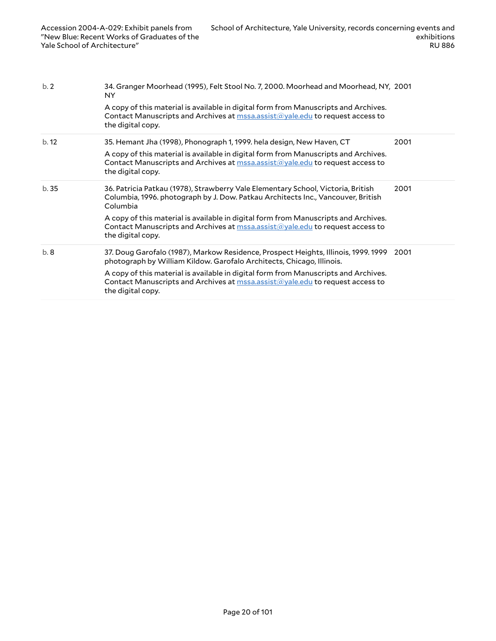| b.2  | 34. Granger Moorhead (1995), Felt Stool No. 7, 2000. Moorhead and Moorhead, NY, 2001<br>NY.                                                                                               |      |
|------|-------------------------------------------------------------------------------------------------------------------------------------------------------------------------------------------|------|
|      | A copy of this material is available in digital form from Manuscripts and Archives.<br>Contact Manuscripts and Archives at mssa.assist@yale.edu to request access to<br>the digital copy. |      |
| b.12 | 35. Hemant Jha (1998), Phonograph 1, 1999. hela design, New Haven, CT                                                                                                                     | 2001 |
|      | A copy of this material is available in digital form from Manuscripts and Archives.<br>Contact Manuscripts and Archives at mssa.assist@yale.edu to request access to<br>the digital copy. |      |
| b.35 | 36. Patricia Patkau (1978), Strawberry Vale Elementary School, Victoria, British<br>Columbia, 1996. photograph by J. Dow. Patkau Architects Inc., Vancouver, British<br>Columbia          | 2001 |
|      | A copy of this material is available in digital form from Manuscripts and Archives.<br>Contact Manuscripts and Archives at mssa.assist@yale.edu to request access to<br>the digital copy. |      |
| b.8  | 37. Doug Garofalo (1987), Markow Residence, Prospect Heights, Illinois, 1999. 1999<br>photograph by William Kildow. Garofalo Architects, Chicago, Illinois.                               | 2001 |
|      | A copy of this material is available in digital form from Manuscripts and Archives.<br>Contact Manuscripts and Archives at mssa.assist@yale.edu to request access to<br>the digital copy. |      |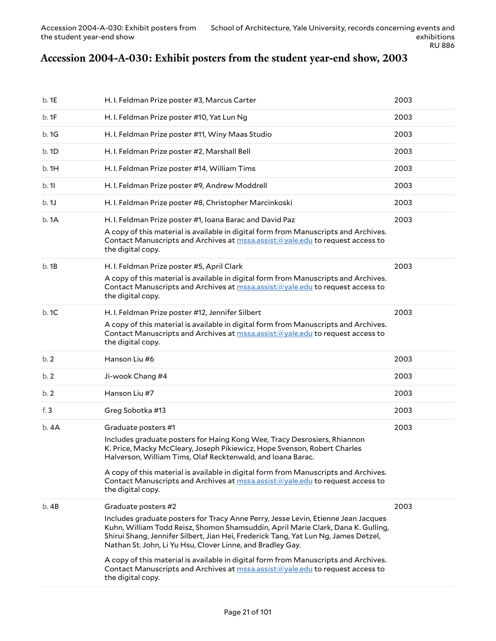## <span id="page-20-0"></span>**Accession 2004-A-030: Exhibit posters from the student year-end show, 2003**

| b.1E   | H. I. Feldman Prize poster #3, Marcus Carter                                                                                                                                                                                                                                                                                                                                                                                                                                                                                                          | 2003 |
|--------|-------------------------------------------------------------------------------------------------------------------------------------------------------------------------------------------------------------------------------------------------------------------------------------------------------------------------------------------------------------------------------------------------------------------------------------------------------------------------------------------------------------------------------------------------------|------|
| b.1F   | H. I. Feldman Prize poster #10, Yat Lun Ng                                                                                                                                                                                                                                                                                                                                                                                                                                                                                                            | 2003 |
| b.1G   | H. I. Feldman Prize poster #11, Winy Maas Studio                                                                                                                                                                                                                                                                                                                                                                                                                                                                                                      | 2003 |
| b.1D   | H. I. Feldman Prize poster #2, Marshall Bell                                                                                                                                                                                                                                                                                                                                                                                                                                                                                                          | 2003 |
| b.1H   | H. I. Feldman Prize poster #14, William Tims                                                                                                                                                                                                                                                                                                                                                                                                                                                                                                          | 2003 |
| b.11   | H. I. Feldman Prize poster #9, Andrew Moddrell                                                                                                                                                                                                                                                                                                                                                                                                                                                                                                        | 2003 |
| b.1J   | H. I. Feldman Prize poster #8, Christopher Marcinkoski                                                                                                                                                                                                                                                                                                                                                                                                                                                                                                | 2003 |
| b.1A   | H. I. Feldman Prize poster #1, Ioana Barac and David Paz<br>A copy of this material is available in digital form from Manuscripts and Archives.<br>Contact Manuscripts and Archives at mssa.assist@yale.edu to request access to<br>the digital copy.                                                                                                                                                                                                                                                                                                 | 2003 |
| b.1B   | H. I. Feldman Prize poster #5, April Clark<br>A copy of this material is available in digital form from Manuscripts and Archives.<br>Contact Manuscripts and Archives at mssa.assist@yale.edu to request access to<br>the digital copy.                                                                                                                                                                                                                                                                                                               | 2003 |
| b.1C   | H. I. Feldman Prize poster #12, Jennifer Silbert<br>A copy of this material is available in digital form from Manuscripts and Archives.<br>Contact Manuscripts and Archives at mssa.assist@yale.edu to request access to<br>the digital copy.                                                                                                                                                                                                                                                                                                         | 2003 |
| b.2    | Hanson Liu #6                                                                                                                                                                                                                                                                                                                                                                                                                                                                                                                                         | 2003 |
| b.2    | Ji-wook Chang #4                                                                                                                                                                                                                                                                                                                                                                                                                                                                                                                                      | 2003 |
| b.2    | Hanson Liu #7                                                                                                                                                                                                                                                                                                                                                                                                                                                                                                                                         | 2003 |
| f. $3$ | Greg Sobotka #13                                                                                                                                                                                                                                                                                                                                                                                                                                                                                                                                      | 2003 |
| b.4A   | Graduate posters #1<br>Includes graduate posters for Haing Kong Wee, Tracy Desrosiers, Rhiannon<br>K. Price, Macky McCleary, Joseph Pikiewicz, Hope Svenson, Robert Charles<br>Halverson, William Tims, Olaf Recktenwald, and Ioana Barac.<br>A copy of this material is available in digital form from Manuscripts and Archives.<br>Contact Manuscripts and Archives at <b>mssa.assist@yale.edu</b> to request access to<br>the digital copy.                                                                                                        | 2003 |
| b.4B   | Graduate posters #2<br>Includes graduate posters for Tracy Anne Perry, Jesse Levin, Etienne Jean Jacques<br>Kuhn, William Todd Reisz, Shomon Shamsuddin, April Marie Clark, Dana K. Gulling,<br>Shirui Shang, Jennifer Silbert, Jian Hei, Frederick Tang, Yat Lun Ng, James Detzel,<br>Nathan St. John, Li Yu Hsu, Clover Linne, and Bradley Gay.<br>A copy of this material is available in digital form from Manuscripts and Archives.<br>Contact Manuscripts and Archives at <b>mssa.assist@yale.edu</b> to request access to<br>the digital copy. | 2003 |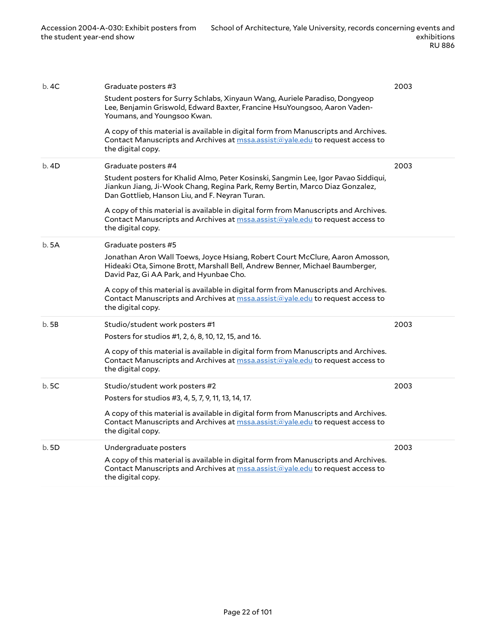| b. 4C | Graduate posters #3<br>Student posters for Surry Schlabs, Xinyaun Wang, Auriele Paradiso, Dongyeop<br>Lee, Benjamin Griswold, Edward Baxter, Francine HsuYoungsoo, Aaron Vaden-<br>Youmans, and Youngsoo Kwan.<br>A copy of this material is available in digital form from Manuscripts and Archives.<br>Contact Manuscripts and Archives at mssa.assist@yale.edu to request access to<br>the digital copy.                              | 2003 |
|-------|------------------------------------------------------------------------------------------------------------------------------------------------------------------------------------------------------------------------------------------------------------------------------------------------------------------------------------------------------------------------------------------------------------------------------------------|------|
| b.4D  | Graduate posters #4<br>Student posters for Khalid Almo, Peter Kosinski, Sangmin Lee, Igor Pavao Siddiqui,<br>Jiankun Jiang, Ji-Wook Chang, Regina Park, Remy Bertin, Marco Diaz Gonzalez,<br>Dan Gottlieb, Hanson Liu, and F. Neyran Turan.<br>A copy of this material is available in digital form from Manuscripts and Archives.<br>Contact Manuscripts and Archives at mssa.assist@yale.edu to request access to<br>the digital copy. | 2003 |
| b.5A  | Graduate posters #5<br>Jonathan Aron Wall Toews, Joyce Hsiang, Robert Court McClure, Aaron Amosson,<br>Hideaki Ota, Simone Brott, Marshall Bell, Andrew Benner, Michael Baumberger,<br>David Paz, Gi AA Park, and Hyunbae Cho.<br>A copy of this material is available in digital form from Manuscripts and Archives.<br>Contact Manuscripts and Archives at <b>mssa.assist@yale.edu</b> to request access to<br>the digital copy.       |      |
| b.5B  | Studio/student work posters #1<br>Posters for studios #1, 2, 6, 8, 10, 12, 15, and 16.<br>A copy of this material is available in digital form from Manuscripts and Archives.<br>Contact Manuscripts and Archives at mssa.assist@yale.edu to request access to<br>the digital copy.                                                                                                                                                      | 2003 |
| b.5C  | Studio/student work posters #2<br>Posters for studios #3, 4, 5, 7, 9, 11, 13, 14, 17.<br>A copy of this material is available in digital form from Manuscripts and Archives.<br>Contact Manuscripts and Archives at mssa.assist@yale.edu to request access to<br>the digital copy.                                                                                                                                                       | 2003 |
| b.5D  | Undergraduate posters<br>A copy of this material is available in digital form from Manuscripts and Archives.<br>Contact Manuscripts and Archives at mssa.assist@yale.edu to request access to<br>the digital copy.                                                                                                                                                                                                                       | 2003 |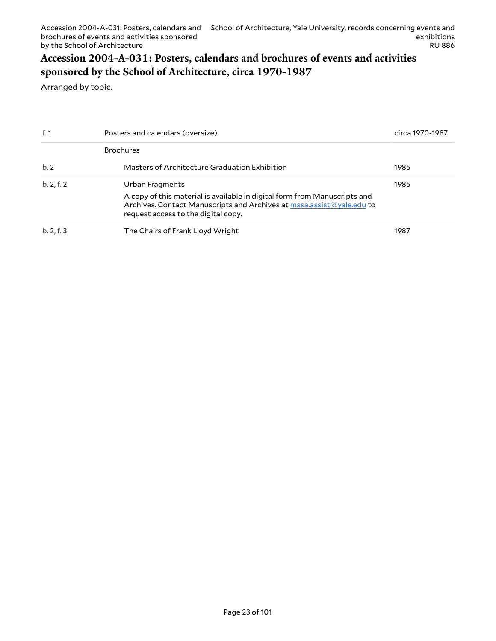## <span id="page-22-0"></span>**Accession 2004-A-031: Posters, calendars and brochures of events and activities sponsored by the School of Architecture, circa 1970-1987**

Arranged by topic.

| f. $1$     | Posters and calendars (oversize)                                                                                                                                                                             | circa 1970-1987 |
|------------|--------------------------------------------------------------------------------------------------------------------------------------------------------------------------------------------------------------|-----------------|
|            | <b>Brochures</b>                                                                                                                                                                                             |                 |
| b.2        | Masters of Architecture Graduation Exhibition                                                                                                                                                                | 1985            |
| b. 2, f. 2 | Urban Fragments<br>A copy of this material is available in digital form from Manuscripts and<br>Archives. Contact Manuscripts and Archives at mssa.assist@yale.edu to<br>request access to the digital copy. | 1985            |
| b. 2, f. 3 | The Chairs of Frank Lloyd Wright                                                                                                                                                                             | 1987            |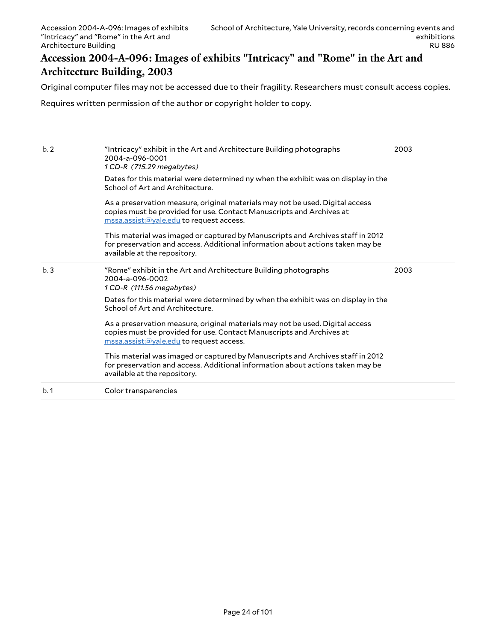## <span id="page-23-0"></span>**Accession 2004-A-096: Images of exhibits "Intricacy" and "Rome" in the Art and Architecture Building, 2003**

Original computer files may not be accessed due to their fragility. Researchers must consult access copies.

Requires written permission of the author or copyright holder to copy.

| b.2 | "Intricacy" exhibit in the Art and Architecture Building photographs<br>2004-a-096-0001<br>1 CD-R (715.29 megabytes)<br>Dates for this material were determined ny when the exhibit was on display in the<br>School of Art and Architecture.<br>As a preservation measure, original materials may not be used. Digital access<br>copies must be provided for use. Contact Manuscripts and Archives at<br>$\overline{\text{mssa}.\text{assist}(\text{a}yale.edu}$ to request access.<br>This material was imaged or captured by Manuscripts and Archives staff in 2012<br>for preservation and access. Additional information about actions taken may be<br>available at the repository. | 2003 |
|-----|-----------------------------------------------------------------------------------------------------------------------------------------------------------------------------------------------------------------------------------------------------------------------------------------------------------------------------------------------------------------------------------------------------------------------------------------------------------------------------------------------------------------------------------------------------------------------------------------------------------------------------------------------------------------------------------------|------|
| b.3 | "Rome" exhibit in the Art and Architecture Building photographs<br>2004-a-096-0002<br>1 CD-R (111.56 megabytes)<br>Dates for this material were determined by when the exhibit was on display in the<br>School of Art and Architecture.<br>As a preservation measure, original materials may not be used. Digital access<br>copies must be provided for use. Contact Manuscripts and Archives at<br>mssa.assist@yale.edu to request access.<br>This material was imaged or captured by Manuscripts and Archives staff in 2012<br>for preservation and access. Additional information about actions taken may be<br>available at the repository.                                         | 2003 |
| b.1 | Color transparencies                                                                                                                                                                                                                                                                                                                                                                                                                                                                                                                                                                                                                                                                    |      |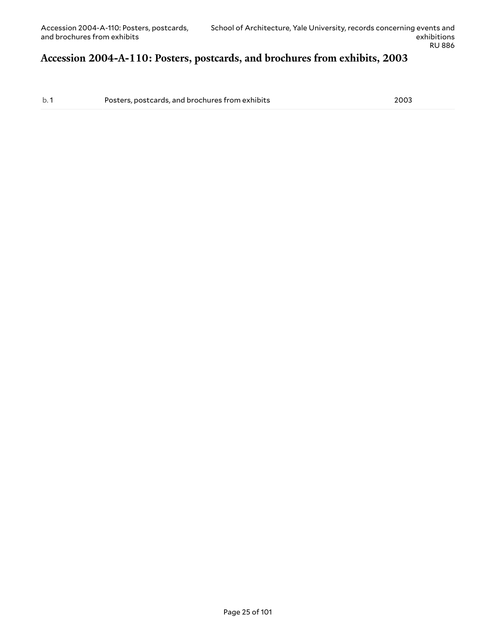#### <span id="page-24-0"></span>**Accession 2004-A-110: Posters, postcards, and brochures from exhibits, 2003**

b. 1 Posters, postcards, and brochures from exhibits 2003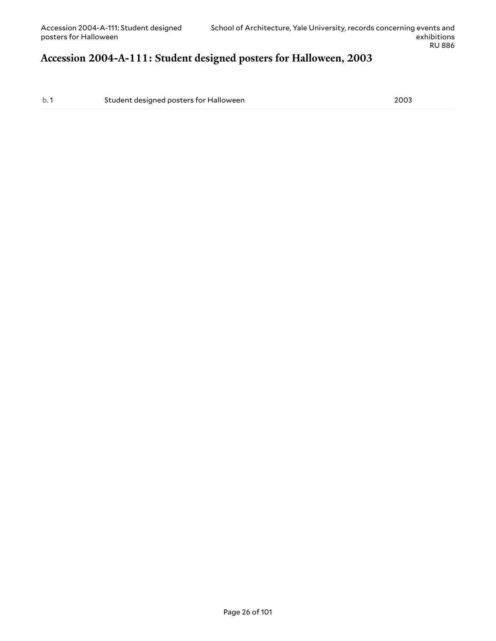## <span id="page-25-0"></span>**Accession 2004-A-111: Student designed posters for Halloween, 2003**

b. 1 Student designed posters for Halloween 2003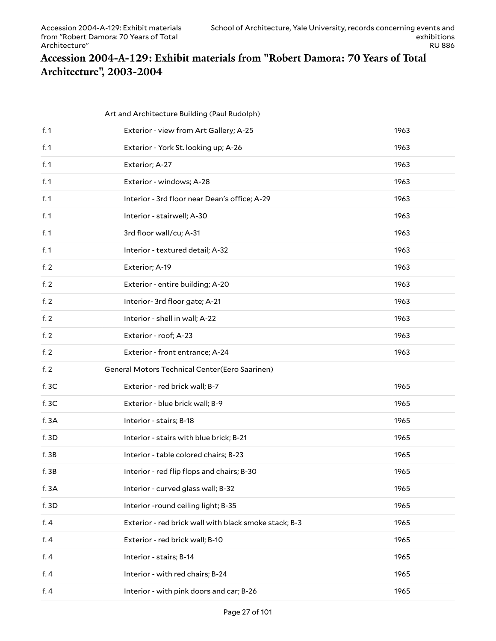## <span id="page-26-0"></span>**Accession 2004-A-129: Exhibit materials from "Robert Damora: 70 Years of Total Architecture", 2003-2004**

|        | Art and Architecture Building (Paul Rudolph)          |      |
|--------|-------------------------------------------------------|------|
| f. $1$ | Exterior - view from Art Gallery; A-25                | 1963 |
| f. $1$ | Exterior - York St. looking up; A-26                  | 1963 |
| f. $1$ | Exterior; A-27                                        | 1963 |
| f. $1$ | Exterior - windows; A-28                              | 1963 |
| f. $1$ | Interior - 3rd floor near Dean's office; A-29         | 1963 |
| f. $1$ | Interior - stairwell; A-30                            | 1963 |
| f. $1$ | 3rd floor wall/cu; A-31                               | 1963 |
| f. $1$ | Interior - textured detail; A-32                      | 1963 |
| f. $2$ | Exterior; A-19                                        | 1963 |
| f. $2$ | Exterior - entire building; A-20                      | 1963 |
| f. $2$ | Interior-3rd floor gate; A-21                         | 1963 |
| f.2    | Interior - shell in wall; A-22                        | 1963 |
| f.2    | Exterior - roof; A-23                                 | 1963 |
|        |                                                       |      |
| f. $2$ | Exterior - front entrance; A-24                       | 1963 |
| f. $2$ | General Motors Technical Center(Eero Saarinen)        |      |
| f.3C   | Exterior - red brick wall; B-7                        | 1965 |
| f.3C   | Exterior - blue brick wall; B-9                       | 1965 |
| f. 3A  | Interior - stairs; B-18                               | 1965 |
| f. 3D  | Interior - stairs with blue brick; B-21               | 1965 |
| f.3B   | Interior - table colored chairs; B-23                 | 1965 |
| f. 3B  | Interior - red flip flops and chairs; B-30            | 1965 |
| f. 3A  | Interior - curved glass wall; B-32                    | 1965 |
| f. 3D  | Interior -round ceiling light; B-35                   | 1965 |
| f.4    | Exterior - red brick wall with black smoke stack; B-3 | 1965 |
| f.4    | Exterior - red brick wall; B-10                       | 1965 |
| f. $4$ | Interior - stairs; B-14                               | 1965 |
| f. $4$ | Interior - with red chairs; B-24                      | 1965 |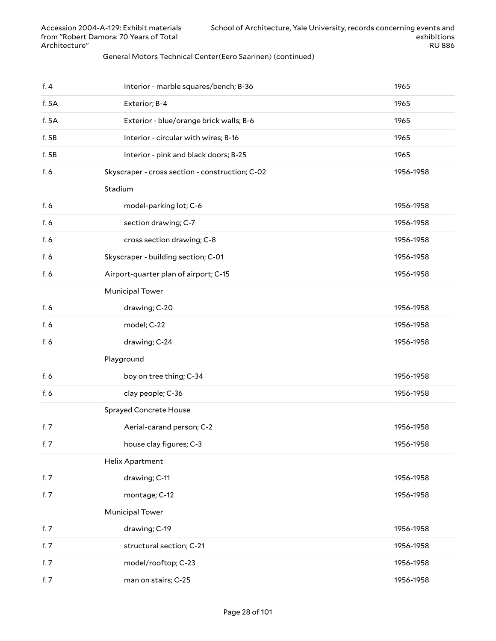#### General Motors Technical Center(Eero Saarinen) (continued)

| f.4   | Interior - marble squares/bench; B-36           | 1965      |
|-------|-------------------------------------------------|-----------|
| f. 5A | Exterior; B-4                                   | 1965      |
| f. 5A | Exterior - blue/orange brick walls; B-6         | 1965      |
| f.5B  | Interior - circular with wires; B-16            | 1965      |
| f.5B  | Interior - pink and black doors; B-25           | 1965      |
| f. 6  | Skyscraper - cross section - construction; C-02 | 1956-1958 |
|       | Stadium                                         |           |
| f. 6  | model-parking lot; C-6                          | 1956-1958 |
| f. 6  | section drawing; C-7                            | 1956-1958 |
| f. 6  | cross section drawing; C-8                      | 1956-1958 |
| f. 6  | Skyscraper - building section; C-01             | 1956-1958 |
| f. 6  | Airport-quarter plan of airport; C-15           | 1956-1958 |
|       | <b>Municipal Tower</b>                          |           |
| f. 6  | drawing; C-20                                   | 1956-1958 |
| f. 6  | model; C-22                                     | 1956-1958 |
| f. 6  | drawing; C-24                                   | 1956-1958 |
|       | Playground                                      |           |
| f. 6  | boy on tree thing; C-34                         | 1956-1958 |
| f. 6  | clay people; C-36                               | 1956-1958 |
|       | Sprayed Concrete House                          |           |
| f. 7  | Aerial-carand person; C-2                       | 1956-1958 |
| f. 7  | house clay figures; C-3                         | 1956-1958 |
|       | <b>Helix Apartment</b>                          |           |
| f. 7  | drawing; C-11                                   | 1956-1958 |
| f. 7  | montage; C-12                                   | 1956-1958 |
|       | <b>Municipal Tower</b>                          |           |
| f. 7  | drawing; C-19                                   | 1956-1958 |
| f. 7  | structural section; C-21                        | 1956-1958 |
| f. 7  | model/rooftop; C-23                             | 1956-1958 |
| f. 7  | man on stairs; C-25                             | 1956-1958 |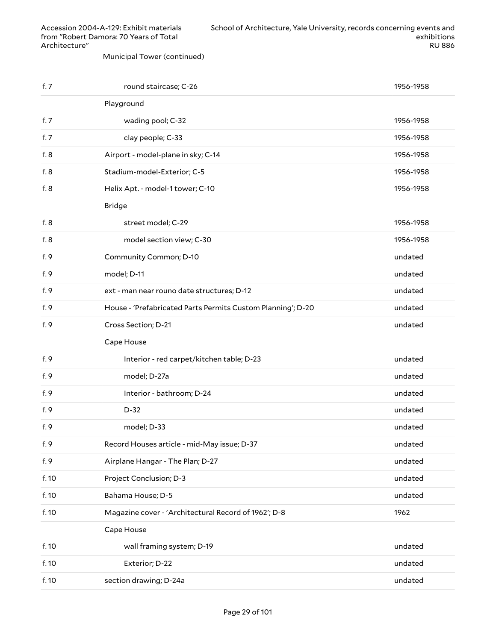Municipal Tower (continued)

| f.7    | round staircase; C-26                                       | 1956-1958 |
|--------|-------------------------------------------------------------|-----------|
|        | Playground                                                  |           |
| f. $7$ | wading pool; C-32                                           | 1956-1958 |
| f. 7   | clay people; C-33                                           | 1956-1958 |
| f. 8   | Airport - model-plane in sky; C-14                          | 1956-1958 |
| f. 8   | Stadium-model-Exterior; C-5                                 | 1956-1958 |
| f. 8   | Helix Apt. - model-1 tower; C-10                            | 1956-1958 |
|        | <b>Bridge</b>                                               |           |
| f. 8   | street model; C-29                                          | 1956-1958 |
| f. 8   | model section view; C-30                                    | 1956-1958 |
| f. 9   | Community Common; D-10                                      | undated   |
| f. 9   | model; D-11                                                 | undated   |
| f. 9   | ext - man near rouno date structures; D-12                  | undated   |
| f. 9   | House - 'Prefabricated Parts Permits Custom Planning'; D-20 | undated   |
| f. 9   | Cross Section; D-21                                         | undated   |
|        |                                                             |           |
|        | Cape House                                                  |           |
| f. 9   | Interior - red carpet/kitchen table; D-23                   | undated   |
| f. 9   | model; D-27a                                                | undated   |
| f. 9   | Interior - bathroom; D-24                                   | undated   |
| f. 9   | $D-32$                                                      | undated   |
| f. 9   | model; D-33                                                 | undated   |
| f. 9   | Record Houses article - mid-May issue; D-37                 | undated   |
| f. 9   | Airplane Hangar - The Plan; D-27                            | undated   |
| f. 10  | Project Conclusion; D-3                                     | undated   |
| f. 10  | Bahama House; D-5                                           | undated   |
| f. 10  | Magazine cover - 'Architectural Record of 1962'; D-8        | 1962      |
|        | Cape House                                                  |           |
| f. 10  | wall framing system; D-19                                   | undated   |
| f. 10  | Exterior; D-22                                              | undated   |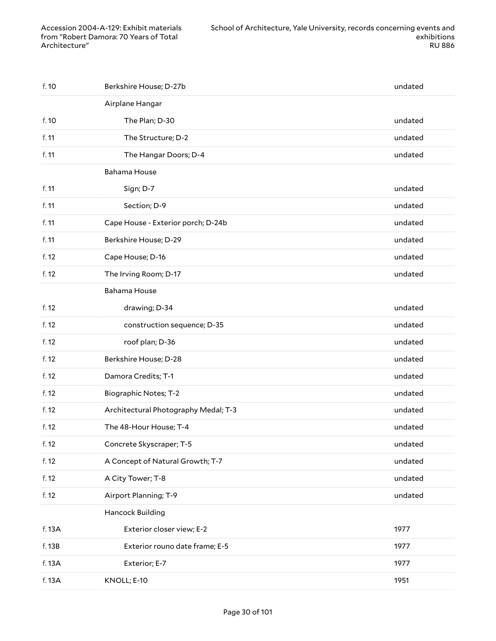| f. 10  | Berkshire House; D-27b               | undated |
|--------|--------------------------------------|---------|
|        | Airplane Hangar                      |         |
| f. 10  | The Plan; D-30                       | undated |
| f. 11  | The Structure; D-2                   | undated |
| f. 11  | The Hangar Doors; D-4                | undated |
|        | <b>Bahama House</b>                  |         |
| f. 11  | Sign; D-7                            | undated |
| f. 11  | Section; D-9                         | undated |
| f. 11  | Cape House - Exterior porch; D-24b   | undated |
| f. 11  | Berkshire House; D-29                | undated |
| f. 12  | Cape House; D-16                     | undated |
| f. 12  | The Irving Room; D-17                | undated |
|        | <b>Bahama House</b>                  |         |
| f. 12  | drawing; D-34                        | undated |
| f. 12  | construction sequence; D-35          | undated |
| f. 12  | roof plan; D-36                      | undated |
| f. 12  | Berkshire House; D-28                | undated |
| f. 12  | Damora Credits; T-1                  | undated |
| f. 12  | <b>Biographic Notes; T-2</b>         | undated |
| f. 12  | Architectural Photography Medal; T-3 | undated |
| f. 12  | The 48-Hour House; T-4               | undated |
| f. 12  | Concrete Skyscraper; T-5             | undated |
| f. 12  | A Concept of Natural Growth; T-7     | undated |
| f. 12  | A City Tower; T-8                    | undated |
| f. 12  | Airport Planning; T-9                | undated |
|        | Hancock Building                     |         |
| f. 13A | Exterior closer view; E-2            | 1977    |
| f. 13B | Exterior rouno date frame; E-5       | 1977    |
| f. 13A | Exterior; E-7                        | 1977    |
| f. 13A | KNOLL; E-10                          | 1951    |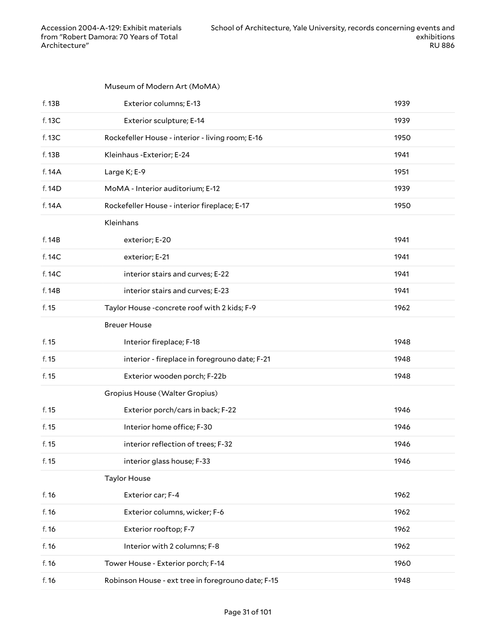#### Museum of Modern Art (MoMA)

| f. 13B | Exterior columns; E-13                             | 1939 |
|--------|----------------------------------------------------|------|
| f. 13C | Exterior sculpture; E-14                           | 1939 |
| f. 13C | Rockefeller House - interior - living room; E-16   | 1950 |
| f. 13B | Kleinhaus - Exterior; E-24                         | 1941 |
| f. 14A | Large K; E-9                                       | 1951 |
| f. 14D | MoMA - Interior auditorium; E-12                   | 1939 |
| f. 14A | Rockefeller House - interior fireplace; E-17       | 1950 |
|        | Kleinhans                                          |      |
| f. 14B | exterior; E-20                                     | 1941 |
| f. 14C | exterior; E-21                                     | 1941 |
| f. 14C | interior stairs and curves; E-22                   | 1941 |
| f. 14B | interior stairs and curves; E-23                   | 1941 |
| f. 15  | Taylor House -concrete roof with 2 kids; F-9       | 1962 |
|        | <b>Breuer House</b>                                |      |
| f. 15  | Interior fireplace; F-18                           | 1948 |
| f. 15  | interior - fireplace in foregrouno date; F-21      | 1948 |
| f. 15  | Exterior wooden porch; F-22b                       | 1948 |
|        | Gropius House (Walter Gropius)                     |      |
| f. 15  | Exterior porch/cars in back; F-22                  | 1946 |
| f. 15  | Interior home office; F-30                         | 1946 |
| f. 15  | interior reflection of trees; F-32                 | 1946 |
| f. 15  | interior glass house; F-33                         | 1946 |
|        | <b>Taylor House</b>                                |      |
| f. 16  | Exterior car; F-4                                  | 1962 |
| f. 16  | Exterior columns, wicker; F-6                      | 1962 |
| f. 16  | Exterior rooftop; F-7                              | 1962 |
| f. 16  | Interior with 2 columns; F-8                       | 1962 |
| f. 16  | Tower House - Exterior porch; F-14                 | 1960 |
| f. 16  | Robinson House - ext tree in foregrouno date; F-15 | 1948 |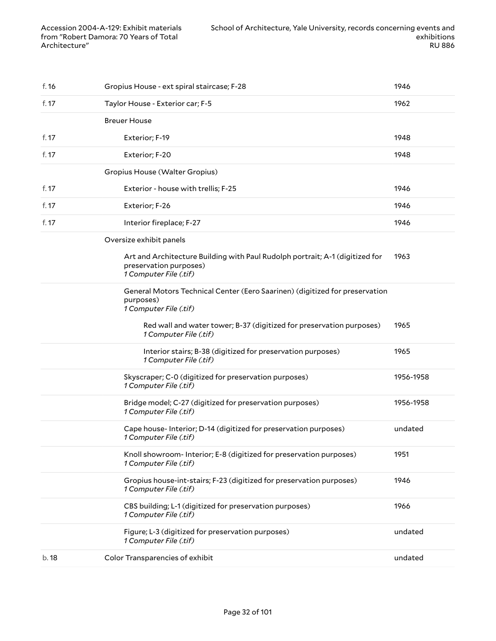| f. 16 | Gropius House - ext spiral staircase; F-28                                                                                       | 1946      |
|-------|----------------------------------------------------------------------------------------------------------------------------------|-----------|
| f. 17 | Taylor House - Exterior car; F-5                                                                                                 | 1962      |
|       | <b>Breuer House</b>                                                                                                              |           |
| f. 17 | Exterior; F-19                                                                                                                   | 1948      |
| f. 17 | Exterior; F-20                                                                                                                   | 1948      |
|       | Gropius House (Walter Gropius)                                                                                                   |           |
| f. 17 | Exterior - house with trellis; F-25                                                                                              | 1946      |
| f. 17 | Exterior; F-26                                                                                                                   | 1946      |
| f. 17 | Interior fireplace; F-27                                                                                                         | 1946      |
|       | Oversize exhibit panels                                                                                                          |           |
|       | Art and Architecture Building with Paul Rudolph portrait; A-1 (digitized for<br>preservation purposes)<br>1 Computer File (.tif) | 1963      |
|       | General Motors Technical Center (Eero Saarinen) (digitized for preservation<br>purposes)<br>1 Computer File (.tif)               |           |
|       | Red wall and water tower; B-37 (digitized for preservation purposes)<br>1 Computer File (.tif)                                   | 1965      |
|       | Interior stairs; B-38 (digitized for preservation purposes)<br>1 Computer File (.tif)                                            | 1965      |
|       | Skyscraper; C-0 (digitized for preservation purposes)<br>1 Computer File (.tif)                                                  | 1956-1958 |
|       | Bridge model; C-27 (digitized for preservation purposes)<br>1 Computer File (.tif)                                               | 1956-1958 |
|       | Cape house-Interior; D-14 (digitized for preservation purposes)<br>1 Computer File (.tif)                                        | undated   |
|       | Knoll showroom- Interior; E-8 (digitized for preservation purposes)<br>1 Computer File (.tif)                                    | 1951      |
|       | Gropius house-int-stairs; F-23 (digitized for preservation purposes)<br>1 Computer File (.tif)                                   | 1946      |
|       | CBS building; L-1 (digitized for preservation purposes)<br>1 Computer File (.tif)                                                | 1966      |
|       | Figure; L-3 (digitized for preservation purposes)<br>1 Computer File (.tif)                                                      | undated   |
| b.18  | Color Transparencies of exhibit                                                                                                  | undated   |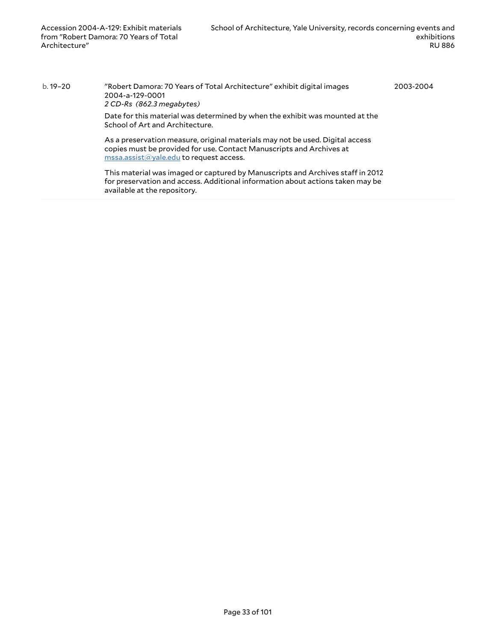b. 19–20 "Robert Damora: 70 Years of Total Architecture" exhibit digital images 2004-a-129-0001 *2 CD-Rs (862.3 megabytes)* Date for this material was determined by when the exhibit was mounted at the School of Art and Architecture. As a preservation measure, original materials may not be used. Digital access copies must be provided for use. Contact Manuscripts and Archives at [mssa.assist@yale.edu](mailto:mssa.assist@yale.edu?subject=Digital%20Copy%20Request:%20[Preservica]%202004-a-129-0001-[Preservica]%202004-a-129-0002.) to request access. This material was imaged or captured by Manuscripts and Archives staff in 2012 for preservation and access. Additional information about actions taken may be available at the repository. 2003-2004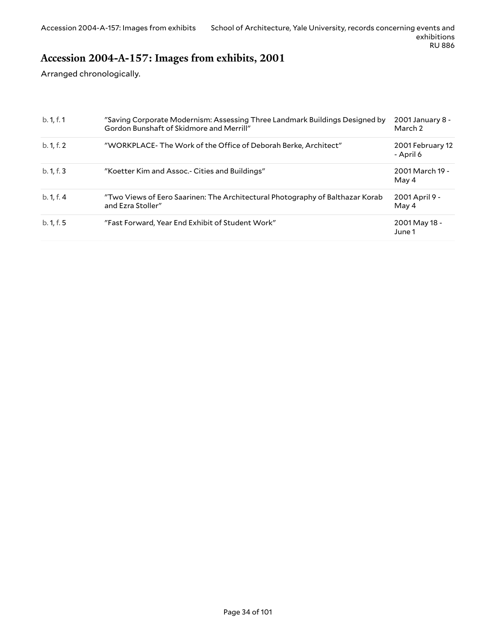## <span id="page-33-0"></span>**Accession 2004-A-157: Images from exhibits, 2001**

Arranged chronologically.

| b. 1, f. 1 | "Saving Corporate Modernism: Assessing Three Landmark Buildings Designed by<br>Gordon Bunshaft of Skidmore and Merrill" | 2001 January 8 -<br>March 2   |
|------------|-------------------------------------------------------------------------------------------------------------------------|-------------------------------|
| b. 1, f. 2 | "WORKPLACE-The Work of the Office of Deborah Berke, Architect"                                                          | 2001 February 12<br>- April 6 |
| b. 1, f. 3 | "Koetter Kim and Assoc.- Cities and Buildings"                                                                          | 2001 March 19 -<br>May 4      |
| b. 1, f. 4 | "Two Views of Eero Saarinen: The Architectural Photography of Balthazar Korab<br>and Ezra Stoller"                      | 2001 April 9 -<br>May 4       |
| b. 1, f. 5 | "Fast Forward, Year End Exhibit of Student Work"                                                                        | 2001 May 18 -<br>June 1       |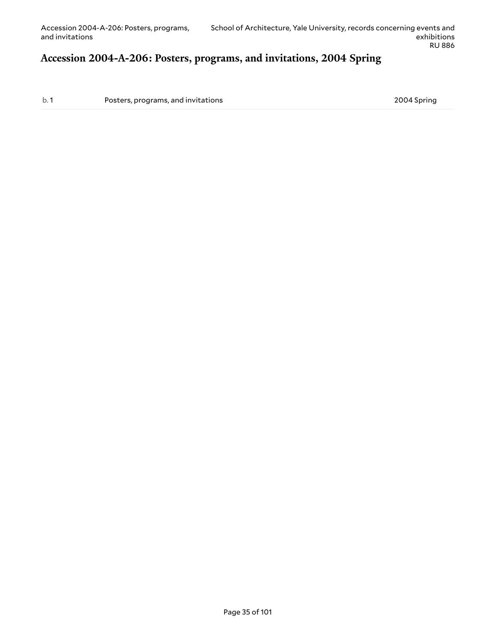#### <span id="page-34-0"></span>**Accession 2004-A-206: Posters, programs, and invitations, 2004 Spring**

b. 1 **Posters, programs, and invitations** 2004 Spring 2004 Spring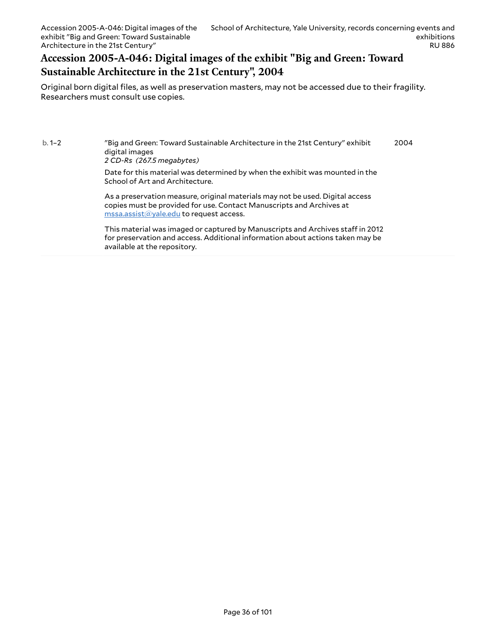### <span id="page-35-0"></span>**Accession 2005-A-046: Digital images of the exhibit "Big and Green: Toward Sustainable Architecture in the 21st Century", 2004**

Original born digital files, as well as preservation masters, may not be accessed due to their fragility. Researchers must consult use copies.

b. 1–2 "Big and Green: Toward Sustainable Architecture in the 21st Century" exhibit digital images 2004

*2 CD-Rs (267.5 megabytes)*

Date for this material was determined by when the exhibit was mounted in the School of Art and Architecture.

As a preservation measure, original materials may not be used. Digital access copies must be provided for use. Contact Manuscripts and Archives at [mssa.assist@yale.edu](mailto:mssa.assist@yale.edu?subject=Digital%20Copy%20Request:%20[Preservica]%202005-a-046-0001-[Preservica]%202005-a-046-0002.) to request access.

This material was imaged or captured by Manuscripts and Archives staff in 2012 for preservation and access. Additional information about actions taken may be available at the repository.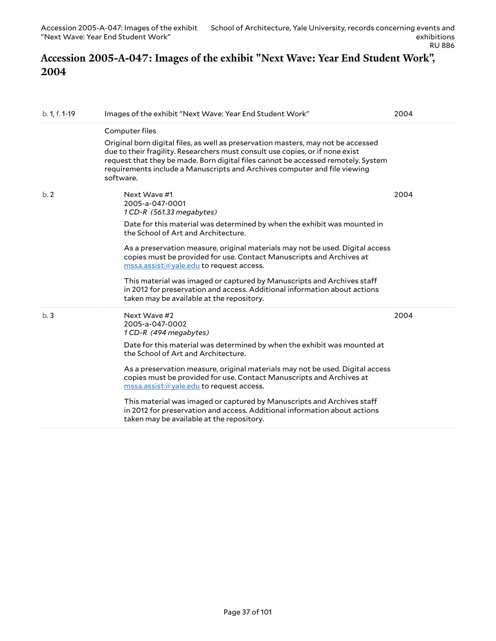### **Accession 2005-A-047: Images of the exhibit "Next Wave: Year End Student Work", 2004**

| b. 1, f. 1-19 | Images of the exhibit "Next Wave: Year End Student Work"                                                                                                                                                                                                                                                                                                                                                                                                                                                                                                                      | 2004 |
|---------------|-------------------------------------------------------------------------------------------------------------------------------------------------------------------------------------------------------------------------------------------------------------------------------------------------------------------------------------------------------------------------------------------------------------------------------------------------------------------------------------------------------------------------------------------------------------------------------|------|
|               | Computer files<br>Original born digital files, as well as preservation masters, may not be accessed<br>due to their fragility. Researchers must consult use copies, or if none exist<br>request that they be made. Born digital files cannot be accessed remotely. System<br>requirements include a Manuscripts and Archives computer and file viewing<br>software.                                                                                                                                                                                                           |      |
| b.2           | Next Wave #1<br>2005-a-047-0001<br>1 CD-R (561.33 megabytes)<br>Date for this material was determined by when the exhibit was mounted in<br>the School of Art and Architecture.<br>As a preservation measure, original materials may not be used. Digital access<br>copies must be provided for use. Contact Manuscripts and Archives at<br>$\overline{\text{mssa}.\text{assist}(\text{a}yale.edu}$ to request access.<br>This material was imaged or captured by Manuscripts and Archives staff<br>in 2012 for preservation and access. Additional information about actions | 2004 |
| b.3           | taken may be available at the repository.<br>Next Wave #2<br>2005-a-047-0002<br>1 CD-R (494 megabytes)<br>Date for this material was determined by when the exhibit was mounted at<br>the School of Art and Architecture.                                                                                                                                                                                                                                                                                                                                                     | 2004 |
|               | As a preservation measure, original materials may not be used. Digital access<br>copies must be provided for use. Contact Manuscripts and Archives at<br>$\overline{\text{mssa}.\text{assist}(\text{a}yale.edu}$ to request access.<br>This material was imaged or captured by Manuscripts and Archives staff<br>in 2012 for preservation and access. Additional information about actions<br>taken may be available at the repository.                                                                                                                                       |      |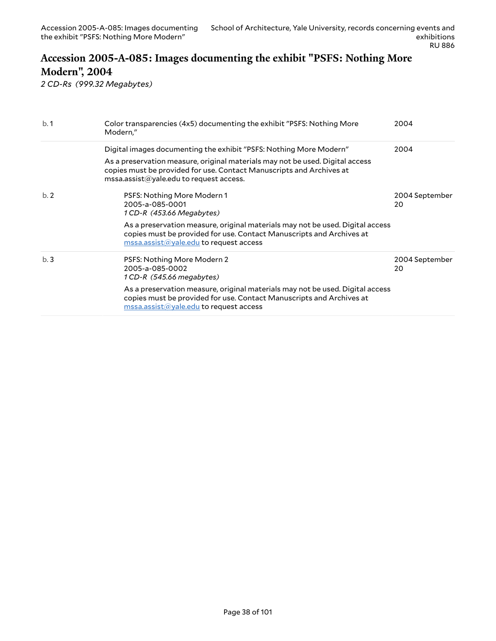### **Accession 2005-A-085: Images documenting the exhibit "PSFS: Nothing More Modern", 2004**

*2 CD-Rs (999.32 Megabytes)*

| b.1 | Color transparencies (4x5) documenting the exhibit "PSFS: Nothing More<br>Modern,"                                                                                                                                            | 2004                 |
|-----|-------------------------------------------------------------------------------------------------------------------------------------------------------------------------------------------------------------------------------|----------------------|
|     | Digital images documenting the exhibit "PSFS: Nothing More Modern"                                                                                                                                                            | 2004                 |
|     | As a preservation measure, original materials may not be used. Digital access<br>copies must be provided for use. Contact Manuscripts and Archives at<br>$\text{mssa}$ assist $\textcircled{a}$ yale.edu to request access.   |                      |
| b.2 | PSFS: Nothing More Modern 1<br>2005-a-085-0001<br>1 CD-R (453.66 Megabytes)                                                                                                                                                   | 2004 September<br>20 |
|     | As a preservation measure, original materials may not be used. Digital access<br>copies must be provided for use. Contact Manuscripts and Archives at<br>$\overline{\text{mssa}.\text{assist}(a)}$ yale.edu to request access |                      |
| b.3 | PSFS: Nothing More Modern 2<br>2005-a-085-0002<br>1 CD-R (545.66 megabytes)                                                                                                                                                   | 2004 September<br>20 |
|     | As a preservation measure, original materials may not be used. Digital access<br>copies must be provided for use. Contact Manuscripts and Archives at<br>$\text{mssa.}$ assist $\textcircled{a}$ yale.edu to request access   |                      |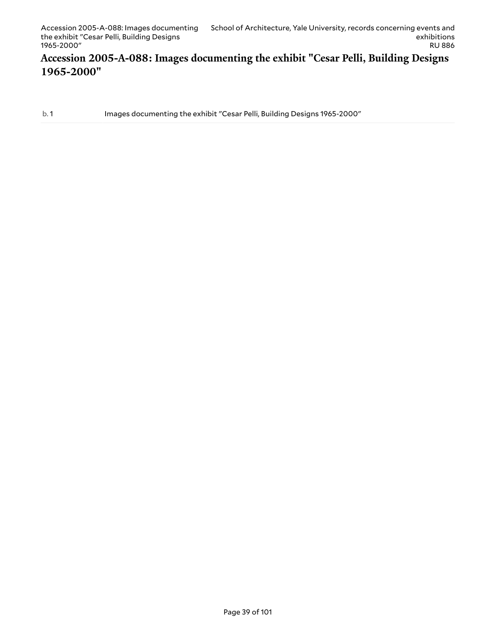#### **Accession 2005-A-088: Images documenting the exhibit "Cesar Pelli, Building Designs 1965-2000"**

b. 1 Images documenting the exhibit "Cesar Pelli, Building Designs 1965-2000"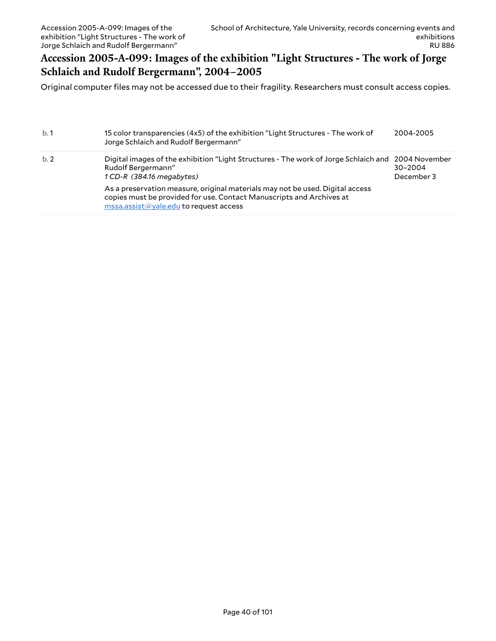### **Accession 2005-A-099: Images of the exhibition "Light Structures - The work of Jorge Schlaich and Rudolf Bergermann", 2004–2005**

Original computer files may not be accessed due to their fragility. Researchers must consult access copies.

| b.1 | 15 color transparencies (4x5) of the exhibition "Light Structures - The work of<br>Jorge Schlaich and Rudolf Bergermann"                                                                        | 2004-2005                 |
|-----|-------------------------------------------------------------------------------------------------------------------------------------------------------------------------------------------------|---------------------------|
| b.2 | Digital images of the exhibition "Light Structures - The work of Jorge Schlaich and 2004 November<br>Rudolf Bergermann"<br>1 CD-R (384.16 megabytes)                                            | $30 - 2004$<br>December 3 |
|     | As a preservation measure, original materials may not be used. Digital access<br>copies must be provided for use. Contact Manuscripts and Archives at<br>mssa.assist@yale.edu to request access |                           |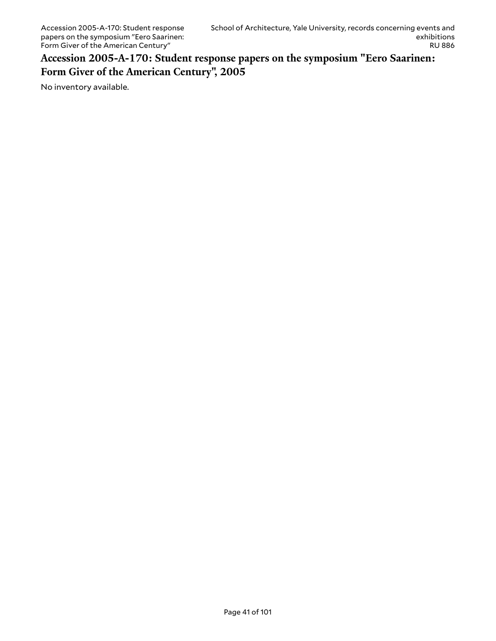**Accession 2005-A-170: Student response papers on the symposium "Eero Saarinen: Form Giver of the American Century", 2005**

No inventory available.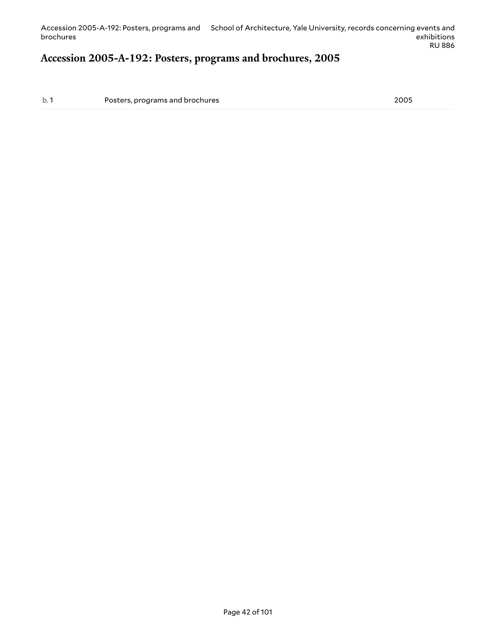#### **Accession 2005-A-192: Posters, programs and brochures, 2005**

b. 1 Posters, programs and brochures 2005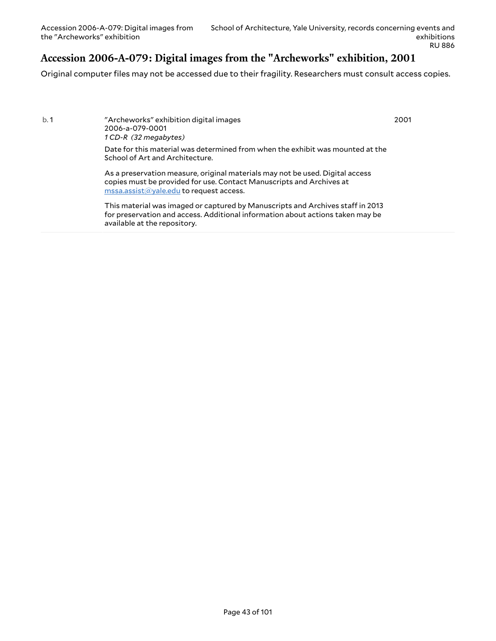### **Accession 2006-A-079: Digital images from the "Archeworks" exhibition, 2001**

Original computer files may not be accessed due to their fragility. Researchers must consult access copies.

b. 1 "Archeworks" exhibition digital images 2006-a-079-0001 *1 CD-R (32 megabytes)*

2001

Date for this material was determined from when the exhibit was mounted at the School of Art and Architecture.

As a preservation measure, original materials may not be used. Digital access copies must be provided for use. Contact Manuscripts and Archives at [mssa.assist@yale.edu](mailto:mssa.assist@yale.edu?subject=Digital%20Copy%20Request:%20[Preservica]%202006-a-079-0001.) to request access.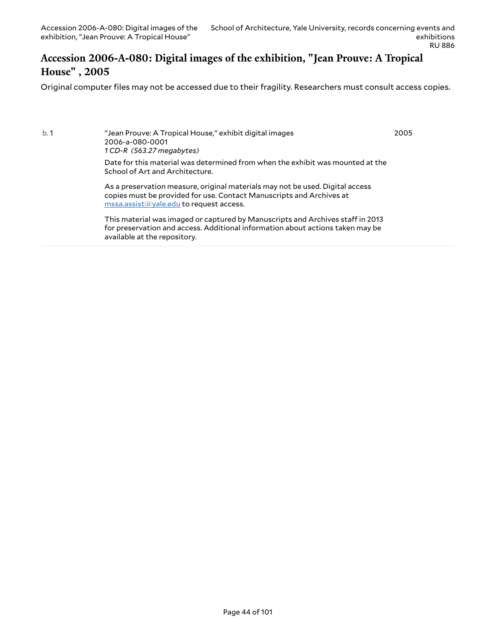available at the repository.

#### **Accession 2006-A-080: Digital images of the exhibition, "Jean Prouve: A Tropical House" , 2005**

Original computer files may not be accessed due to their fragility. Researchers must consult access copies.

b. 1 "Jean Prouve: A Tropical House," exhibit digital images 2006-a-080-0001 *1 CD-R (563.27 megabytes)* Date for this material was determined from when the exhibit was mounted at the School of Art and Architecture. As a preservation measure, original materials may not be used. Digital access copies must be provided for use. Contact Manuscripts and Archives at [mssa.assist@yale.edu](mailto:mssa.assist@yale.edu?subject=Digital%20Copy%20Request:%20[Preservica]%202006-a-080-0001.) to request access. This material was imaged or captured by Manuscripts and Archives staff in 2013 for preservation and access. Additional information about actions taken may be 2005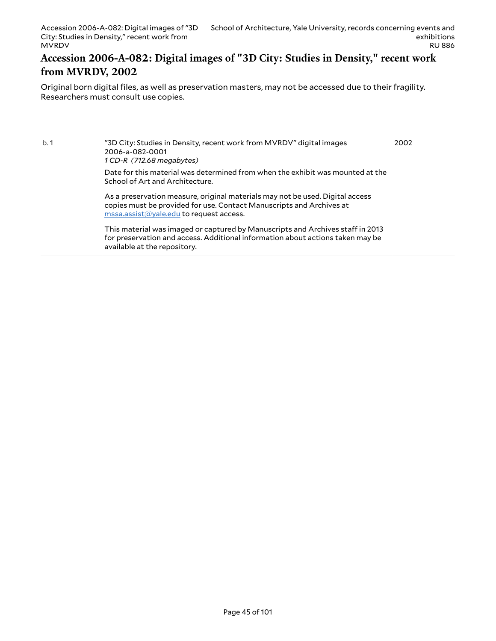#### **Accession 2006-A-082: Digital images of "3D City: Studies in Density," recent work from MVRDV, 2002**

Original born digital files, as well as preservation masters, may not be accessed due to their fragility. Researchers must consult use copies.

b. 1 "3D City: Studies in Density, recent work from MVRDV" digital images 2006-a-082-0001 *1 CD-R (712.68 megabytes)* Date for this material was determined from when the exhibit was mounted at the School of Art and Architecture. 2002

As a preservation measure, original materials may not be used. Digital access copies must be provided for use. Contact Manuscripts and Archives at [mssa.assist@yale.edu](mailto:mssa.assist@yale.edu?subject=Digital%20Copy%20Request:%20[Preservica]%202006-a-082-0001.) to request access.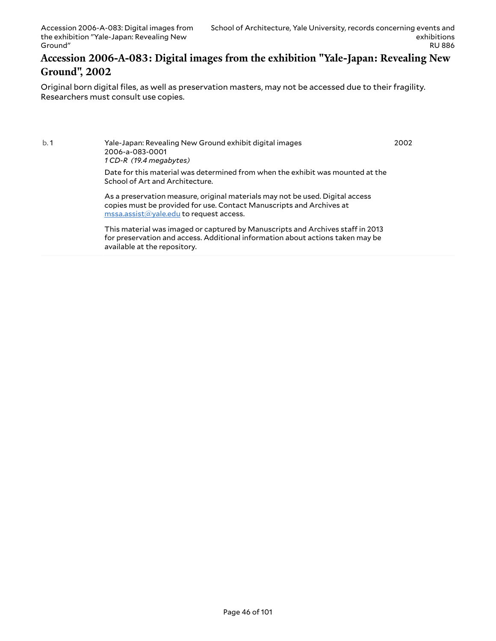#### **Accession 2006-A-083: Digital images from the exhibition "Yale-Japan: Revealing New Ground", 2002**

Original born digital files, as well as preservation masters, may not be accessed due to their fragility. Researchers must consult use copies.

b. 1 Yale-Japan: Revealing New Ground exhibit digital images 2006-a-083-0001 *1 CD-R (19.4 megabytes)* Date for this material was determined from when the exhibit was mounted at the School of Art and Architecture. As a preservation measure, original materials may not be used. Digital access 2002

copies must be provided for use. Contact Manuscripts and Archives at [mssa.assist@yale.edu](mailto:mssa.assist@yale.edu?subject=Digital%20Copy%20Request:%20[Preservica]%202006-a-083-0001.) to request access.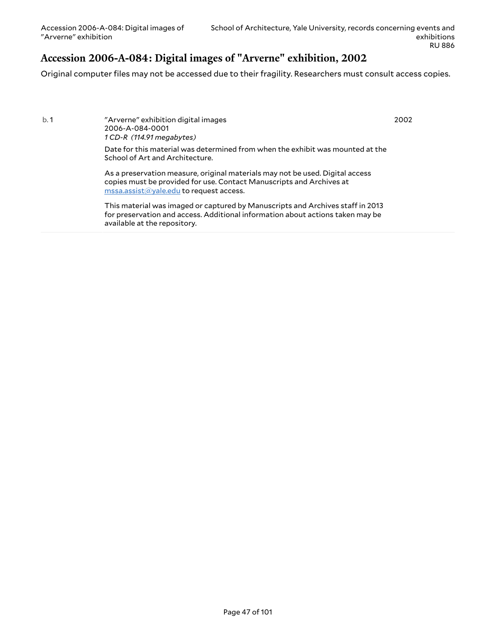### **Accession 2006-A-084: Digital images of "Arverne" exhibition, 2002**

Original computer files may not be accessed due to their fragility. Researchers must consult access copies.

| b. 1 | "Arverne" exhibition digital images |
|------|-------------------------------------|
|      | 2006-A-084-0001                     |
|      | $1$ CD-R $(114.91$ megabytes)       |

2002

Date for this material was determined from when the exhibit was mounted at the School of Art and Architecture.

As a preservation measure, original materials may not be used. Digital access copies must be provided for use. Contact Manuscripts and Archives at [mssa.assist@yale.edu](mailto:mssa.assist@yale.edu?subject=Digital%20Copy%20Request:%20[Preservica]%202006-A-084-0001.) to request access.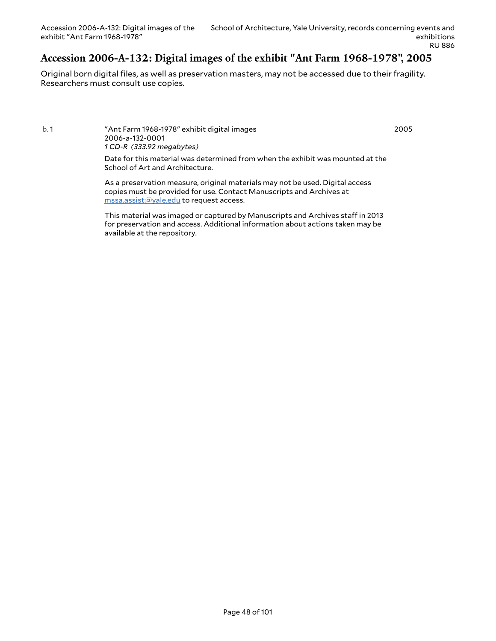### **Accession 2006-A-132: Digital images of the exhibit "Ant Farm 1968-1978", 2005**

Original born digital files, as well as preservation masters, may not be accessed due to their fragility. Researchers must consult use copies.

b. 1 "Ant Farm 1968-1978" exhibit digital images 2006-a-132-0001 *1 CD-R (333.92 megabytes)*

2005

Date for this material was determined from when the exhibit was mounted at the School of Art and Architecture.

As a preservation measure, original materials may not be used. Digital access copies must be provided for use. Contact Manuscripts and Archives at [mssa.assist@yale.edu](mailto:mssa.assist@yale.edu?subject=Digital%20Copy%20Request:%20[Preservica]%202006-a-132-0001.) to request access.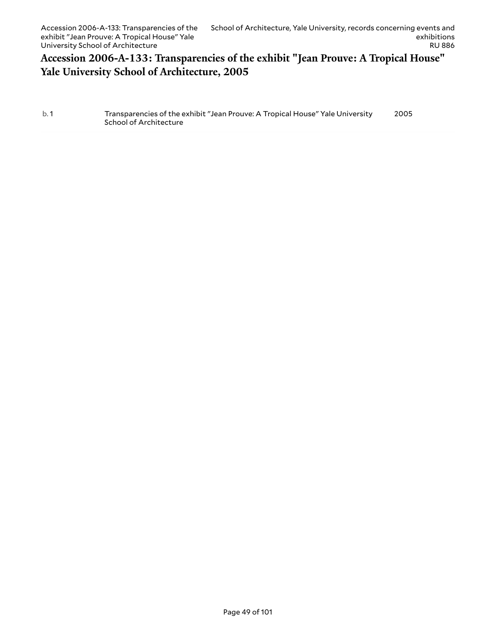### **Accession 2006-A-133: Transparencies of the exhibit "Jean Prouve: A Tropical House" Yale University School of Architecture, 2005**

b. 1 Transparencies of the exhibit "Jean Prouve: A Tropical House" Yale University School of Architecture 2005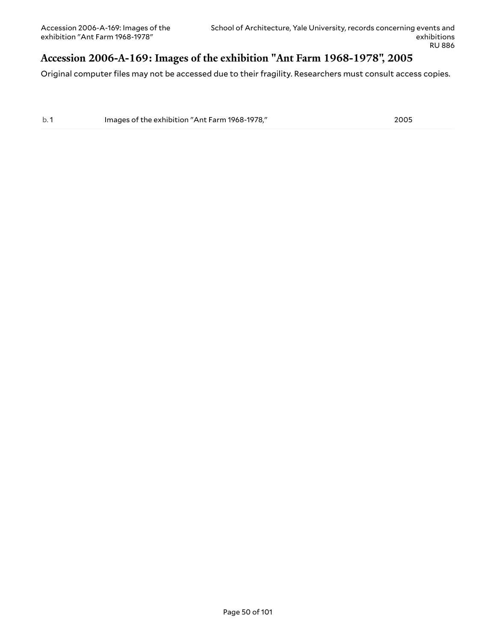### **Accession 2006-A-169: Images of the exhibition "Ant Farm 1968-1978", 2005**

Original computer files may not be accessed due to their fragility. Researchers must consult access copies.

b. 1 Images of the exhibition "Ant Farm 1968-1978," 2005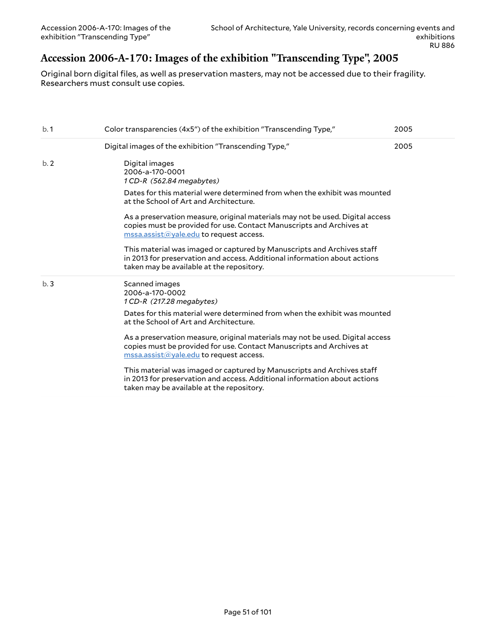# **Accession 2006-A-170: Images of the exhibition "Transcending Type", 2005**

Original born digital files, as well as preservation masters, may not be accessed due to their fragility. Researchers must consult use copies.

| b.1 | Color transparencies (4x5") of the exhibition "Transcending Type,"                                                                                                                                                             | 2005 |
|-----|--------------------------------------------------------------------------------------------------------------------------------------------------------------------------------------------------------------------------------|------|
|     | Digital images of the exhibition "Transcending Type,"                                                                                                                                                                          | 2005 |
| b.2 | Digital images<br>2006-a-170-0001<br>1 CD-R (562.84 megabytes)                                                                                                                                                                 |      |
|     | Dates for this material were determined from when the exhibit was mounted<br>at the School of Art and Architecture.                                                                                                            |      |
|     | As a preservation measure, original materials may not be used. Digital access<br>copies must be provided for use. Contact Manuscripts and Archives at<br>$\overline{\text{mssa}.\text{assist}(a)}$ yale.edu to request access. |      |
|     | This material was imaged or captured by Manuscripts and Archives staff<br>in 2013 for preservation and access. Additional information about actions<br>taken may be available at the repository.                               |      |
| b.3 | Scanned images<br>2006-a-170-0002<br>1 CD-R (217.28 megabytes)                                                                                                                                                                 |      |
|     | Dates for this material were determined from when the exhibit was mounted<br>at the School of Art and Architecture.                                                                                                            |      |
|     | As a preservation measure, original materials may not be used. Digital access<br>copies must be provided for use. Contact Manuscripts and Archives at<br>$\overline{\text{mssa}.\text{assist}(a)}$ yale.edu to request access. |      |
|     | This material was imaged or captured by Manuscripts and Archives staff<br>in 2013 for preservation and access. Additional information about actions<br>taken may be available at the repository.                               |      |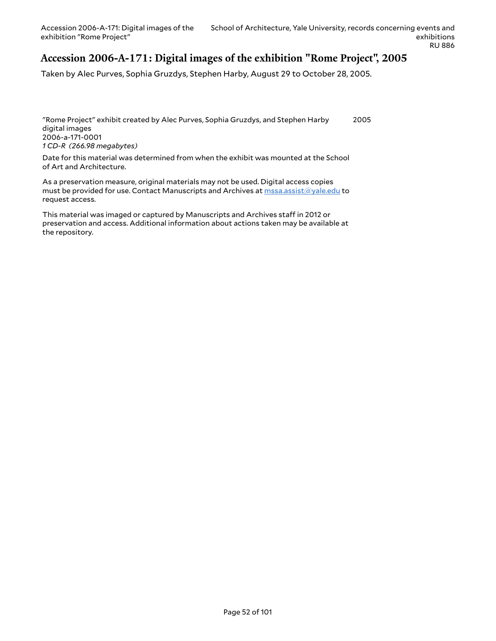### **Accession 2006-A-171: Digital images of the exhibition "Rome Project", 2005**

Taken by Alec Purves, Sophia Gruzdys, Stephen Harby, August 29 to October 28, 2005.

"Rome Project" exhibit created by Alec Purves, Sophia Gruzdys, and Stephen Harby digital images 2006-a-171-0001 *1 CD-R (266.98 megabytes)* 2005

Date for this material was determined from when the exhibit was mounted at the School of Art and Architecture.

As a preservation measure, original materials may not be used. Digital access copies must be provided for use. Contact Manuscripts and Archives at [mssa.assist@yale.edu](mailto:mssa.assist@yale.edu?subject=Digital%20Copy%20Request:%202006-a-171-0001) to request access.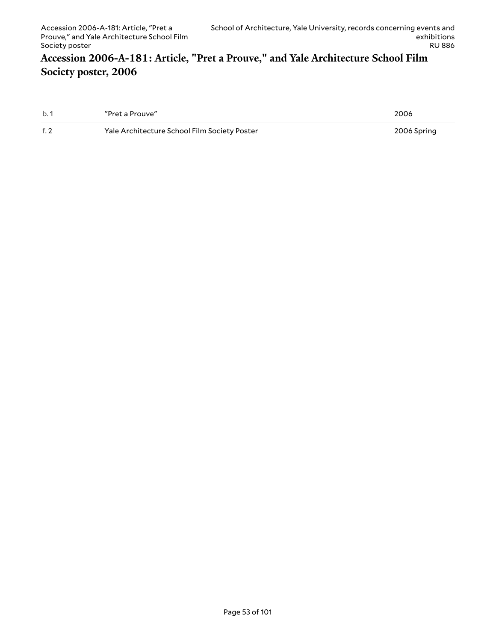### **Accession 2006-A-181: Article, "Pret a Prouve," and Yale Architecture School Film Society poster, 2006**

| b.1  | "Pret a Prouve"                              | 2006        |
|------|----------------------------------------------|-------------|
| f. 2 | Yale Architecture School Film Society Poster | 2006 Spring |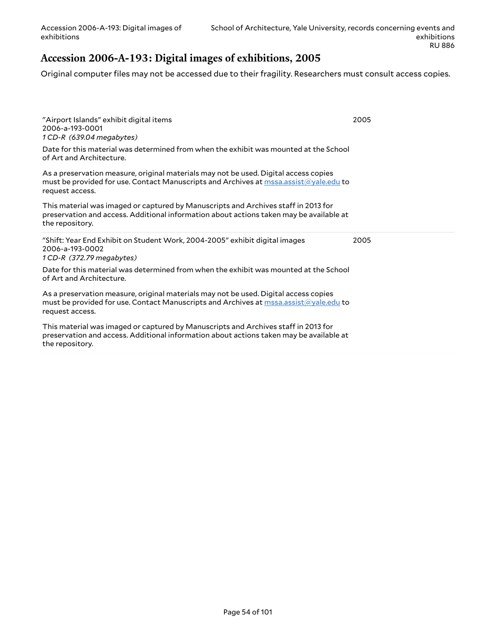### **Accession 2006-A-193: Digital images of exhibitions, 2005**

Original computer files may not be accessed due to their fragility. Researchers must consult access copies.

| "Airport Islands" exhibit digital items<br>2006-a-193-0001<br>1 CD-R (639.04 megabytes)<br>Date for this material was determined from when the exhibit was mounted at the School<br>of Art and Architecture. | 2005 |
|--------------------------------------------------------------------------------------------------------------------------------------------------------------------------------------------------------------|------|
| As a preservation measure, original materials may not be used. Digital access copies<br>must be provided for use. Contact Manuscripts and Archives at mssa.assist@yale.edu to<br>request access.             |      |
| This material was imaged or captured by Manuscripts and Archives staff in 2013 for<br>preservation and access. Additional information about actions taken may be available at<br>the repository.             |      |
|                                                                                                                                                                                                              |      |
| "Shift: Year End Exhibit on Student Work, 2004-2005" exhibit digital images<br>2006-a-193-0002<br>1 CD-R (372.79 megabytes)                                                                                  | 2005 |
| Date for this material was determined from when the exhibit was mounted at the School<br>of Art and Architecture.                                                                                            |      |
| As a preservation measure, original materials may not be used. Digital access copies<br>must be provided for use. Contact Manuscripts and Archives at mssa.assist@yale.edu to<br>request access.             |      |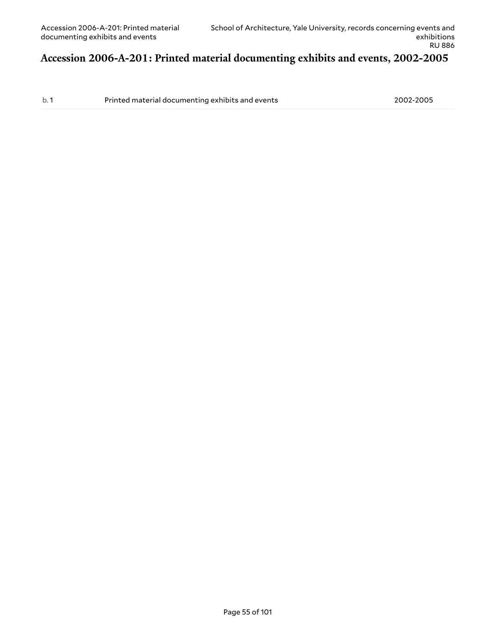### **Accession 2006-A-201: Printed material documenting exhibits and events, 2002-2005**

b. 1 Printed material documenting exhibits and events 2002-2005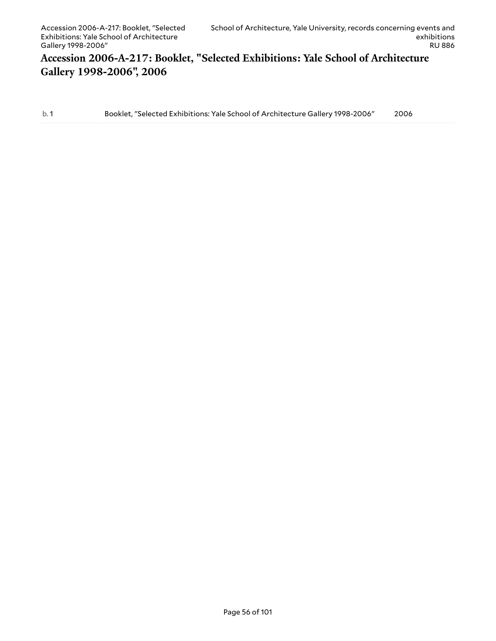## **Accession 2006-A-217: Booklet, "Selected Exhibitions: Yale School of Architecture Gallery 1998-2006", 2006**

b. 1 Booklet, "Selected Exhibitions: Yale School of Architecture Gallery 1998-2006" 2006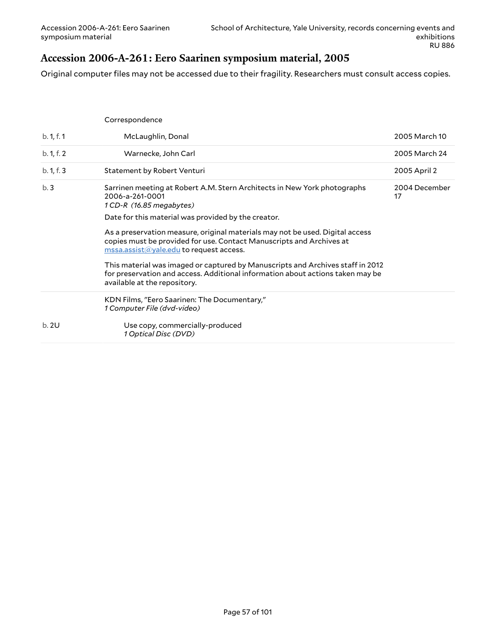### **Accession 2006-A-261: Eero Saarinen symposium material, 2005**

Original computer files may not be accessed due to their fragility. Researchers must consult access copies.

|            | Correspondence                                                                                                                                                                                                                      |                     |
|------------|-------------------------------------------------------------------------------------------------------------------------------------------------------------------------------------------------------------------------------------|---------------------|
| b. 1, f. 1 | McLaughlin, Donal                                                                                                                                                                                                                   | 2005 March 10       |
| b. 1, f. 2 | Warnecke, John Carl                                                                                                                                                                                                                 | 2005 March 24       |
| b. 1, f. 3 | Statement by Robert Venturi                                                                                                                                                                                                         | 2005 April 2        |
| b.3        | Sarrinen meeting at Robert A.M. Stern Architects in New York photographs<br>2006-a-261-0001<br>1 CD-R (16.85 megabytes)                                                                                                             | 2004 December<br>17 |
|            | Date for this material was provided by the creator.                                                                                                                                                                                 |                     |
|            | As a preservation measure, original materials may not be used. Digital access<br>copies must be provided for use. Contact Manuscripts and Archives at<br>$\overline{\text{mssa}.\text{assist}(\text{a}yale.edu}$ to request access. |                     |
|            | This material was imaged or captured by Manuscripts and Archives staff in 2012<br>for preservation and access. Additional information about actions taken may be<br>available at the repository.                                    |                     |
|            | KDN Films, "Eero Saarinen: The Documentary,"<br>1 Computer File (dvd-video)                                                                                                                                                         |                     |
| b.2U       | Use copy, commercially-produced<br>1 Optical Disc (DVD)                                                                                                                                                                             |                     |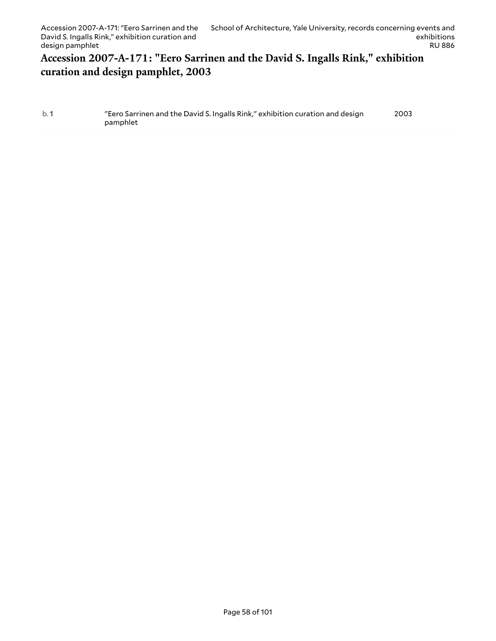### **Accession 2007-A-171: "Eero Sarrinen and the David S. Ingalls Rink," exhibition curation and design pamphlet, 2003**

| b.1 | "Eero Sarrinen and the David S. Ingalls Rink," exhibition curation and design | 2003 |
|-----|-------------------------------------------------------------------------------|------|
|     | pamphlet                                                                      |      |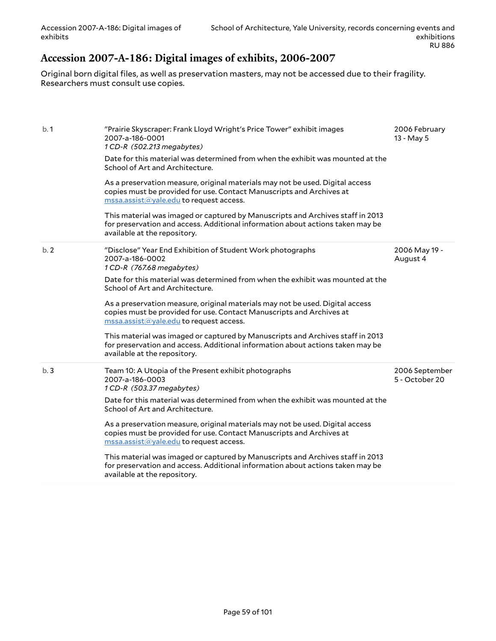### **Accession 2007-A-186: Digital images of exhibits, 2006-2007**

Original born digital files, as well as preservation masters, may not be accessed due to their fragility. Researchers must consult use copies.

| b.1 | "Prairie Skyscraper: Frank Lloyd Wright's Price Tower" exhibit images<br>2007-a-186-0001<br>1 CD-R (502.213 megabytes)<br>Date for this material was determined from when the exhibit was mounted at the<br>School of Art and Architecture.<br>As a preservation measure, original materials may not be used. Digital access<br>copies must be provided for use. Contact Manuscripts and Archives at<br>mssa.assist@yale.edu to request access.<br>This material was imaged or captured by Manuscripts and Archives staff in 2013<br>for preservation and access. Additional information about actions taken may be<br>available at the repository.                   | 2006 February<br>13 - May 5      |
|-----|-----------------------------------------------------------------------------------------------------------------------------------------------------------------------------------------------------------------------------------------------------------------------------------------------------------------------------------------------------------------------------------------------------------------------------------------------------------------------------------------------------------------------------------------------------------------------------------------------------------------------------------------------------------------------|----------------------------------|
| b.2 | "Disclose" Year End Exhibition of Student Work photographs<br>2007-a-186-0002<br>1 CD-R (767.68 megabytes)<br>Date for this material was determined from when the exhibit was mounted at the<br>School of Art and Architecture.<br>As a preservation measure, original materials may not be used. Digital access<br>copies must be provided for use. Contact Manuscripts and Archives at<br>$\overline{\text{mssa}.\text{assist}(a)}$ yale.edu to request access.<br>This material was imaged or captured by Manuscripts and Archives staff in 2013<br>for preservation and access. Additional information about actions taken may be<br>available at the repository. | 2006 May 19 -<br>August 4        |
| b.3 | Team 10: A Utopia of the Present exhibit photographs<br>2007-a-186-0003<br>1 CD-R (503.37 megabytes)<br>Date for this material was determined from when the exhibit was mounted at the<br>School of Art and Architecture.<br>As a preservation measure, original materials may not be used. Digital access<br>copies must be provided for use. Contact Manuscripts and Archives at<br>mssa.assist@yale.edu to request access.<br>This material was imaged or captured by Manuscripts and Archives staff in 2013<br>for preservation and access. Additional information about actions taken may be<br>available at the repository.                                     | 2006 September<br>5 - October 20 |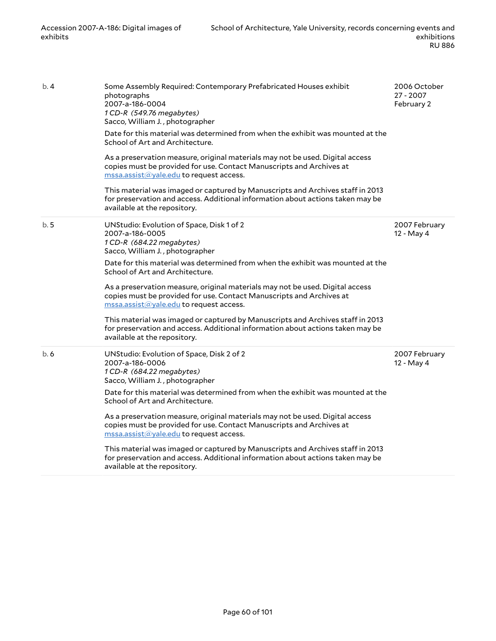| b.4  | Some Assembly Required: Contemporary Prefabricated Houses exhibit<br>photographs<br>2007-a-186-0004<br>1 CD-R (549.76 megabytes)<br>Sacco, William J., photographer<br>Date for this material was determined from when the exhibit was mounted at the<br>School of Art and Architecture.<br>As a preservation measure, original materials may not be used. Digital access<br>copies must be provided for use. Contact Manuscripts and Archives at<br>mssa.assist@yale.edu to request access.<br>This material was imaged or captured by Manuscripts and Archives staff in 2013<br>for preservation and access. Additional information about actions taken may be<br>available at the repository. | 2006 October<br>27 - 2007<br>February 2 |
|------|--------------------------------------------------------------------------------------------------------------------------------------------------------------------------------------------------------------------------------------------------------------------------------------------------------------------------------------------------------------------------------------------------------------------------------------------------------------------------------------------------------------------------------------------------------------------------------------------------------------------------------------------------------------------------------------------------|-----------------------------------------|
| b. 5 | UNStudio: Evolution of Space, Disk 1 of 2<br>2007-a-186-0005<br>1 CD-R (684.22 megabytes)<br>Sacco, William J., photographer<br>Date for this material was determined from when the exhibit was mounted at the<br>School of Art and Architecture.<br>As a preservation measure, original materials may not be used. Digital access<br>copies must be provided for use. Contact Manuscripts and Archives at<br>mssa.assist@yale.edu to request access.<br>This material was imaged or captured by Manuscripts and Archives staff in 2013<br>for preservation and access. Additional information about actions taken may be<br>available at the repository.                                        | 2007 February<br>12 - May 4             |
| b. 6 | UNStudio: Evolution of Space, Disk 2 of 2<br>2007-a-186-0006<br>1 CD-R (684.22 megabytes)<br>Sacco, William J., photographer<br>Date for this material was determined from when the exhibit was mounted at the<br>School of Art and Architecture.<br>As a preservation measure, original materials may not be used. Digital access<br>copies must be provided for use. Contact Manuscripts and Archives at<br>$\overline{\text{mssa}.\text{assist}(\text{a}yale.edu}$ to request access.<br>This material was imaged or captured by Manuscripts and Archives staff in 2013<br>for preservation and access. Additional information about actions taken may be<br>available at the repository.     | 2007 February<br>12 - May 4             |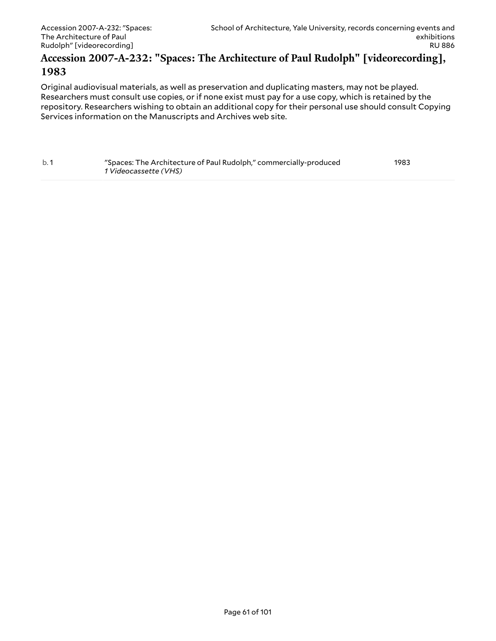#### **Accession 2007-A-232: "Spaces: The Architecture of Paul Rudolph" [videorecording], 1983**

Original audiovisual materials, as well as preservation and duplicating masters, may not be played. Researchers must consult use copies, or if none exist must pay for a use copy, which is retained by the repository. Researchers wishing to obtain an additional copy for their personal use should consult Copying Services information on the Manuscripts and Archives web site.

| b.1 | "Spaces: The Architecture of Paul Rudolph," commercially-produced | 1983 |
|-----|-------------------------------------------------------------------|------|
|     | <i>1 Videocassette (VHS)</i>                                      |      |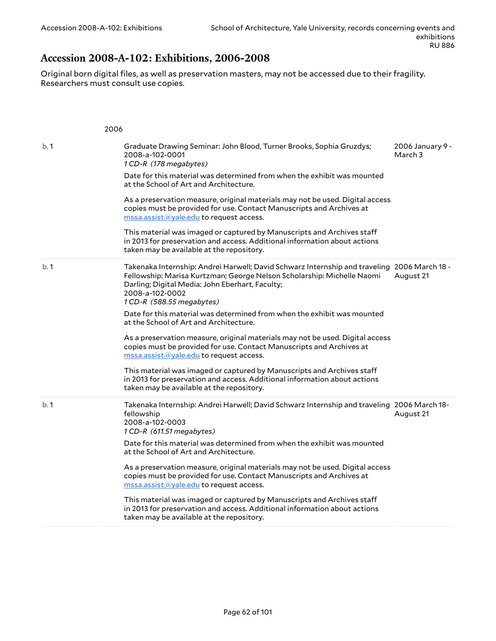# **Accession 2008-A-102: Exhibitions, 2006-2008**

Original born digital files, as well as preservation masters, may not be accessed due to their fragility. Researchers must consult use copies.

|     | 2006                                                                                                                                                                                                                                                                     |                             |
|-----|--------------------------------------------------------------------------------------------------------------------------------------------------------------------------------------------------------------------------------------------------------------------------|-----------------------------|
| b.1 | Graduate Drawing Seminar: John Blood, Turner Brooks, Sophia Gruzdys;<br>2008-a-102-0001<br>1 CD-R (178 megabytes)                                                                                                                                                        | 2006 January 9 -<br>March 3 |
|     | Date for this material was determined from when the exhibit was mounted<br>at the School of Art and Architecture.                                                                                                                                                        |                             |
|     | As a preservation measure, original materials may not be used. Digital access<br>copies must be provided for use. Contact Manuscripts and Archives at<br>mssa.assist@yale.edu to request access.                                                                         |                             |
|     | This material was imaged or captured by Manuscripts and Archives staff<br>in 2013 for preservation and access. Additional information about actions<br>taken may be available at the repository.                                                                         |                             |
| b.1 | Takenaka Internship: Andrei Harwell; David Schwarz Internship and traveling 2006 March 18 -<br>Fellowship: Marisa Kurtzman; George Nelson Scholarship: Michelle Naomi<br>Darling; Digital Media: John Eberhart, Faculty;<br>2008-a-102-0002<br>1 CD-R (588.55 megabytes) | August 21                   |
|     | Date for this material was determined from when the exhibit was mounted<br>at the School of Art and Architecture.                                                                                                                                                        |                             |
|     | As a preservation measure, original materials may not be used. Digital access<br>copies must be provided for use. Contact Manuscripts and Archives at<br>$\text{message}$ mssa.assist $\textcircled a$ yale.edu to request access.                                       |                             |
|     | This material was imaged or captured by Manuscripts and Archives staff<br>in 2013 for preservation and access. Additional information about actions<br>taken may be available at the repository.                                                                         |                             |
| b.1 | Takenaka Internship: Andrei Harwell; David Schwarz Internship and traveling 2006 March 18-<br>fellowship<br>2008-a-102-0003<br>1 CD-R (611.51 megabytes)                                                                                                                 | August 21                   |
|     | Date for this material was determined from when the exhibit was mounted<br>at the School of Art and Architecture.                                                                                                                                                        |                             |
|     | As a preservation measure, original materials may not be used. Digital access<br>copies must be provided for use. Contact Manuscripts and Archives at<br>mssa.assist@yale.edu to request access.                                                                         |                             |
|     | This material was imaged or captured by Manuscripts and Archives staff<br>in 2013 for preservation and access. Additional information about actions<br>taken may be available at the repository.                                                                         |                             |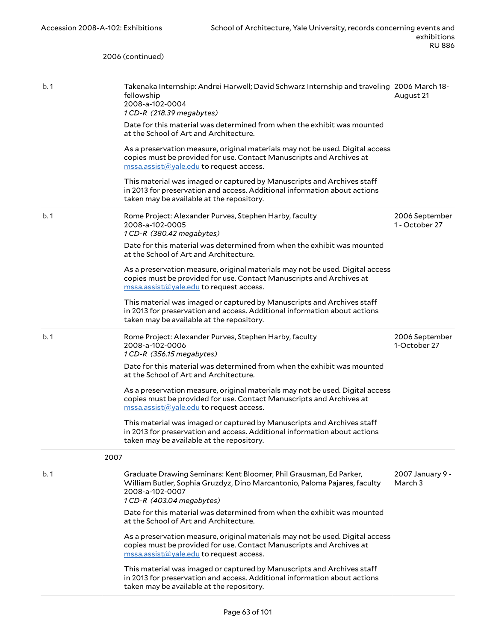|     | 2006 (continued)                                                                                                                                                                                 |                                  |
|-----|--------------------------------------------------------------------------------------------------------------------------------------------------------------------------------------------------|----------------------------------|
|     |                                                                                                                                                                                                  |                                  |
| b.1 | Takenaka Internship: Andrei Harwell; David Schwarz Internship and traveling 2006 March 18-<br>fellowship<br>2008-a-102-0004<br>1 CD-R (218.39 megabytes)                                         | August 21                        |
|     | Date for this material was determined from when the exhibit was mounted<br>at the School of Art and Architecture.                                                                                |                                  |
|     | As a preservation measure, original materials may not be used. Digital access<br>copies must be provided for use. Contact Manuscripts and Archives at<br>mssa.assist@yale.edu to request access. |                                  |
|     | This material was imaged or captured by Manuscripts and Archives staff<br>in 2013 for preservation and access. Additional information about actions<br>taken may be available at the repository. |                                  |
| b.1 | Rome Project: Alexander Purves, Stephen Harby, faculty<br>2008-a-102-0005<br>1 CD-R (380.42 megabytes)                                                                                           | 2006 September<br>1 - October 27 |
|     | Date for this material was determined from when the exhibit was mounted<br>at the School of Art and Architecture.                                                                                |                                  |
|     | As a preservation measure, original materials may not be used. Digital access<br>copies must be provided for use. Contact Manuscripts and Archives at<br>mssa.assist@yale.edu to request access. |                                  |
|     | This material was imaged or captured by Manuscripts and Archives staff<br>in 2013 for preservation and access. Additional information about actions<br>taken may be available at the repository. |                                  |
| b.1 | Rome Project: Alexander Purves, Stephen Harby, faculty<br>2008-a-102-0006<br>1 CD-R (356.15 megabytes)                                                                                           | 2006 September<br>1-October 27   |
|     | Date for this material was determined from when the exhibit was mounted<br>at the School of Art and Architecture.                                                                                |                                  |
|     | As a preservation measure, original materials may not be used. Digital access<br>copies must be provided for use. Contact Manuscripts and Archives at<br>mssa.assist@yale.edu to request access. |                                  |
|     | This material was imaged or captured by Manuscripts and Archives staff<br>in 2013 for preservation and access. Additional information about actions<br>taken may be available at the repository. |                                  |
|     | 2007                                                                                                                                                                                             |                                  |
| b.1 | Graduate Drawing Seminars: Kent Bloomer, Phil Grausman, Ed Parker,<br>William Butler, Sophia Gruzdyz, Dino Marcantonio, Paloma Pajares, faculty<br>2008-a-102-0007<br>1 CD-R (403.04 megabytes)  | 2007 January 9 -<br>March 3      |
|     | Date for this material was determined from when the exhibit was mounted<br>at the School of Art and Architecture.                                                                                |                                  |
|     | As a preservation measure, original materials may not be used. Digital access<br>copies must be provided for use. Contact Manuscripts and Archives at<br>mssa.assist@yale.edu to request access. |                                  |
|     | This material was imaged or captured by Manuscripts and Archives staff<br>in 2013 for preservation and access. Additional information about actions<br>taken may be available at the repository. |                                  |
|     |                                                                                                                                                                                                  |                                  |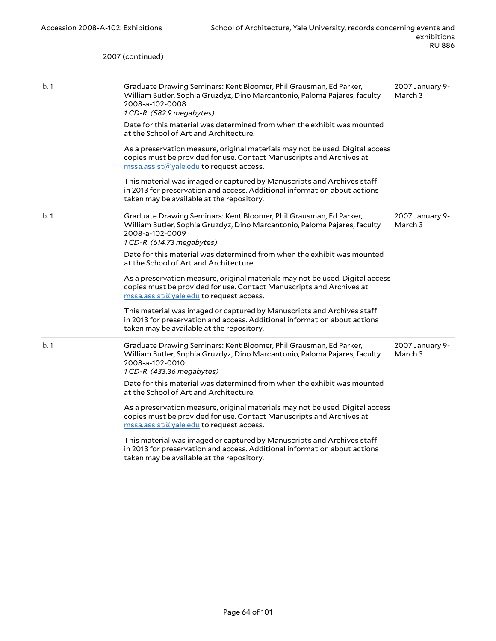|     | 2007 (continued)                                                                                                                                                                                                                                                                                                                                                                                                                                                                                                                                                                                                                                                                                                                                               |                            |
|-----|----------------------------------------------------------------------------------------------------------------------------------------------------------------------------------------------------------------------------------------------------------------------------------------------------------------------------------------------------------------------------------------------------------------------------------------------------------------------------------------------------------------------------------------------------------------------------------------------------------------------------------------------------------------------------------------------------------------------------------------------------------------|----------------------------|
| b.1 | Graduate Drawing Seminars: Kent Bloomer, Phil Grausman, Ed Parker,<br>William Butler, Sophia Gruzdyz, Dino Marcantonio, Paloma Pajares, faculty<br>2008-a-102-0008<br>1 CD-R (582.9 megabytes)<br>Date for this material was determined from when the exhibit was mounted<br>at the School of Art and Architecture.<br>As a preservation measure, original materials may not be used. Digital access<br>copies must be provided for use. Contact Manuscripts and Archives at<br>mssa.assist@yale.edu to request access.<br>This material was imaged or captured by Manuscripts and Archives staff<br>in 2013 for preservation and access. Additional information about actions<br>taken may be available at the repository.                                    | 2007 January 9-<br>March 3 |
| b.1 | Graduate Drawing Seminars: Kent Bloomer, Phil Grausman, Ed Parker,<br>William Butler, Sophia Gruzdyz, Dino Marcantonio, Paloma Pajares, faculty<br>2008-a-102-0009<br>1 CD-R (614.73 megabytes)<br>Date for this material was determined from when the exhibit was mounted<br>at the School of Art and Architecture.<br>As a preservation measure, original materials may not be used. Digital access<br>copies must be provided for use. Contact Manuscripts and Archives at<br>$\text{message}$ mssa.assist $\textcircled a$ yale.edu to request access.<br>This material was imaged or captured by Manuscripts and Archives staff<br>in 2013 for preservation and access. Additional information about actions<br>taken may be available at the repository. | 2007 January 9-<br>March 3 |
| b.1 | Graduate Drawing Seminars: Kent Bloomer, Phil Grausman, Ed Parker,<br>William Butler, Sophia Gruzdyz, Dino Marcantonio, Paloma Pajares, faculty<br>2008-a-102-0010<br>1 CD-R (433.36 megabytes)<br>Date for this material was determined from when the exhibit was mounted<br>at the School of Art and Architecture.<br>As a preservation measure, original materials may not be used. Digital access<br>copies must be provided for use. Contact Manuscripts and Archives at<br>$\text{message}$ mssa.assist $\textcircled a$ yale.edu to request access.<br>This material was imaged or captured by Manuscripts and Archives staff<br>in 2013 for preservation and access. Additional information about actions<br>taken may be available at the repository. | 2007 January 9-<br>March 3 |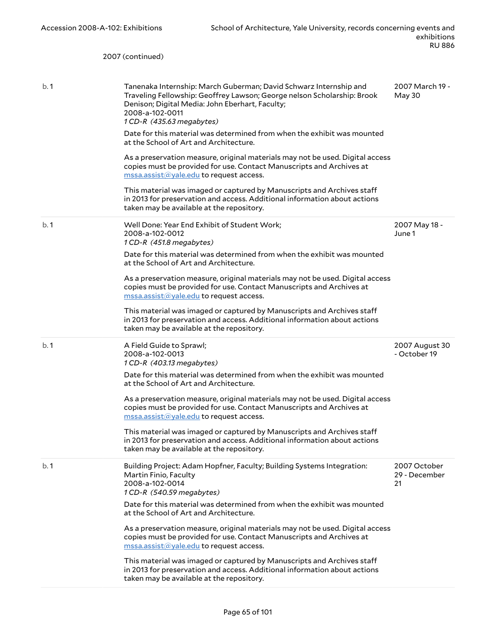|      | 2007 (continued)                                                                                                                                                                                                                                |                                     |
|------|-------------------------------------------------------------------------------------------------------------------------------------------------------------------------------------------------------------------------------------------------|-------------------------------------|
| b. 1 | Tanenaka Internship: March Guberman; David Schwarz Internship and<br>Traveling Fellowship: Geoffrey Lawson; George nelson Scholarship: Brook<br>Denison; Digital Media: John Eberhart, Faculty;<br>2008-a-102-0011<br>1 CD-R (435.63 megabytes) | 2007 March 19 -<br>May 30           |
|      | Date for this material was determined from when the exhibit was mounted<br>at the School of Art and Architecture.<br>As a preservation measure, original materials may not be used. Digital access                                              |                                     |
|      | copies must be provided for use. Contact Manuscripts and Archives at<br>mssa.assist@yale.edu to request access.                                                                                                                                 |                                     |
|      | This material was imaged or captured by Manuscripts and Archives staff<br>in 2013 for preservation and access. Additional information about actions<br>taken may be available at the repository.                                                |                                     |
| b.1  | Well Done: Year End Exhibit of Student Work;<br>2008-a-102-0012<br>1 CD-R (451.8 megabytes)                                                                                                                                                     | 2007 May 18 -<br>June 1             |
|      | Date for this material was determined from when the exhibit was mounted<br>at the School of Art and Architecture.                                                                                                                               |                                     |
|      | As a preservation measure, original materials may not be used. Digital access<br>copies must be provided for use. Contact Manuscripts and Archives at<br>mssa.assist@yale.edu to request access.                                                |                                     |
|      | This material was imaged or captured by Manuscripts and Archives staff<br>in 2013 for preservation and access. Additional information about actions<br>taken may be available at the repository.                                                |                                     |
| b.1  | A Field Guide to Sprawl;<br>2008-a-102-0013<br>1 CD-R (403.13 megabytes)                                                                                                                                                                        | 2007 August 30<br>- October 19      |
|      | Date for this material was determined from when the exhibit was mounted<br>at the School of Art and Architecture.                                                                                                                               |                                     |
|      | As a preservation measure, original materials may not be used. Digital access<br>copies must be provided for use. Contact Manuscripts and Archives at<br>mssa.assist@yale.edu to request access.                                                |                                     |
|      | This material was imaged or captured by Manuscripts and Archives staff<br>in 2013 for preservation and access. Additional information about actions<br>taken may be available at the repository.                                                |                                     |
| b.1  | Building Project: Adam Hopfner, Faculty; Building Systems Integration:<br>Martin Finio, Faculty<br>2008-a-102-0014<br>1 CD-R (540.59 megabytes)                                                                                                 | 2007 October<br>29 - December<br>21 |
|      | Date for this material was determined from when the exhibit was mounted<br>at the School of Art and Architecture.                                                                                                                               |                                     |
|      | As a preservation measure, original materials may not be used. Digital access<br>copies must be provided for use. Contact Manuscripts and Archives at<br>mssa.assist@yale.edu to request access.                                                |                                     |
|      | This material was imaged or captured by Manuscripts and Archives staff<br>in 2013 for preservation and access. Additional information about actions<br>taken may be available at the repository.                                                |                                     |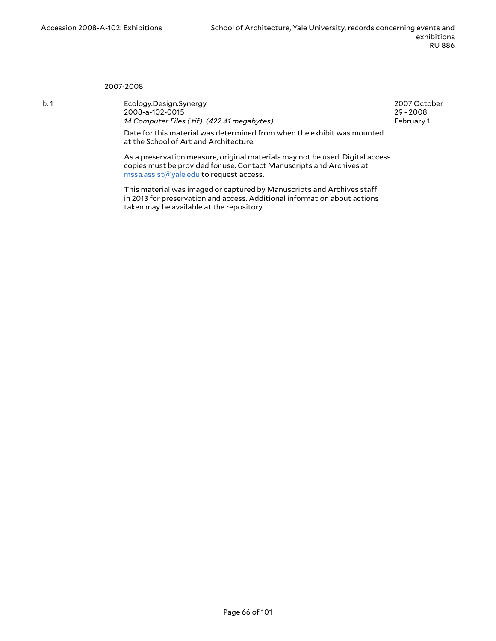2007-2008

b. 1 Ecology.Design.Synergy 2008-a-102-0015 *14 Computer Files (.tif) (422.41 megabytes)* 2007 October 29 - 2008 February 1

Date for this material was determined from when the exhibit was mounted at the School of Art and Architecture.

As a preservation measure, original materials may not be used. Digital access copies must be provided for use. Contact Manuscripts and Archives at [mssa.assist@yale.edu](mailto:mssa.assist@yale.edu?subject=Digital%20Copy%20Request:%202008-a-102-0015) to request access.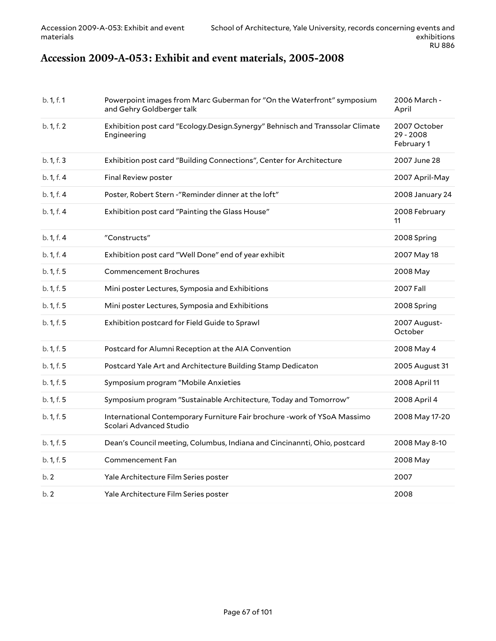## **Accession 2009-A-053: Exhibit and event materials, 2005-2008**

| b. 1, f. 1 | Powerpoint images from Marc Guberman for "On the Waterfront" symposium<br>and Gehry Goldberger talk  | 2006 March -<br>April                     |
|------------|------------------------------------------------------------------------------------------------------|-------------------------------------------|
| b. 1, f. 2 | Exhibition post card "Ecology.Design.Synergy" Behnisch and Transsolar Climate<br>Engineering         | 2007 October<br>$29 - 2008$<br>February 1 |
| b. 1, f. 3 | Exhibition post card "Building Connections", Center for Architecture                                 | 2007 June 28                              |
| b. 1, f. 4 | Final Review poster                                                                                  | 2007 April-May                            |
| b. 1, f. 4 | Poster, Robert Stern -"Reminder dinner at the loft"                                                  | 2008 January 24                           |
| b. 1, f. 4 | Exhibition post card "Painting the Glass House"                                                      | 2008 February<br>11                       |
| b. 1, f. 4 | "Constructs"                                                                                         | 2008 Spring                               |
| b. 1, f. 4 | Exhibition post card "Well Done" end of year exhibit                                                 | 2007 May 18                               |
| b. 1, f. 5 | Commencement Brochures                                                                               | 2008 May                                  |
| b. 1, f. 5 | Mini poster Lectures, Symposia and Exhibitions                                                       | 2007 Fall                                 |
| b. 1, f. 5 | Mini poster Lectures, Symposia and Exhibitions                                                       | 2008 Spring                               |
| b. 1, f. 5 | Exhibition postcard for Field Guide to Sprawl                                                        | 2007 August-<br>October                   |
| b. 1, f. 5 | Postcard for Alumni Reception at the AIA Convention                                                  | 2008 May 4                                |
| b. 1, f. 5 | Postcard Yale Art and Architecture Building Stamp Dedicaton                                          | 2005 August 31                            |
| b. 1, f. 5 | Symposium program "Mobile Anxieties                                                                  | 2008 April 11                             |
| b. 1, f. 5 | Symposium program "Sustainable Architecture, Today and Tomorrow"                                     | 2008 April 4                              |
| b. 1, f. 5 | International Contemporary Furniture Fair brochure - work of YSoA Massimo<br>Scolari Advanced Studio | 2008 May 17-20                            |
| b. 1, f. 5 | Dean's Council meeting, Columbus, Indiana and Cincinannti, Ohio, postcard                            | 2008 May 8-10                             |
| b. 1, f. 5 | Commencement Fan                                                                                     | 2008 May                                  |
| b.2        | Yale Architecture Film Series poster                                                                 | 2007                                      |
| b.2        | Yale Architecture Film Series poster                                                                 | 2008                                      |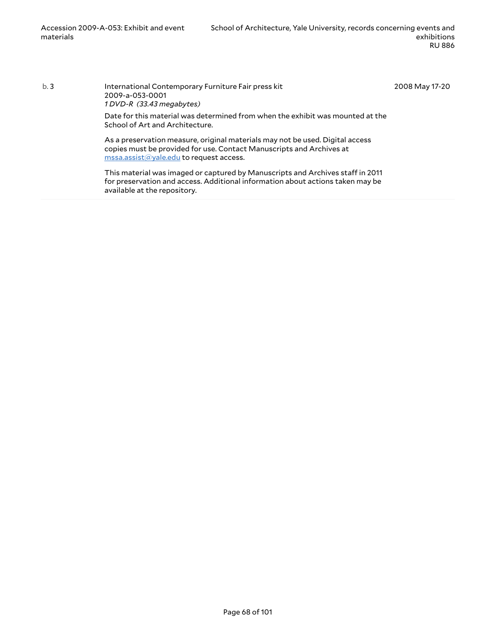b. 3 International Contemporary Furniture Fair press kit 2009-a-053-0001 *1 DVD-R (33.43 megabytes)* Date for this material was determined from when the exhibit was mounted at the School of Art and Architecture. As a preservation measure, original materials may not be used. Digital access copies must be provided for use. Contact Manuscripts and Archives at [mssa.assist@yale.edu](mailto:mssa.assist@yale.edu?subject=Digital%20Copy%20Request:%20%7B2009-a-053-0001%7D) to request access. 2008 May 17-20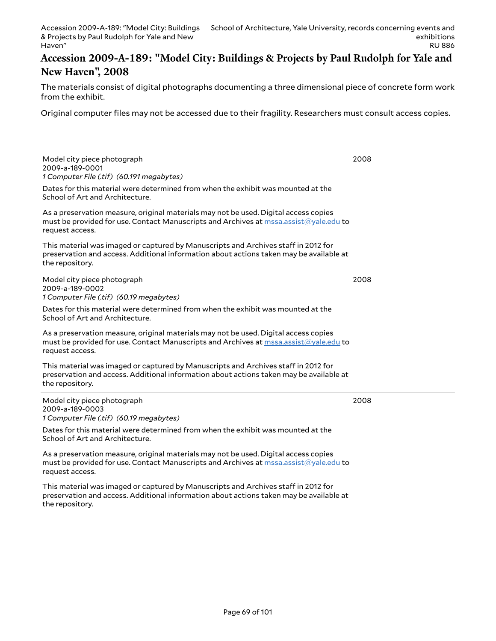#### **Accession 2009-A-189: "Model City: Buildings & Projects by Paul Rudolph for Yale and New Haven", 2008**

The materials consist of digital photographs documenting a three dimensional piece of concrete form work from the exhibit.

Original computer files may not be accessed due to their fragility. Researchers must consult access copies.

| Model city piece photograph<br>2009-a-189-0001<br>1 Computer File (.tif) (60.191 megabytes)                                                                                                                                    | 2008 |
|--------------------------------------------------------------------------------------------------------------------------------------------------------------------------------------------------------------------------------|------|
| Dates for this material were determined from when the exhibit was mounted at the<br>School of Art and Architecture.                                                                                                            |      |
| As a preservation measure, original materials may not be used. Digital access copies<br>must be provided for use. Contact Manuscripts and Archives at mssa.assist@yale.edu to<br>request access.                               |      |
| This material was imaged or captured by Manuscripts and Archives staff in 2012 for<br>preservation and access. Additional information about actions taken may be available at<br>the repository.                               |      |
| Model city piece photograph<br>2009-a-189-0002<br>1 Computer File (.tif) (60.19 megabytes)                                                                                                                                     | 2008 |
| Dates for this material were determined from when the exhibit was mounted at the<br>School of Art and Architecture.                                                                                                            |      |
| As a preservation measure, original materials may not be used. Digital access copies<br>must be provided for use. Contact Manuscripts and Archives at mssa.assist@yale.edu to<br>request access.                               |      |
| This material was imaged or captured by Manuscripts and Archives staff in 2012 for<br>preservation and access. Additional information about actions taken may be available at<br>the repository.                               |      |
| Model city piece photograph<br>2009-a-189-0003<br>1 Computer File (.tif) (60.19 megabytes)                                                                                                                                     | 2008 |
| Dates for this material were determined from when the exhibit was mounted at the<br>School of Art and Architecture.                                                                                                            |      |
| As a preservation measure, original materials may not be used. Digital access copies<br>must be provided for use. Contact Manuscripts and Archives at $\overline{\text{mssa}.\text{assign}(a)}$ yale.edu to<br>request access. |      |
| This material was imaged or captured by Manuscripts and Archives staff in 2012 for<br>preservation and access. Additional information about actions taken may be available at<br>the repository.                               |      |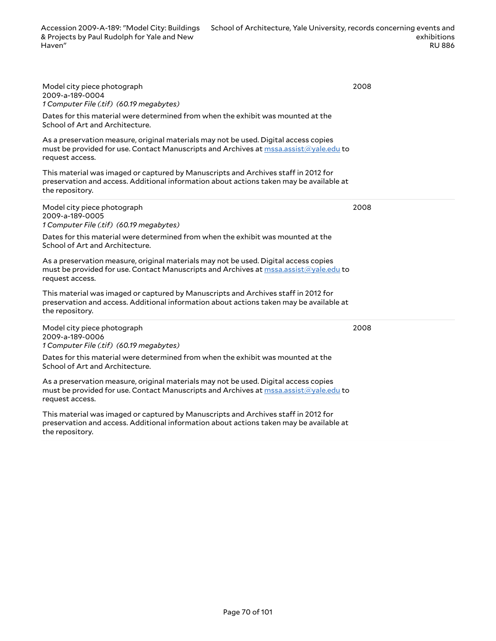Model city piece photograph 2009-a-189-0004 *1 Computer File (.tif) (60.19 megabytes)*

Dates for this material were determined from when the exhibit was mounted at the School of Art and Architecture.

As a preservation measure, original materials may not be used. Digital access copies must be provided for use. Contact Manuscripts and Archives at [mssa.assist@yale.edu](mailto:mssa.assist@yale.edu?subject=Digital%20Copy%20Request:%20[Preservica]%20ru_0886_2009-a-189_01-005-[Preservica]%20ru_0886_2009-a-189_01-006.) to request access.

This material was imaged or captured by Manuscripts and Archives staff in 2012 for preservation and access. Additional information about actions taken may be available at the repository.

Model city piece photograph 2009-a-189-0005 *1 Computer File (.tif) (60.19 megabytes)*

Dates for this material were determined from when the exhibit was mounted at the School of Art and Architecture.

As a preservation measure, original materials may not be used. Digital access copies must be provided for use. Contact Manuscripts and Archives at [mssa.assist@yale.edu](mailto:mssa.assist@yale.edu?subject=Digital%20Copy%20Request:%20[Preservica]%20ru_0886_2009-a-189_01-006.) to request access.

This material was imaged or captured by Manuscripts and Archives staff in 2012 for preservation and access. Additional information about actions taken may be available at the repository.

Model city piece photograph 2009-a-189-0006 *1 Computer File (.tif) (60.19 megabytes)*

Dates for this material were determined from when the exhibit was mounted at the School of Art and Architecture.

As a preservation measure, original materials may not be used. Digital access copies must be provided for use. Contact Manuscripts and Archives at [mssa.assist@yale.edu](mailto:mssa.assist@yale.edu?subject=Digital%20Copy%20Request:%20[Preservica]%20ru_0886_2009-a-189_01-007.) to request access.

This material was imaged or captured by Manuscripts and Archives staff in 2012 for preservation and access. Additional information about actions taken may be available at the repository.

2008

2008

2008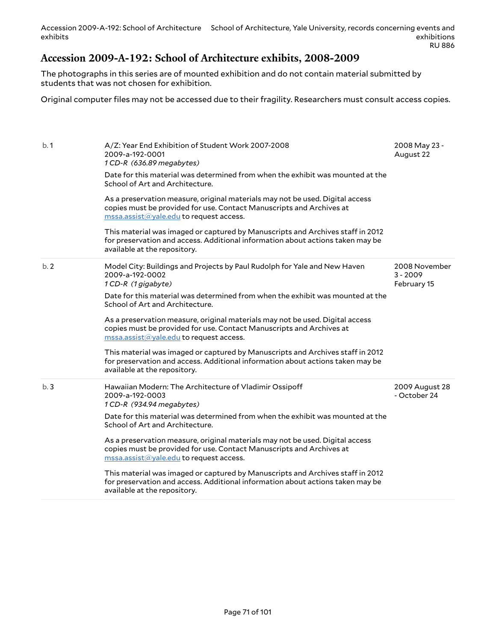### **Accession 2009-A-192: School of Architecture exhibits, 2008-2009**

The photographs in this series are of mounted exhibition and do not contain material submitted by students that was not chosen for exhibition.

Original computer files may not be accessed due to their fragility. Researchers must consult access copies.

| b.1 | A/Z: Year End Exhibition of Student Work 2007-2008<br>2009-a-192-0001<br>1 CD-R (636.89 megabytes)<br>Date for this material was determined from when the exhibit was mounted at the<br>School of Art and Architecture.<br>As a preservation measure, original materials may not be used. Digital access<br>copies must be provided for use. Contact Manuscripts and Archives at<br>mssa.assist@yale.edu to request access.<br>This material was imaged or captured by Manuscripts and Archives staff in 2012<br>for preservation and access. Additional information about actions taken may be | 2008 May 23 -<br>August 22                 |
|-----|-------------------------------------------------------------------------------------------------------------------------------------------------------------------------------------------------------------------------------------------------------------------------------------------------------------------------------------------------------------------------------------------------------------------------------------------------------------------------------------------------------------------------------------------------------------------------------------------------|--------------------------------------------|
|     | available at the repository.                                                                                                                                                                                                                                                                                                                                                                                                                                                                                                                                                                    |                                            |
| b.2 | Model City: Buildings and Projects by Paul Rudolph for Yale and New Haven<br>2009-a-192-0002<br>1 CD-R (1 gigabyte)                                                                                                                                                                                                                                                                                                                                                                                                                                                                             | 2008 November<br>$3 - 2009$<br>February 15 |
|     | Date for this material was determined from when the exhibit was mounted at the<br>School of Art and Architecture.                                                                                                                                                                                                                                                                                                                                                                                                                                                                               |                                            |
|     | As a preservation measure, original materials may not be used. Digital access<br>copies must be provided for use. Contact Manuscripts and Archives at<br>mssa.assist@yale.edu to request access.                                                                                                                                                                                                                                                                                                                                                                                                |                                            |
|     | This material was imaged or captured by Manuscripts and Archives staff in 2012<br>for preservation and access. Additional information about actions taken may be<br>available at the repository.                                                                                                                                                                                                                                                                                                                                                                                                |                                            |
| b.3 | Hawaiian Modern: The Architecture of Vladimir Ossipoff<br>2009-a-192-0003<br>1 CD-R (934.94 megabytes)                                                                                                                                                                                                                                                                                                                                                                                                                                                                                          | 2009 August 28<br>- October 24             |
|     | Date for this material was determined from when the exhibit was mounted at the<br>School of Art and Architecture.                                                                                                                                                                                                                                                                                                                                                                                                                                                                               |                                            |
|     | As a preservation measure, original materials may not be used. Digital access<br>copies must be provided for use. Contact Manuscripts and Archives at<br>$\overline{\text{mssa}.\text{assist}(a)}$ yale.edu to request access.                                                                                                                                                                                                                                                                                                                                                                  |                                            |
|     | This material was imaged or captured by Manuscripts and Archives staff in 2012<br>for preservation and access. Additional information about actions taken may be<br>available at the repository.                                                                                                                                                                                                                                                                                                                                                                                                |                                            |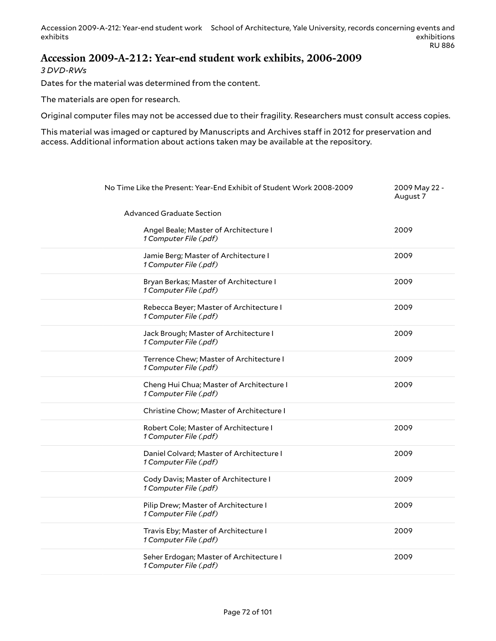Accession 2009-A-212: Year-end student work School of Architecture, Yale University, records concerning events and exhibits exhibitions RU 886

#### **Accession 2009-A-212: Year-end student work exhibits, 2006-2009**

*3 DVD-RWs*

Dates for the material was determined from the content.

The materials are open for research.

Original computer files may not be accessed due to their fragility. Researchers must consult access copies.

| No Time Like the Present: Year-End Exhibit of Student Work 2008-2009 | 2009 May 22 -<br>August 7 |
|----------------------------------------------------------------------|---------------------------|
| Advanced Graduate Section                                            |                           |
| Angel Beale; Master of Architecture I<br>1 Computer File (.pdf)      | 2009                      |
| Jamie Berg; Master of Architecture I<br>1 Computer File (.pdf)       | 2009                      |
| Bryan Berkas; Master of Architecture I<br>1 Computer File (.pdf)     | 2009                      |
| Rebecca Beyer; Master of Architecture I<br>1 Computer File (.pdf)    | 2009                      |
| Jack Brough; Master of Architecture I<br>1 Computer File (.pdf)      | 2009                      |
| Terrence Chew; Master of Architecture I<br>1 Computer File (.pdf)    | 2009                      |
| Cheng Hui Chua; Master of Architecture I<br>1 Computer File (.pdf)   | 2009                      |
| Christine Chow; Master of Architecture I                             |                           |
| Robert Cole; Master of Architecture I<br>1 Computer File (.pdf)      | 2009                      |
| Daniel Colvard; Master of Architecture I<br>1 Computer File (.pdf)   | 2009                      |
| Cody Davis; Master of Architecture I<br>1 Computer File (.pdf)       | 2009                      |
| Pilip Drew; Master of Architecture I<br>1 Computer File (.pdf)       | 2009                      |
| Travis Eby; Master of Architecture I<br>1 Computer File (.pdf)       | 2009                      |
| Seher Erdogan; Master of Architecture I<br>1 Computer File (.pdf)    | 2009                      |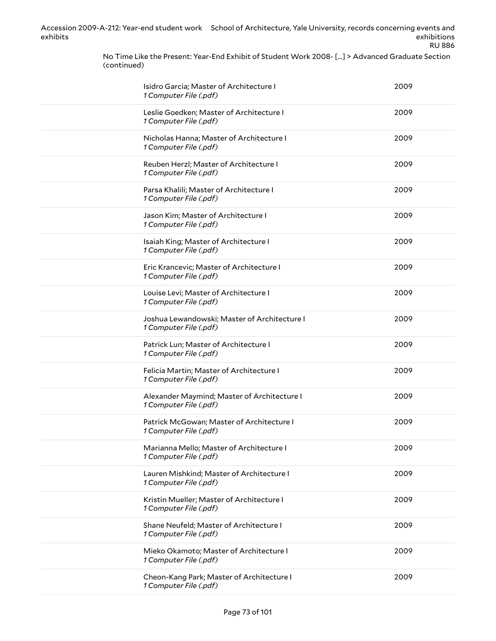> No Time Like the Present: Year-End Exhibit of Student Work 2008- [...] > Advanced Graduate Section (continued)

| Isidro Garcia; Master of Architecture I<br>1 Computer File (.pdf)      | 2009 |
|------------------------------------------------------------------------|------|
| Leslie Goedken; Master of Architecture I<br>1 Computer File (.pdf)     | 2009 |
| Nicholas Hanna; Master of Architecture I<br>1 Computer File (.pdf)     | 2009 |
| Reuben Herzl; Master of Architecture I<br>1 Computer File (.pdf)       | 2009 |
| Parsa Khalili; Master of Architecture I<br>1 Computer File (.pdf)      | 2009 |
| Jason Kim; Master of Architecture I<br>1 Computer File (.pdf)          | 2009 |
| Isaiah King; Master of Architecture I<br>1 Computer File (.pdf)        | 2009 |
| Eric Krancevic; Master of Architecture I<br>1 Computer File (.pdf)     | 2009 |
| Louise Levi; Master of Architecture I<br>1 Computer File (.pdf)        | 2009 |
| Joshua Lewandowski; Master of Architecture I<br>1 Computer File (.pdf) | 2009 |
| Patrick Lun; Master of Architecture I<br>1 Computer File (.pdf)        | 2009 |
| Felicia Martin; Master of Architecture I<br>1 Computer File (.pdf)     | 2009 |
| Alexander Maymind; Master of Architecture I<br>1 Computer File (.pdf)  | 2009 |
| Patrick McGowan; Master of Architecture I<br>1 Computer File (.pdf)    | 2009 |
| Marianna Mello; Master of Architecture I<br>1 Computer File (.pdf)     | 2009 |
| Lauren Mishkind; Master of Architecture I<br>1 Computer File (.pdf)    | 2009 |
| Kristin Mueller; Master of Architecture I<br>1 Computer File (.pdf)    | 2009 |
| Shane Neufeld; Master of Architecture I<br>1 Computer File (.pdf)      | 2009 |
| Mieko Okamoto; Master of Architecture I<br>1 Computer File (.pdf)      | 2009 |
| Cheon-Kang Park; Master of Architecture I<br>1 Computer File (.pdf)    | 2009 |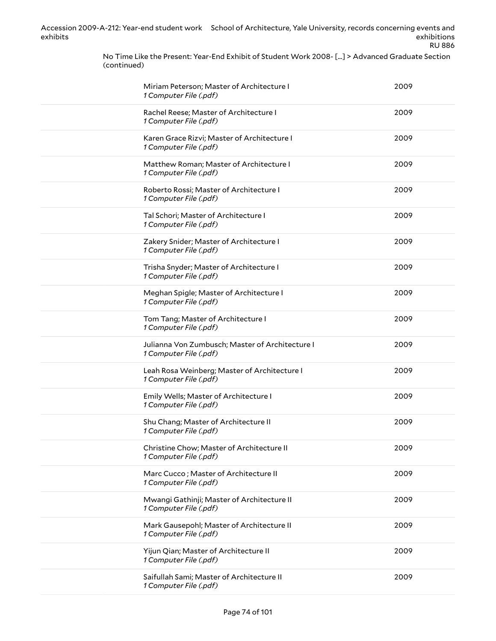> No Time Like the Present: Year-End Exhibit of Student Work 2008- [...] > Advanced Graduate Section (continued)

| Miriam Peterson; Master of Architecture I<br>1 Computer File (.pdf)       | 2009 |
|---------------------------------------------------------------------------|------|
| Rachel Reese; Master of Architecture I<br>1 Computer File (.pdf)          | 2009 |
| Karen Grace Rizvi; Master of Architecture I<br>1 Computer File (.pdf)     | 2009 |
| Matthew Roman; Master of Architecture I<br>1 Computer File (.pdf)         | 2009 |
| Roberto Rossi; Master of Architecture I<br>1 Computer File (.pdf)         | 2009 |
| Tal Schori; Master of Architecture I<br>1 Computer File (.pdf)            | 2009 |
| Zakery Snider; Master of Architecture I<br>1 Computer File (.pdf)         | 2009 |
| Trisha Snyder; Master of Architecture I<br>1 Computer File (.pdf)         | 2009 |
| Meghan Spigle; Master of Architecture I<br>1 Computer File (.pdf)         | 2009 |
| Tom Tang; Master of Architecture I<br>1 Computer File (.pdf)              | 2009 |
| Julianna Von Zumbusch; Master of Architecture I<br>1 Computer File (.pdf) | 2009 |
| Leah Rosa Weinberg; Master of Architecture I<br>1 Computer File (.pdf)    | 2009 |
| Emily Wells; Master of Architecture I<br>1 Computer File (.pdf)           | 2009 |
| Shu Chang; Master of Architecture II<br>1 Computer File (.pdf)            | 2009 |
| Christine Chow; Master of Architecture II<br>1 Computer File (.pdf)       | 2009 |
| Marc Cucco; Master of Architecture II<br>1 Computer File (.pdf)           | 2009 |
| Mwangi Gathinji; Master of Architecture II<br>1 Computer File (.pdf)      | 2009 |
| Mark Gausepohl; Master of Architecture II<br>1 Computer File (.pdf)       | 2009 |
| Yijun Qian; Master of Architecture II<br>1 Computer File (.pdf)           | 2009 |
| Saifullah Sami; Master of Architecture II<br>1 Computer File (.pdf)       | 2009 |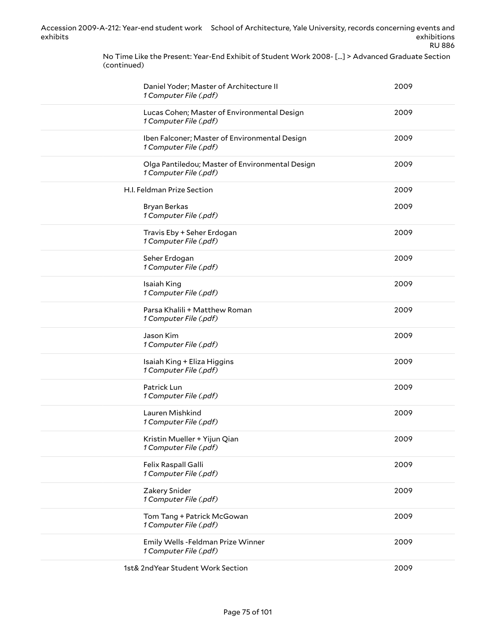> No Time Like the Present: Year-End Exhibit of Student Work 2008- [...] > Advanced Graduate Section (continued)

| Daniel Yoder; Master of Architecture II<br>1 Computer File (.pdf)         | 2009 |
|---------------------------------------------------------------------------|------|
| Lucas Cohen; Master of Environmental Design<br>1 Computer File (.pdf)     | 2009 |
| Iben Falconer; Master of Environmental Design<br>1 Computer File (.pdf)   | 2009 |
| Olga Pantiledou; Master of Environmental Design<br>1 Computer File (.pdf) | 2009 |
| H.I. Feldman Prize Section                                                | 2009 |
| Bryan Berkas<br>1 Computer File (.pdf)                                    | 2009 |
| Travis Eby + Seher Erdogan<br>1 Computer File (.pdf)                      | 2009 |
| Seher Erdogan<br>1 Computer File (.pdf)                                   | 2009 |
| Isaiah King<br>1 Computer File (.pdf)                                     | 2009 |
| Parsa Khalili + Matthew Roman<br>1 Computer File (.pdf)                   | 2009 |
| Jason Kim<br>1 Computer File (.pdf)                                       | 2009 |
| Isaiah King + Eliza Higgins<br>1 Computer File (.pdf)                     | 2009 |
| Patrick Lun<br>1 Computer File (.pdf)                                     | 2009 |
| Lauren Mishkind<br>1 Computer File (.pdf)                                 | 2009 |
| Kristin Mueller + Yijun Qian<br>1 Computer File (.pdf)                    | 2009 |
| Felix Raspall Galli<br>1 Computer File (.pdf)                             | 2009 |
| Zakery Snider<br>1 Computer File (.pdf)                                   | 2009 |
| Tom Tang + Patrick McGowan<br>1 Computer File (.pdf)                      | 2009 |
| Emily Wells - Feldman Prize Winner<br>1 Computer File (.pdf)              | 2009 |
| 1st& 2ndYear Student Work Section                                         | 2009 |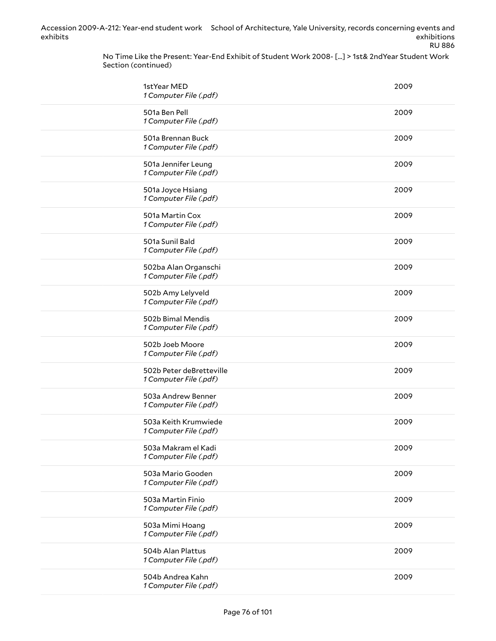> No Time Like the Present: Year-End Exhibit of Student Work 2008- [...] > 1st& 2ndYear Student Work Section (continued)

| 1stYear MED<br>1 Computer File (.pdf)              | 2009 |
|----------------------------------------------------|------|
| 501a Ben Pell<br>1 Computer File (.pdf)            | 2009 |
| 501a Brennan Buck<br>1 Computer File (.pdf)        | 2009 |
| 501a Jennifer Leung<br>1 Computer File (.pdf)      | 2009 |
| 501a Joyce Hsiang<br>1 Computer File (.pdf)        | 2009 |
| 501a Martin Cox<br>1 Computer File (.pdf)          | 2009 |
| 501a Sunil Bald<br>1 Computer File (.pdf)          | 2009 |
| 502ba Alan Organschi<br>1 Computer File (.pdf)     | 2009 |
| 502b Amy Lelyveld<br>1 Computer File (.pdf)        | 2009 |
| 502b Bimal Mendis<br>1 Computer File (.pdf)        | 2009 |
| 502b Joeb Moore<br>1 Computer File (.pdf)          | 2009 |
| 502b Peter deBretteville<br>1 Computer File (.pdf) | 2009 |
| 503a Andrew Benner<br>1 Computer File (.pdf)       | 2009 |
| 503a Keith Krumwiede<br>1 Computer File (.pdf)     | 2009 |
| 503a Makram el Kadi<br>1 Computer File (.pdf)      | 2009 |
| 503a Mario Gooden<br>1 Computer File (.pdf)        | 2009 |
| 503a Martin Finio<br>1 Computer File (.pdf)        | 2009 |
| 503a Mimi Hoang<br>1 Computer File (.pdf)          | 2009 |
| 504b Alan Plattus<br>1 Computer File (.pdf)        | 2009 |
| 504b Andrea Kahn<br>1 Computer File (.pdf)         | 2009 |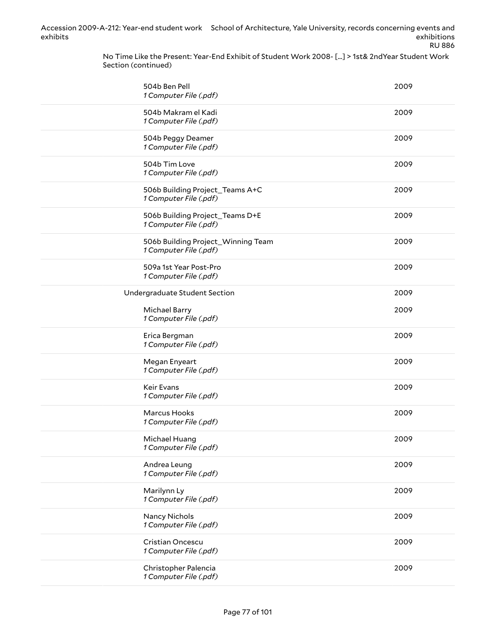> No Time Like the Present: Year-End Exhibit of Student Work 2008- [...] > 1st& 2ndYear Student Work Section (continued)

| 504b Ben Pell<br>1 Computer File (.pdf)                      | 2009 |
|--------------------------------------------------------------|------|
| 504b Makram el Kadi<br>1 Computer File (.pdf)                | 2009 |
| 504b Peggy Deamer<br>1 Computer File (.pdf)                  | 2009 |
| 504b Tim Love<br>1 Computer File (.pdf)                      | 2009 |
| 506b Building Project_Teams A+C<br>1 Computer File (.pdf)    | 2009 |
| 506b Building Project_Teams D+E<br>1 Computer File (.pdf)    | 2009 |
| 506b Building Project_Winning Team<br>1 Computer File (.pdf) | 2009 |
| 509a 1st Year Post-Pro<br>1 Computer File (.pdf)             | 2009 |
| Undergraduate Student Section                                | 2009 |
| Michael Barry<br>1 Computer File (.pdf)                      | 2009 |
| Erica Bergman<br>1 Computer File (.pdf)                      | 2009 |
| Megan Enyeart<br>1 Computer File (.pdf)                      | 2009 |
| Keir Evans<br>1 Computer File (.pdf)                         | 2009 |
| Marcus Hooks<br>1 Computer File (.pdf)                       | 2009 |
| Michael Huang<br>1 Computer File (.pdf)                      | 2009 |
| Andrea Leung<br>1 Computer File (.pdf)                       | 2009 |
| Marilynn Ly<br>1 Computer File (.pdf)                        | 2009 |
| Nancy Nichols<br>1 Computer File (.pdf)                      | 2009 |
| Cristian Oncescu<br>1 Computer File (.pdf)                   | 2009 |
| Christopher Palencia<br>1 Computer File (.pdf)               | 2009 |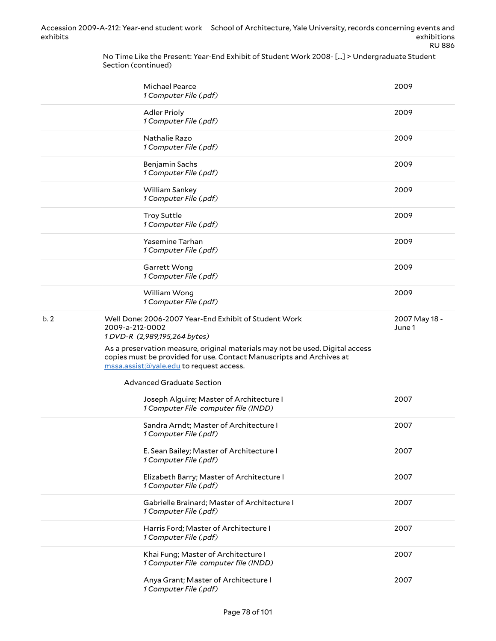No Time Like the Present: Year-End Exhibit of Student Work 2008- [...] > Undergraduate Student Section (continued)

|     | <b>Michael Pearce</b><br>1 Computer File (.pdf)                                                                                                                                                  | 2009                    |
|-----|--------------------------------------------------------------------------------------------------------------------------------------------------------------------------------------------------|-------------------------|
|     | <b>Adler Prioly</b><br>1 Computer File (.pdf)                                                                                                                                                    | 2009                    |
|     | Nathalie Razo<br>1 Computer File (.pdf)                                                                                                                                                          | 2009                    |
|     | Benjamin Sachs<br>1 Computer File (.pdf)                                                                                                                                                         | 2009                    |
|     | William Sankey<br>1 Computer File (.pdf)                                                                                                                                                         | 2009                    |
|     | <b>Troy Suttle</b><br>1 Computer File (.pdf)                                                                                                                                                     | 2009                    |
|     | Yasemine Tarhan<br>1 Computer File (.pdf)                                                                                                                                                        | 2009                    |
|     | Garrett Wong<br>1 Computer File (.pdf)                                                                                                                                                           | 2009                    |
|     | William Wong<br>1 Computer File (.pdf)                                                                                                                                                           | 2009                    |
| b.2 | Well Done: 2006-2007 Year-End Exhibit of Student Work<br>2009-a-212-0002<br>1DVD-R (2,989,195,264 bytes)                                                                                         | 2007 May 18 -<br>June 1 |
|     | As a preservation measure, original materials may not be used. Digital access<br>copies must be provided for use. Contact Manuscripts and Archives at<br>mssa.assist@yale.edu to request access. |                         |
|     | <b>Advanced Graduate Section</b>                                                                                                                                                                 |                         |
|     | Joseph Alguire; Master of Architecture I<br>1 Computer File computer file (INDD)                                                                                                                 | 2007                    |
|     | Sandra Arndt; Master of Architecture I<br>1 Computer File (.pdf)                                                                                                                                 | 2007                    |
|     | E. Sean Bailey; Master of Architecture I<br>1 Computer File (.pdf)                                                                                                                               | 2007                    |
|     | Elizabeth Barry; Master of Architecture I<br>1 Computer File (.pdf)                                                                                                                              | 2007                    |
|     | Gabrielle Brainard; Master of Architecture I<br>1 Computer File (.pdf)                                                                                                                           | 2007                    |
|     | Harris Ford; Master of Architecture I                                                                                                                                                            | 2007                    |
|     | 1 Computer File (.pdf)                                                                                                                                                                           |                         |
|     | Khai Fung; Master of Architecture I<br>1 Computer File computer file (INDD)                                                                                                                      | 2007                    |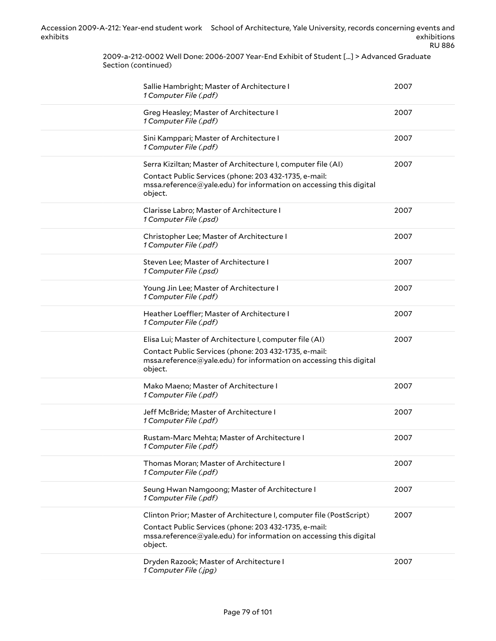2009-a-212-0002 Well Done: 2006-2007 Year-End Exhibit of Student [...] > Advanced Graduate Section (continued)

| Sallie Hambright; Master of Architecture I<br>1 Computer File (.pdf)                                                                                                                                          | 2007 |
|---------------------------------------------------------------------------------------------------------------------------------------------------------------------------------------------------------------|------|
| Greg Heasley; Master of Architecture I<br>1 Computer File (.pdf)                                                                                                                                              | 2007 |
| Sini Kamppari; Master of Architecture I<br>1 Computer File (.pdf)                                                                                                                                             | 2007 |
| Serra Kiziltan; Master of Architecture I, computer file (AI)<br>Contact Public Services (phone: 203 432-1735, e-mail:<br>mssa.reference@yale.edu) for information on accessing this digital<br>object.        | 2007 |
| Clarisse Labro; Master of Architecture I<br>1 Computer File (.psd)                                                                                                                                            | 2007 |
| Christopher Lee; Master of Architecture I<br>1 Computer File (.pdf)                                                                                                                                           | 2007 |
| Steven Lee; Master of Architecture I<br>1 Computer File (.psd)                                                                                                                                                | 2007 |
| Young Jin Lee; Master of Architecture I<br>1 Computer File (.pdf)                                                                                                                                             | 2007 |
| Heather Loeffler; Master of Architecture I<br>1 Computer File (.pdf)                                                                                                                                          | 2007 |
| Elisa Lui; Master of Architecture I, computer file (AI)<br>Contact Public Services (phone: 203 432-1735, e-mail:<br>mssa.reference@yale.edu) for information on accessing this digital<br>object.             | 2007 |
| Mako Maeno; Master of Architecture I<br>1 Computer File (.pdf)                                                                                                                                                | 2007 |
| Jeff McBride; Master of Architecture I<br>1 Computer File (.pdf)                                                                                                                                              | 2007 |
| Rustam-Marc Mehta; Master of Architecture I<br>1 Computer File (.pdf)                                                                                                                                         | 2007 |
| Thomas Moran; Master of Architecture I<br>1 Computer File (.pdf)                                                                                                                                              | 2007 |
| Seung Hwan Namgoong; Master of Architecture I<br>1 Computer File (.pdf)                                                                                                                                       | 2007 |
| Clinton Prior; Master of Architecture I, computer file (PostScript)<br>Contact Public Services (phone: 203 432-1735, e-mail:<br>mssa.reference@yale.edu) for information on accessing this digital<br>object. | 2007 |
| Dryden Razook; Master of Architecture I<br>1 Computer File (.jpg)                                                                                                                                             | 2007 |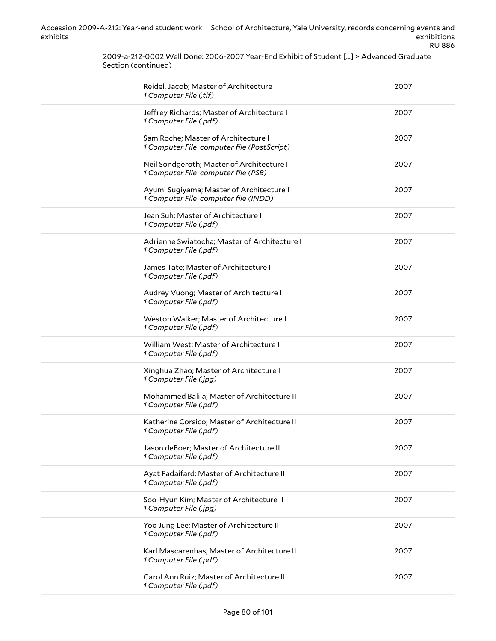> 2009-a-212-0002 Well Done: 2006-2007 Year-End Exhibit of Student [...] > Advanced Graduate Section (continued)

| Reidel, Jacob; Master of Architecture I<br>1 Computer File (.tif)                 | 2007 |
|-----------------------------------------------------------------------------------|------|
| Jeffrey Richards; Master of Architecture I<br>1 Computer File (.pdf)              | 2007 |
| Sam Roche; Master of Architecture I<br>1 Computer File computer file (PostScript) | 2007 |
| Neil Sondgeroth; Master of Architecture I<br>1 Computer File computer file (PSB)  | 2007 |
| Ayumi Sugiyama; Master of Architecture I<br>1 Computer File computer file (INDD)  | 2007 |
| Jean Suh; Master of Architecture I<br>1 Computer File (.pdf)                      | 2007 |
| Adrienne Swiatocha; Master of Architecture I<br>1 Computer File (.pdf)            | 2007 |
| James Tate; Master of Architecture I<br>1 Computer File (.pdf)                    | 2007 |
| Audrey Vuong; Master of Architecture I<br>1 Computer File (.pdf)                  | 2007 |
| Weston Walker; Master of Architecture I<br>1 Computer File (.pdf)                 | 2007 |
| William West; Master of Architecture I<br>1 Computer File (.pdf)                  | 2007 |
| Xinghua Zhao; Master of Architecture I<br>1 Computer File (.jpg)                  | 2007 |
| Mohammed Balila; Master of Architecture II<br>1 Computer File (.pdf)              | 2007 |
| Katherine Corsico; Master of Architecture II<br>1 Computer File (.pdf)            | 2007 |
| Jason deBoer; Master of Architecture II<br>1 Computer File (.pdf)                 | 2007 |
| Ayat Fadaifard; Master of Architecture II<br>1 Computer File (.pdf)               | 2007 |
| Soo-Hyun Kim; Master of Architecture II<br>1 Computer File (.jpg)                 | 2007 |
| Yoo Jung Lee; Master of Architecture II<br>1 Computer File (.pdf)                 | 2007 |
| Karl Mascarenhas; Master of Architecture II<br>1 Computer File (.pdf)             | 2007 |
| Carol Ann Ruiz; Master of Architecture II<br>1 Computer File (.pdf)               | 2007 |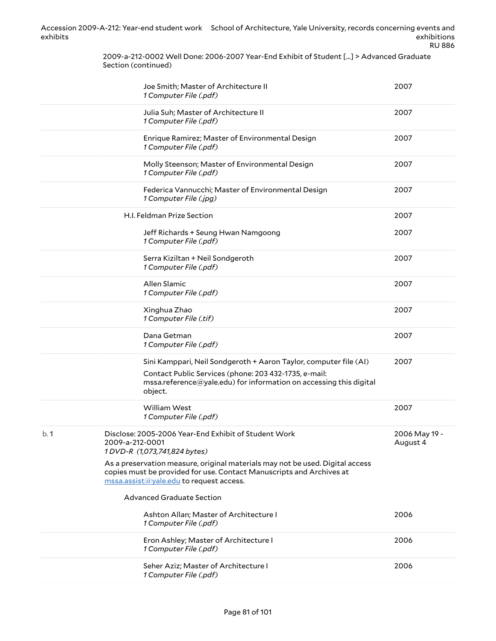> 2009-a-212-0002 Well Done: 2006-2007 Year-End Exhibit of Student [...] > Advanced Graduate Section (continued)

|     | Joe Smith; Master of Architecture II<br>1 Computer File (.pdf)                                                                                                                                              | 2007                      |
|-----|-------------------------------------------------------------------------------------------------------------------------------------------------------------------------------------------------------------|---------------------------|
|     | Julia Suh; Master of Architecture II<br>1 Computer File (.pdf)                                                                                                                                              | 2007                      |
|     | Enrique Ramirez; Master of Environmental Design<br>1 Computer File (.pdf)                                                                                                                                   | 2007                      |
|     | Molly Steenson; Master of Environmental Design<br>1 Computer File (.pdf)                                                                                                                                    | 2007                      |
|     | Federica Vannucchi; Master of Environmental Design<br>1 Computer File (.jpg)                                                                                                                                | 2007                      |
|     | H.I. Feldman Prize Section                                                                                                                                                                                  | 2007                      |
|     | Jeff Richards + Seung Hwan Namgoong<br>1 Computer File (.pdf)                                                                                                                                               | 2007                      |
|     | Serra Kiziltan + Neil Sondgeroth<br>1 Computer File (.pdf)                                                                                                                                                  | 2007                      |
|     | Allen Slamic<br>1 Computer File (.pdf)                                                                                                                                                                      | 2007                      |
|     | Xinghua Zhao<br>1 Computer File (.tif)                                                                                                                                                                      | 2007                      |
|     | Dana Getman<br>1 Computer File (.pdf)                                                                                                                                                                       | 2007                      |
|     | Sini Kamppari, Neil Sondgeroth + Aaron Taylor, computer file (AI)<br>Contact Public Services (phone: 203 432-1735, e-mail:<br>mssa.reference@yale.edu) for information on accessing this digital<br>object. | 2007                      |
|     | <b>William West</b><br>1 Computer File (.pdf)                                                                                                                                                               | 2007                      |
| b.1 | Disclose: 2005-2006 Year-End Exhibit of Student Work<br>2009-a-212-0001<br>1DVD-R (1,073,741,824 bytes)                                                                                                     | 2006 May 19 -<br>August 4 |
|     | As a preservation measure, original materials may not be used. Digital access<br>copies must be provided for use. Contact Manuscripts and Archives at<br>mssa.assist@yale.edu to request access.            |                           |
|     | <b>Advanced Graduate Section</b>                                                                                                                                                                            |                           |
|     | Ashton Allan; Master of Architecture I<br>1 Computer File (.pdf)                                                                                                                                            | 2006                      |
|     | Eron Ashley; Master of Architecture I<br>1 Computer File (.pdf)                                                                                                                                             | 2006                      |
|     | Seher Aziz; Master of Architecture I<br>1 Computer File (.pdf)                                                                                                                                              | 2006                      |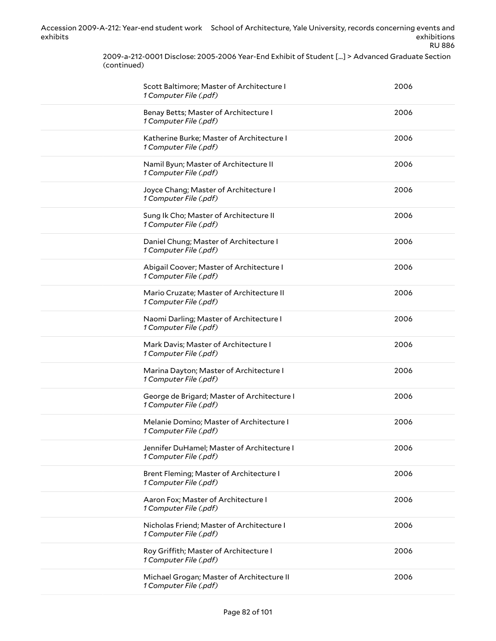> 2009-a-212-0001 Disclose: 2005-2006 Year-End Exhibit of Student [...] > Advanced Graduate Section (continued)

| Scott Baltimore; Master of Architecture I<br>1 Computer File (.pdf)   | 2006 |
|-----------------------------------------------------------------------|------|
| Benay Betts; Master of Architecture I<br>1 Computer File (.pdf)       | 2006 |
| Katherine Burke; Master of Architecture I<br>1 Computer File (.pdf)   | 2006 |
| Namil Byun; Master of Architecture II<br>1 Computer File (.pdf)       | 2006 |
| Joyce Chang; Master of Architecture I<br>1 Computer File (.pdf)       | 2006 |
| Sung Ik Cho; Master of Architecture II<br>1 Computer File (.pdf)      | 2006 |
| Daniel Chung; Master of Architecture I<br>1 Computer File (.pdf)      | 2006 |
| Abigail Coover; Master of Architecture I<br>1 Computer File (.pdf)    | 2006 |
| Mario Cruzate; Master of Architecture II<br>1 Computer File (.pdf)    | 2006 |
| Naomi Darling; Master of Architecture I<br>1 Computer File (.pdf)     | 2006 |
| Mark Davis; Master of Architecture I<br>1 Computer File (.pdf)        | 2006 |
| Marina Dayton; Master of Architecture I<br>1 Computer File (.pdf)     | 2006 |
| George de Brigard; Master of Architecture I<br>1 Computer File (.pdf) | 2006 |
| Melanie Domino; Master of Architecture I<br>1 Computer File (.pdf)    | 2006 |
| Jennifer DuHamel; Master of Architecture I<br>1 Computer File (.pdf)  | 2006 |
| Brent Fleming; Master of Architecture I<br>1 Computer File (.pdf)     | 2006 |
| Aaron Fox; Master of Architecture I<br>1 Computer File (.pdf)         | 2006 |
| Nicholas Friend; Master of Architecture I<br>1 Computer File (.pdf)   | 2006 |
| Roy Griffith; Master of Architecture I<br>1 Computer File (.pdf)      | 2006 |
| Michael Grogan; Master of Architecture II<br>1 Computer File (.pdf)   | 2006 |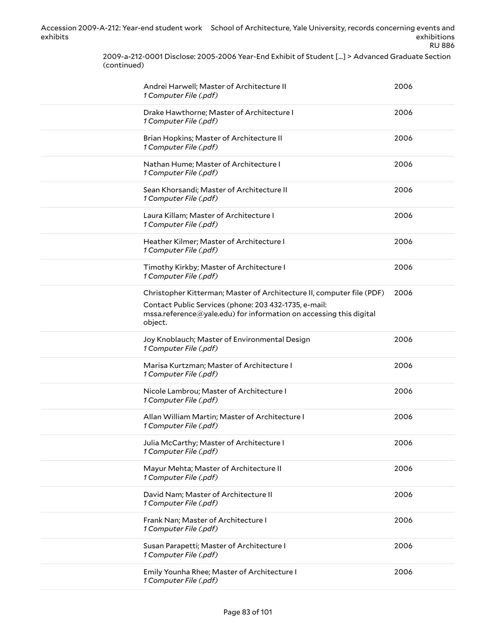> 2009-a-212-0001 Disclose: 2005-2006 Year-End Exhibit of Student [...] > Advanced Graduate Section (continued)

| Andrei Harwell; Master of Architecture II<br>1 Computer File (.pdf)                                                                                                                                             | 2006 |
|-----------------------------------------------------------------------------------------------------------------------------------------------------------------------------------------------------------------|------|
| Drake Hawthorne; Master of Architecture I<br>1 Computer File (.pdf)                                                                                                                                             | 2006 |
| Brian Hopkins; Master of Architecture II<br>1 Computer File (.pdf)                                                                                                                                              | 2006 |
| Nathan Hume; Master of Architecture I<br>1 Computer File (.pdf)                                                                                                                                                 | 2006 |
| Sean Khorsandi; Master of Architecture II<br>1 Computer File (.pdf)                                                                                                                                             | 2006 |
| Laura Killam; Master of Architecture I<br>1 Computer File (.pdf)                                                                                                                                                | 2006 |
| Heather Kilmer; Master of Architecture I<br>1 Computer File (.pdf)                                                                                                                                              | 2006 |
| Timothy Kirkby; Master of Architecture I<br>1 Computer File (.pdf)                                                                                                                                              | 2006 |
| Christopher Kitterman; Master of Architecture II, computer file (PDF)<br>Contact Public Services (phone: 203 432-1735, e-mail:<br>mssa.reference@yale.edu) for information on accessing this digital<br>object. | 2006 |
| Joy Knoblauch; Master of Environmental Design<br>1 Computer File (.pdf)                                                                                                                                         | 2006 |
| Marisa Kurtzman; Master of Architecture I<br>1 Computer File (.pdf)                                                                                                                                             | 2006 |
| Nicole Lambrou; Master of Architecture I<br>1 Computer File (.pdf)                                                                                                                                              | 2006 |
| Allan William Martin; Master of Architecture I<br>1 Computer File (.pdf)                                                                                                                                        | 2006 |
| Julia McCarthy; Master of Architecture I<br>1 Computer File (.pdf)                                                                                                                                              | 2006 |
| Mayur Mehta; Master of Architecture II<br>1 Computer File (.pdf)                                                                                                                                                | 2006 |
| David Nam; Master of Architecture II<br>1 Computer File (.pdf)                                                                                                                                                  | 2006 |
| Frank Nan; Master of Architecture I<br>1 Computer File (.pdf)                                                                                                                                                   | 2006 |
| Susan Parapetti; Master of Architecture I<br>1 Computer File (.pdf)                                                                                                                                             | 2006 |
| Emily Younha Rhee; Master of Architecture I<br>1 Computer File (.pdf)                                                                                                                                           | 2006 |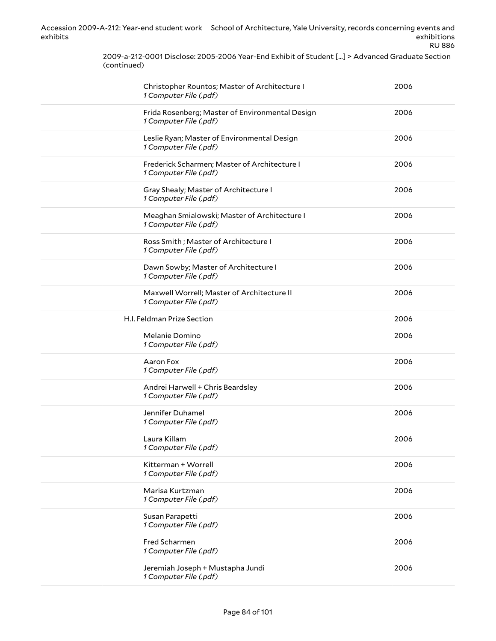RU 886

2009-a-212-0001 Disclose: 2005-2006 Year-End Exhibit of Student [...] > Advanced Graduate Section (continued)

| Christopher Rountos; Master of Architecture I<br>1 Computer File (.pdf)   | 2006 |
|---------------------------------------------------------------------------|------|
| Frida Rosenberg; Master of Environmental Design<br>1 Computer File (.pdf) | 2006 |
| Leslie Ryan; Master of Environmental Design<br>1 Computer File (.pdf)     | 2006 |
| Frederick Scharmen; Master of Architecture I<br>1 Computer File (.pdf)    | 2006 |
| Gray Shealy; Master of Architecture I<br>1 Computer File (.pdf)           | 2006 |
| Meaghan Smialowski; Master of Architecture I<br>1 Computer File (.pdf)    | 2006 |
| Ross Smith; Master of Architecture I<br>1 Computer File (.pdf)            | 2006 |
| Dawn Sowby; Master of Architecture I<br>1 Computer File (.pdf)            | 2006 |
| Maxwell Worrell; Master of Architecture II<br>1 Computer File (.pdf)      | 2006 |
| H.I. Feldman Prize Section                                                | 2006 |
| Melanie Domino<br>1 Computer File (.pdf)                                  | 2006 |
| Aaron Fox<br>1 Computer File (.pdf)                                       | 2006 |
| Andrei Harwell + Chris Beardsley<br>1 Computer File (.pdf)                | 2006 |
| Jennifer Duhamel<br>1 Computer File (.pdf)                                | 2006 |
| Laura Killam<br>1 Computer File (.pdf)                                    | 2006 |
| Kitterman + Worrell<br>1 Computer File (.pdf)                             | 2006 |
| Marisa Kurtzman<br>1 Computer File (.pdf)                                 | 2006 |
| Susan Parapetti<br>1 Computer File (.pdf)                                 | 2006 |
| Fred Scharmen<br>1 Computer File (.pdf)                                   | 2006 |
| Jeremiah Joseph + Mustapha Jundi<br>1 Computer File (.pdf)                | 2006 |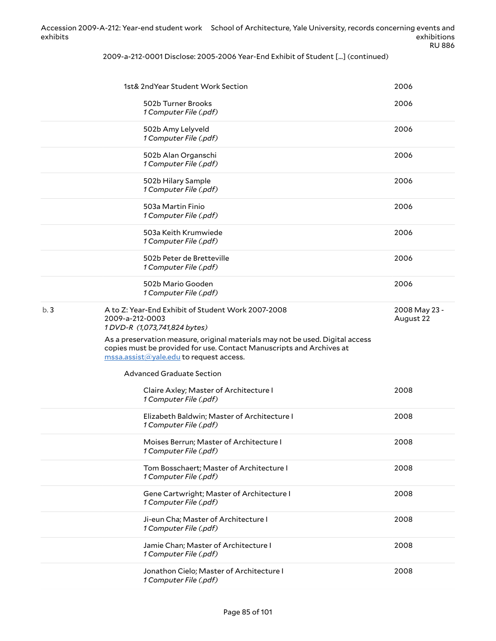2009-a-212-0001 Disclose: 2005-2006 Year-End Exhibit of Student [...] (continued)

|     | 1st& 2ndYear Student Work Section                                                                                                                     | 2006                       |
|-----|-------------------------------------------------------------------------------------------------------------------------------------------------------|----------------------------|
|     |                                                                                                                                                       |                            |
|     | 502b Turner Brooks<br>1 Computer File (.pdf)                                                                                                          | 2006                       |
|     | 502b Amy Lelyveld<br>1 Computer File (.pdf)                                                                                                           | 2006                       |
|     | 502b Alan Organschi<br>1 Computer File (.pdf)                                                                                                         | 2006                       |
|     | 502b Hilary Sample<br>1 Computer File (.pdf)                                                                                                          | 2006                       |
|     | 503a Martin Finio<br>1 Computer File (.pdf)                                                                                                           | 2006                       |
|     | 503a Keith Krumwiede<br>1 Computer File (.pdf)                                                                                                        | 2006                       |
|     | 502b Peter de Bretteville<br>1 Computer File (.pdf)                                                                                                   | 2006                       |
|     | 502b Mario Gooden<br>1 Computer File (.pdf)                                                                                                           | 2006                       |
| b.3 | A to Z: Year-End Exhibit of Student Work 2007-2008<br>2009-a-212-0003<br>1DVD-R (1,073,741,824 bytes)                                                 | 2008 May 23 -<br>August 22 |
|     | As a preservation measure, original materials may not be used. Digital access<br>copies must be provided for use. Contact Manuscripts and Archives at |                            |
|     | mssa.assist@yale.edu to request access.<br><b>Advanced Graduate Section</b>                                                                           |                            |
|     | Claire Axley; Master of Architecture I<br>1 Computer File (.pdf)                                                                                      | 2008                       |
|     | Elizabeth Baldwin; Master of Architecture I<br>1 Computer File (.pdf)                                                                                 | 2008                       |
|     | Moises Berrun; Master of Architecture I<br>1 Computer File (.pdf)                                                                                     | 2008                       |
|     | Tom Bosschaert; Master of Architecture I<br>1 Computer File (.pdf)                                                                                    | 2008                       |
|     | Gene Cartwright; Master of Architecture I<br>1 Computer File (.pdf)                                                                                   | 2008                       |
|     | Ji-eun Cha; Master of Architecture I<br>1 Computer File (.pdf)                                                                                        | 2008                       |
|     | Jamie Chan; Master of Architecture I<br>1 Computer File (.pdf)                                                                                        | 2008                       |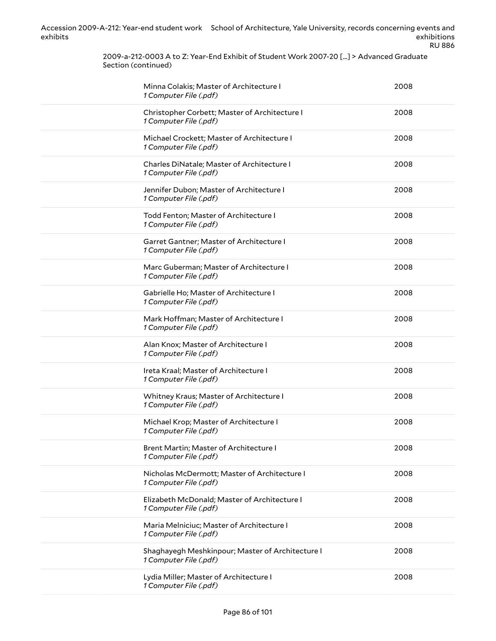2009-a-212-0003 A to Z: Year-End Exhibit of Student Work 2007-20 [...] > Advanced Graduate Section (continued)

| Minna Colakis; Master of Architecture I<br>1 Computer File (.pdf)          | 2008 |
|----------------------------------------------------------------------------|------|
| Christopher Corbett; Master of Architecture I<br>1 Computer File (.pdf)    | 2008 |
| Michael Crockett; Master of Architecture I<br>1 Computer File (.pdf)       | 2008 |
| Charles DiNatale; Master of Architecture I<br>1 Computer File (.pdf)       | 2008 |
| Jennifer Dubon; Master of Architecture I<br>1 Computer File (.pdf)         | 2008 |
| Todd Fenton; Master of Architecture I<br>1 Computer File (.pdf)            | 2008 |
| Garret Gantner; Master of Architecture I<br>1 Computer File (.pdf)         | 2008 |
| Marc Guberman; Master of Architecture I<br>1 Computer File (.pdf)          | 2008 |
| Gabrielle Ho; Master of Architecture I<br>1 Computer File (.pdf)           | 2008 |
| Mark Hoffman; Master of Architecture I<br>1 Computer File (.pdf)           | 2008 |
| Alan Knox; Master of Architecture I<br>1 Computer File (.pdf)              | 2008 |
| Ireta Kraal; Master of Architecture I<br>1 Computer File (.pdf)            | 2008 |
| Whitney Kraus; Master of Architecture I<br>1 Computer File (.pdf)          | 2008 |
| Michael Krop; Master of Architecture I<br>1 Computer File (.pdf)           | 2008 |
| Brent Martin; Master of Architecture I<br>1 Computer File (.pdf)           | 2008 |
| Nicholas McDermott; Master of Architecture I<br>1 Computer File (.pdf)     | 2008 |
| Elizabeth McDonald; Master of Architecture I<br>1 Computer File (.pdf)     | 2008 |
| Maria Melniciuc; Master of Architecture I<br>1 Computer File (.pdf)        | 2008 |
| Shaghayegh Meshkinpour; Master of Architecture I<br>1 Computer File (.pdf) | 2008 |
| Lydia Miller; Master of Architecture I<br>1 Computer File (.pdf)           | 2008 |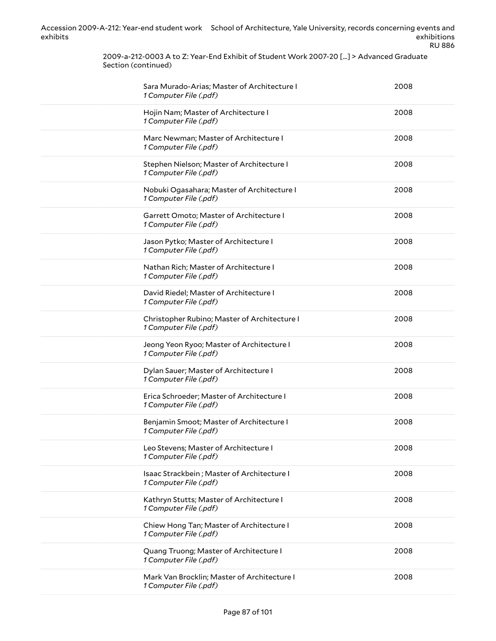2009-a-212-0003 A to Z: Year-End Exhibit of Student Work 2007-20 [...] > Advanced Graduate Section (continued)

| Sara Murado-Arias; Master of Architecture I<br>1 Computer File (.pdf)  | 2008 |
|------------------------------------------------------------------------|------|
| Hojin Nam; Master of Architecture I<br>1 Computer File (.pdf)          | 2008 |
| Marc Newman; Master of Architecture I<br>1 Computer File (.pdf)        | 2008 |
| Stephen Nielson; Master of Architecture I<br>1 Computer File (.pdf)    | 2008 |
| Nobuki Ogasahara; Master of Architecture I<br>1 Computer File (.pdf)   | 2008 |
| Garrett Omoto; Master of Architecture I<br>1 Computer File (.pdf)      | 2008 |
| Jason Pytko; Master of Architecture I<br>1 Computer File (.pdf)        | 2008 |
| Nathan Rich; Master of Architecture I<br>1 Computer File (.pdf)        | 2008 |
| David Riedel; Master of Architecture I<br>1 Computer File (.pdf)       | 2008 |
| Christopher Rubino; Master of Architecture I<br>1 Computer File (.pdf) | 2008 |
| Jeong Yeon Ryoo; Master of Architecture I<br>1 Computer File (.pdf)    | 2008 |
| Dylan Sauer; Master of Architecture I<br>1 Computer File (.pdf)        | 2008 |
| Erica Schroeder; Master of Architecture I<br>1 Computer File (.pdf)    | 2008 |
| Benjamin Smoot; Master of Architecture I<br>1 Computer File (.pdf)     | 2008 |
| Leo Stevens; Master of Architecture I<br>1 Computer File (.pdf)        | 2008 |
| Isaac Strackbein; Master of Architecture I<br>1 Computer File (.pdf)   | 2008 |
| Kathryn Stutts; Master of Architecture I<br>1 Computer File (.pdf)     | 2008 |
| Chiew Hong Tan; Master of Architecture I<br>1 Computer File (.pdf)     | 2008 |
| Quang Truong; Master of Architecture I<br>1 Computer File (.pdf)       | 2008 |
| Mark Van Brocklin; Master of Architecture I<br>1 Computer File (.pdf)  | 2008 |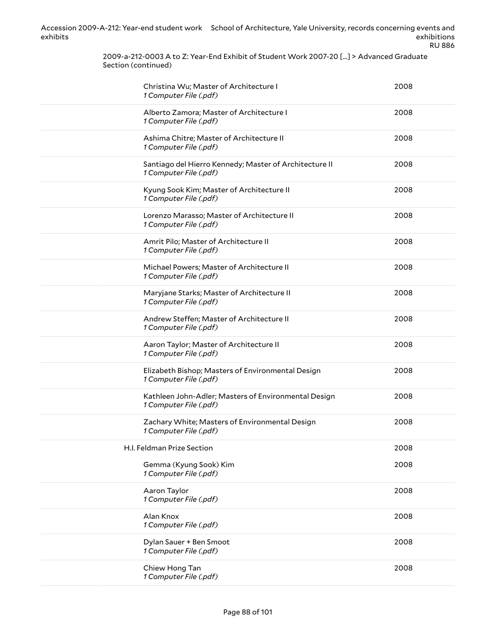2009-a-212-0003 A to Z: Year-End Exhibit of Student Work 2007-20 [...] > Advanced Graduate Section (continued)

| Christina Wu; Master of Architecture I<br>1 Computer File (.pdf)                 | 2008 |
|----------------------------------------------------------------------------------|------|
| Alberto Zamora; Master of Architecture I<br>1 Computer File (.pdf)               | 2008 |
| Ashima Chitre; Master of Architecture II<br>1 Computer File (.pdf)               | 2008 |
| Santiago del Hierro Kennedy; Master of Architecture II<br>1 Computer File (.pdf) | 2008 |
| Kyung Sook Kim; Master of Architecture II<br>1 Computer File (.pdf)              | 2008 |
| Lorenzo Marasso; Master of Architecture II<br>1 Computer File (.pdf)             | 2008 |
| Amrit Pilo; Master of Architecture II<br>1 Computer File (.pdf)                  | 2008 |
| Michael Powers; Master of Architecture II<br>1 Computer File (.pdf)              | 2008 |
| Maryjane Starks; Master of Architecture II<br>1 Computer File (.pdf)             | 2008 |
| Andrew Steffen; Master of Architecture II<br>1 Computer File (.pdf)              | 2008 |
| Aaron Taylor; Master of Architecture II<br>1 Computer File (.pdf)                | 2008 |
| Elizabeth Bishop; Masters of Environmental Design<br>1 Computer File (.pdf)      | 2008 |
| Kathleen John-Adler; Masters of Environmental Design<br>1 Computer File (.pdf)   | 2008 |
| Zachary White; Masters of Environmental Design<br>1 Computer File (.pdf)         | 2008 |
| H.I. Feldman Prize Section                                                       | 2008 |
| Gemma (Kyung Sook) Kim<br>1 Computer File (.pdf)                                 | 2008 |
| Aaron Taylor<br>1 Computer File (.pdf)                                           | 2008 |
| Alan Knox<br>1 Computer File (.pdf)                                              | 2008 |
| Dylan Sauer + Ben Smoot<br>1 Computer File (.pdf)                                | 2008 |
| Chiew Hong Tan<br>1 Computer File (.pdf)                                         | 2008 |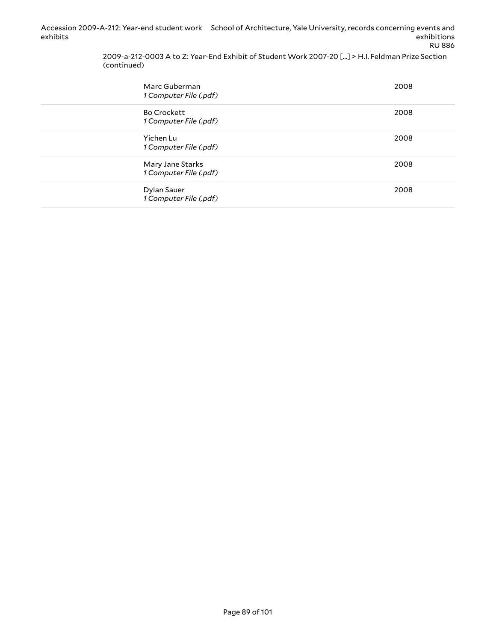> 2009-a-212-0003 A to Z: Year-End Exhibit of Student Work 2007-20 [...] > H.I. Feldman Prize Section (continued)

| Marc Guberman<br>1 Computer File (.pdf)      | 2008 |
|----------------------------------------------|------|
| <b>Bo Crockett</b><br>1 Computer File (.pdf) | 2008 |
| Yichen Lu<br>1 Computer File (.pdf)          | 2008 |
| Mary Jane Starks<br>1 Computer File (.pdf)   | 2008 |
| Dylan Sauer<br>1 Computer File (.pdf)        | 2008 |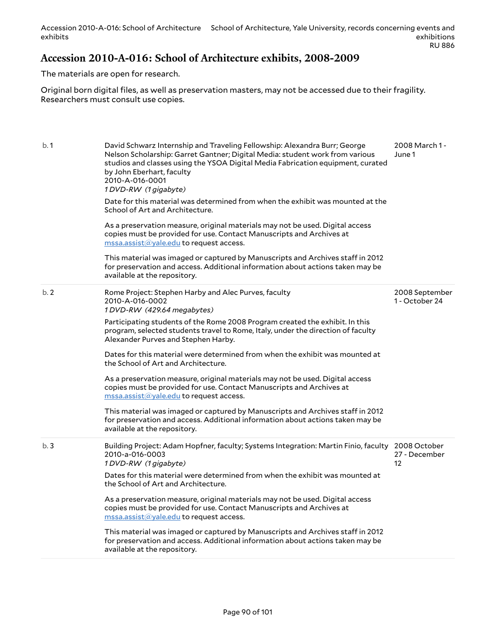#### **Accession 2010-A-016: School of Architecture exhibits, 2008-2009**

The materials are open for research.

Original born digital files, as well as preservation masters, may not be accessed due to their fragility. Researchers must consult use copies.

| b.1 | David Schwarz Internship and Traveling Fellowship: Alexandra Burr; George<br>Nelson Scholarship: Garret Gantner; Digital Media: student work from various<br>studios and classes using the YSOA Digital Media Fabrication equipment, curated<br>by John Eberhart, faculty<br>2010-A-016-0001<br>1DVD-RW (1 gigabyte)<br>Date for this material was determined from when the exhibit was mounted at the<br>School of Art and Architecture.<br>As a preservation measure, original materials may not be used. Digital access<br>copies must be provided for use. Contact Manuscripts and Archives at<br>$\overline{\text{mssa}.\text{assist}(\text{a}yale.edu}$ to request access.<br>This material was imaged or captured by Manuscripts and Archives staff in 2012<br>for preservation and access. Additional information about actions taken may be<br>available at the repository. | 2008 March 1 -<br>June 1         |
|-----|--------------------------------------------------------------------------------------------------------------------------------------------------------------------------------------------------------------------------------------------------------------------------------------------------------------------------------------------------------------------------------------------------------------------------------------------------------------------------------------------------------------------------------------------------------------------------------------------------------------------------------------------------------------------------------------------------------------------------------------------------------------------------------------------------------------------------------------------------------------------------------------|----------------------------------|
| b.2 | Rome Project: Stephen Harby and Alec Purves, faculty<br>2010-A-016-0002<br>1DVD-RW (429.64 megabytes)<br>Participating students of the Rome 2008 Program created the exhibit. In this<br>program, selected students travel to Rome, Italy, under the direction of faculty<br>Alexander Purves and Stephen Harby.<br>Dates for this material were determined from when the exhibit was mounted at<br>the School of Art and Architecture.<br>As a preservation measure, original materials may not be used. Digital access<br>copies must be provided for use. Contact Manuscripts and Archives at<br>mssa.assist@yale.edu to request access.<br>This material was imaged or captured by Manuscripts and Archives staff in 2012<br>for preservation and access. Additional information about actions taken may be<br>available at the repository.                                      | 2008 September<br>1 - October 24 |
| b.3 | Building Project: Adam Hopfner, faculty; Systems Integration: Martin Finio, faculty 2008 October<br>2010-a-016-0003<br>1DVD-RW (1 gigabyte)<br>Dates for this material were determined from when the exhibit was mounted at<br>the School of Art and Architecture.<br>As a preservation measure, original materials may not be used. Digital access<br>copies must be provided for use. Contact Manuscripts and Archives at<br>$\text{mssa}$ assist $\textcircled{a}$ yale edu to request access.<br>This material was imaged or captured by Manuscripts and Archives staff in 2012<br>for preservation and access. Additional information about actions taken may be<br>available at the repository.                                                                                                                                                                                | 27 - December<br>12              |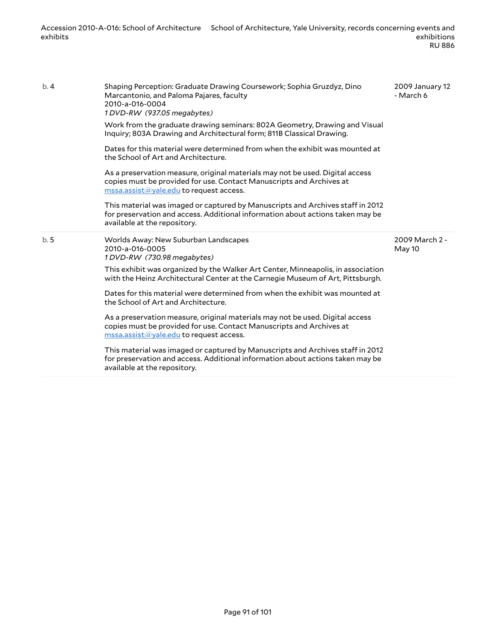| b.4 | Shaping Perception: Graduate Drawing Coursework; Sophia Gruzdyz, Dino<br>Marcantonio, and Paloma Pajares, faculty<br>2010-a-016-0004<br>1DVD-RW (937.05 megabytes)<br>Work from the graduate drawing seminars: 802A Geometry, Drawing and Visual<br>Inquiry; 803A Drawing and Architectural form; 811B Classical Drawing.<br>Dates for this material were determined from when the exhibit was mounted at<br>the School of Art and Architecture.<br>As a preservation measure, original materials may not be used. Digital access<br>copies must be provided for use. Contact Manuscripts and Archives at<br>$\overline{\text{mssa}.\text{assist}(a)}$ yale.edu to request access.<br>This material was imaged or captured by Manuscripts and Archives staff in 2012<br>for preservation and access. Additional information about actions taken may be<br>available at the repository. | 2009 January 12<br>- March 6 |
|-----|----------------------------------------------------------------------------------------------------------------------------------------------------------------------------------------------------------------------------------------------------------------------------------------------------------------------------------------------------------------------------------------------------------------------------------------------------------------------------------------------------------------------------------------------------------------------------------------------------------------------------------------------------------------------------------------------------------------------------------------------------------------------------------------------------------------------------------------------------------------------------------------|------------------------------|
| b.5 | Worlds Away: New Suburban Landscapes<br>2010-a-016-0005<br>1DVD-RW (730.98 megabytes)<br>This exhibit was organized by the Walker Art Center, Minneapolis, in association<br>with the Heinz Architectural Center at the Carnegie Museum of Art, Pittsburgh.<br>Dates for this material were determined from when the exhibit was mounted at<br>the School of Art and Architecture.<br>As a preservation measure, original materials may not be used. Digital access<br>copies must be provided for use. Contact Manuscripts and Archives at<br>$\overline{\text{mssa}.\text{assist}(a)}$ yale.edu to request access.<br>This material was imaged or captured by Manuscripts and Archives staff in 2012<br>for preservation and access. Additional information about actions taken may be<br>available at the repository.                                                               | 2009 March 2 -<br>May 10     |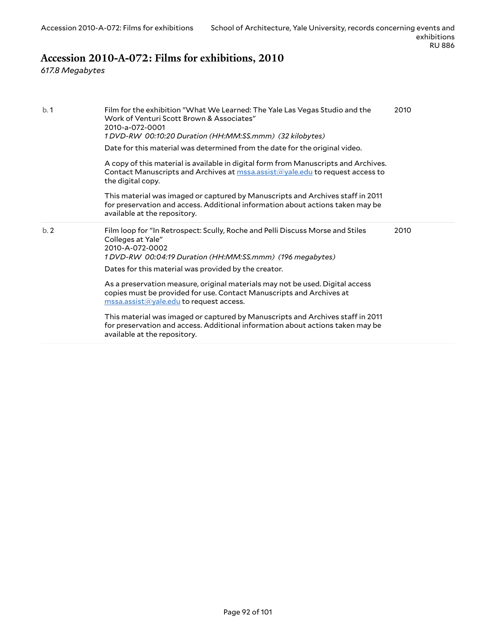# **Accession 2010-A-072: Films for exhibitions, 2010**

*617.8 Megabytes*

| b.1 | Film for the exhibition "What We Learned: The Yale Las Vegas Studio and the<br>Work of Venturi Scott Brown & Associates"<br>2010-a-072-0001<br>1 DVD-RW 00:10:20 Duration (HH:MM:SS.mmm) (32 kilobytes)<br>Date for this material was determined from the date for the original video.<br>A copy of this material is available in digital form from Manuscripts and Archives.<br>Contact Manuscripts and Archives at $\text{mssa}$ assist $\textcircled{a}$ yale edu to request access to<br>the digital copy.<br>This material was imaged or captured by Manuscripts and Archives staff in 2011<br>for preservation and access. Additional information about actions taken may be<br>available at the repository. | 2010 |
|-----|--------------------------------------------------------------------------------------------------------------------------------------------------------------------------------------------------------------------------------------------------------------------------------------------------------------------------------------------------------------------------------------------------------------------------------------------------------------------------------------------------------------------------------------------------------------------------------------------------------------------------------------------------------------------------------------------------------------------|------|
| b.2 | Film loop for "In Retrospect: Scully, Roche and Pelli Discuss Morse and Stiles<br>Colleges at Yale"<br>2010-A-072-0002<br>1 DVD-RW 00:04:19 Duration (HH:MM:SS.mmm) (196 megabytes)<br>Dates for this material was provided by the creator.<br>As a preservation measure, original materials may not be used. Digital access<br>copies must be provided for use. Contact Manuscripts and Archives at                                                                                                                                                                                                                                                                                                               | 2010 |
|     | $\overline{\text{mssa}.\text{assist}(\text{a}yale.edu}$ to request access.<br>This material was imaged or captured by Manuscripts and Archives staff in 2011<br>for preservation and access. Additional information about actions taken may be<br>available at the repository.                                                                                                                                                                                                                                                                                                                                                                                                                                     |      |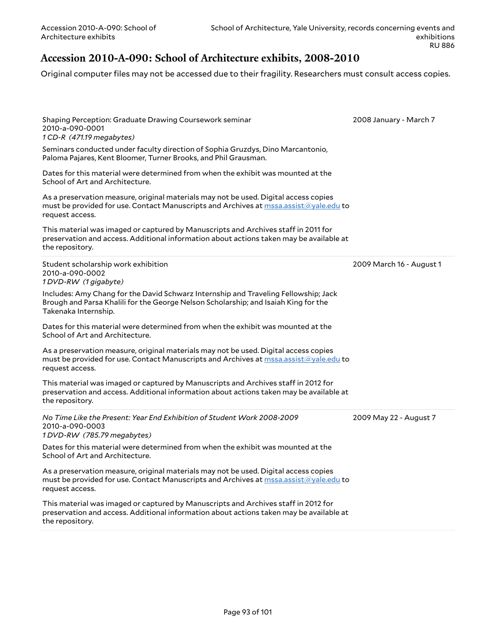### **Accession 2010-A-090: School of Architecture exhibits, 2008-2010**

Original computer files may not be accessed due to their fragility. Researchers must consult access copies.

| 2008 January - March 7   |
|--------------------------|
|                          |
|                          |
|                          |
|                          |
| 2009 March 16 - August 1 |
|                          |
|                          |
|                          |
|                          |
| 2009 May 22 - August 7   |
|                          |
|                          |
|                          |
|                          |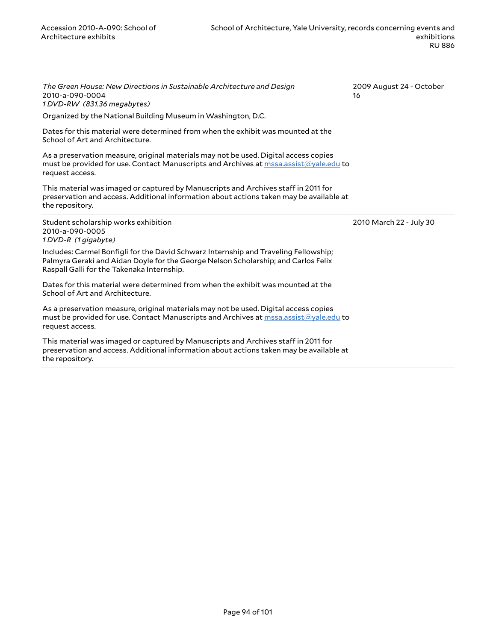*The Green House: New Directions in Sustainable Architecture and Design* 2010-a-090-0004 *1 DVD-RW (831.36 megabytes)*

Organized by the National Building Museum in Washington, D.C.

Dates for this material were determined from when the exhibit was mounted at the School of Art and Architecture.

As a preservation measure, original materials may not be used. Digital access copies must be provided for use. Contact Manuscripts and Archives at [mssa.assist@yale.edu](mailto:mssa.assist@yale.edu?subject=Digital%20Copy%20Request:%202010-a-090-0004) to request access.

This material was imaged or captured by Manuscripts and Archives staff in 2011 for preservation and access. Additional information about actions taken may be available at the repository.

Student scholarship works exhibition 2010-a-090-0005 *1 DVD-R (1 gigabyte)*

Includes: Carmel Bonfigli for the David Schwarz Internship and Traveling Fellowship; Palmyra Geraki and Aidan Doyle for the George Nelson Scholarship; and Carlos Felix Raspall Galli for the Takenaka Internship.

Dates for this material were determined from when the exhibit was mounted at the School of Art and Architecture.

As a preservation measure, original materials may not be used. Digital access copies must be provided for use. Contact Manuscripts and Archives at [mssa.assist@yale.edu](mailto:mssa.assist@yale.edu?subject=Digital%20Copy%20Request:%202010-a-090-0005) to request access.

This material was imaged or captured by Manuscripts and Archives staff in 2011 for preservation and access. Additional information about actions taken may be available at the repository.

2009 August 24 - October 16

2010 March 22 - July 30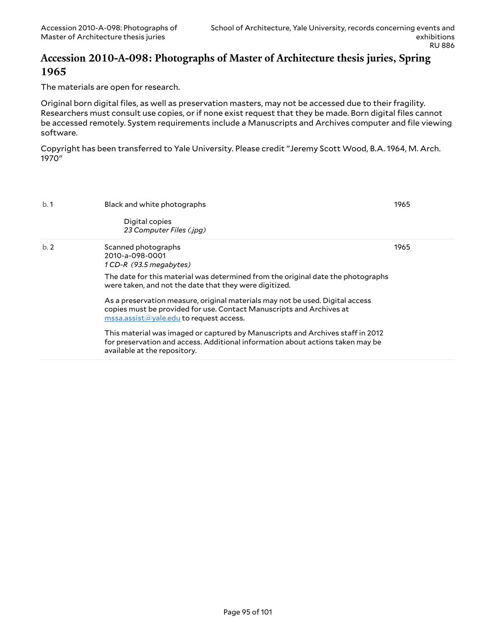#### **Accession 2010-A-098: Photographs of Master of Architecture thesis juries, Spring 1965**

The materials are open for research.

Original born digital files, as well as preservation masters, may not be accessed due to their fragility. Researchers must consult use copies, or if none exist request that they be made. Born digital files cannot be accessed remotely. System requirements include a Manuscripts and Archives computer and file viewing software.

Copyright has been transferred to Yale University. Please credit "Jeremy Scott Wood, B.A. 1964, M. Arch. 1970"

| b.1 | Black and white photographs                                                                                                                                                                                                 | 1965 |
|-----|-----------------------------------------------------------------------------------------------------------------------------------------------------------------------------------------------------------------------------|------|
|     | Digital copies<br>23 Computer Files (.jpg)                                                                                                                                                                                  |      |
| b.2 | Scanned photographs<br>2010-a-098-0001<br>1 CD-R (93.5 megabytes)                                                                                                                                                           | 1965 |
|     | The date for this material was determined from the original date the photographs<br>were taken, and not the date that they were digitized.                                                                                  |      |
|     | As a preservation measure, original materials may not be used. Digital access<br>copies must be provided for use. Contact Manuscripts and Archives at<br>$\text{mssa}$ assist $\textcircled{a}$ yale edu to request access. |      |
|     | This material was imaged or captured by Manuscripts and Archives staff in 2012<br>for preservation and access. Additional information about actions taken may be<br>available at the repository.                            |      |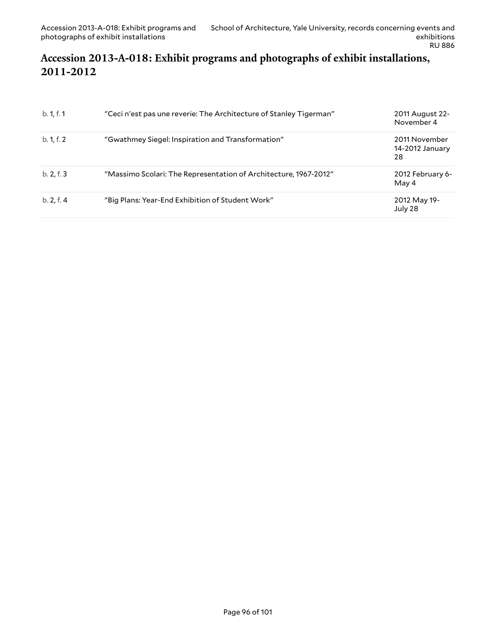## **Accession 2013-A-018: Exhibit programs and photographs of exhibit installations, 2011-2012**

| b. 1, f. 1 | "Ceci n'est pas une reverie: The Architecture of Stanley Tigerman" | 2011 August 22-<br>November 4          |
|------------|--------------------------------------------------------------------|----------------------------------------|
| b. 1, f. 2 | "Gwathmey Siegel: Inspiration and Transformation"                  | 2011 November<br>14-2012 January<br>28 |
| b. 2, f. 3 | "Massimo Scolari: The Representation of Architecture, 1967-2012"   | 2012 February 6-<br>May 4              |
| b. 2, f. 4 | "Big Plans: Year-End Exhibition of Student Work"                   | 2012 May 19-<br>July 28                |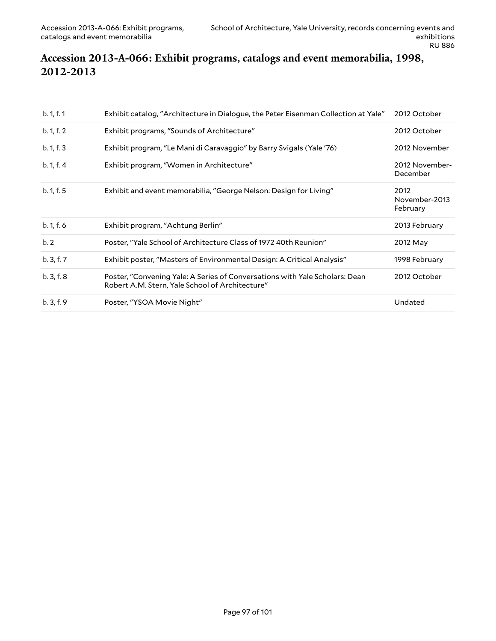### **Accession 2013-A-066: Exhibit programs, catalogs and event memorabilia, 1998, 2012-2013**

| b. 1, f. 1 | Exhibit catalog, "Architecture in Dialogue, the Peter Eisenman Collection at Yale"                                             | 2012 October                      |
|------------|--------------------------------------------------------------------------------------------------------------------------------|-----------------------------------|
| b. 1, f. 2 | Exhibit programs, "Sounds of Architecture"                                                                                     | 2012 October                      |
| b. 1, f. 3 | Exhibit program, "Le Mani di Caravaggio" by Barry Svigals (Yale '76)                                                           | 2012 November                     |
| b. 1, f. 4 | Exhibit program, "Women in Architecture"                                                                                       | 2012 November-<br>December        |
| b. 1, f. 5 | Exhibit and event memorabilia, "George Nelson: Design for Living"                                                              | 2012<br>November-2013<br>February |
| b. 1, f. 6 | Exhibit program, "Achtung Berlin"                                                                                              | 2013 February                     |
| b.2        | Poster, "Yale School of Architecture Class of 1972 40th Reunion"                                                               | 2012 May                          |
| b.3, f.7   | Exhibit poster, "Masters of Environmental Design: A Critical Analysis"                                                         | 1998 February                     |
| b.3, f.8   | Poster, "Convening Yale: A Series of Conversations with Yale Scholars: Dean<br>Robert A.M. Stern, Yale School of Architecture" | 2012 October                      |
| b.3, f.9   | Poster, "YSOA Movie Night"                                                                                                     | Undated                           |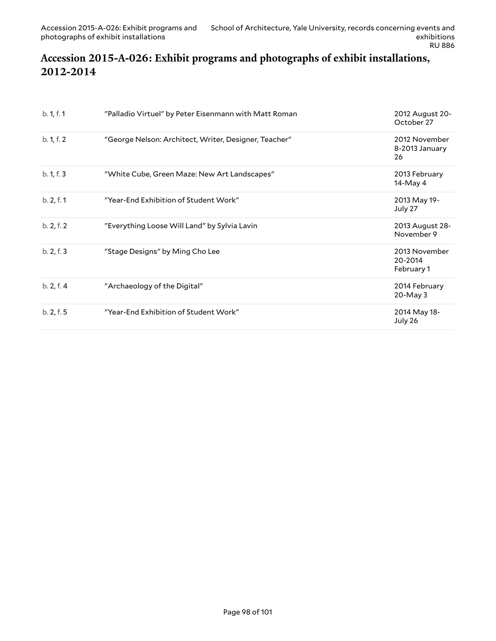## **Accession 2015-A-026: Exhibit programs and photographs of exhibit installations, 2012-2014**

| b. 1, f. 1 | "Palladio Virtuel" by Peter Eisenmann with Matt Roman | 2012 August 20-<br>October 27          |
|------------|-------------------------------------------------------|----------------------------------------|
| b. 1, f. 2 | "George Nelson: Architect, Writer, Designer, Teacher" | 2012 November<br>8-2013 January<br>26  |
| b. 1, f. 3 | "White Cube, Green Maze: New Art Landscapes"          | 2013 February<br>14-May 4              |
| b. 2, f. 1 | "Year-End Exhibition of Student Work"                 | 2013 May 19-<br>July 27                |
| b. 2, f. 2 | "Everything Loose Will Land" by Sylvia Lavin          | 2013 August 28-<br>November 9          |
| b. 2, f. 3 | "Stage Designs" by Ming Cho Lee                       | 2013 November<br>20-2014<br>February 1 |
| b. 2, f. 4 | "Archaeology of the Digital"                          | 2014 February<br>20-May 3              |
| b. 2, f. 5 | "Year-End Exhibition of Student Work"                 | 2014 May 18-<br>July 26                |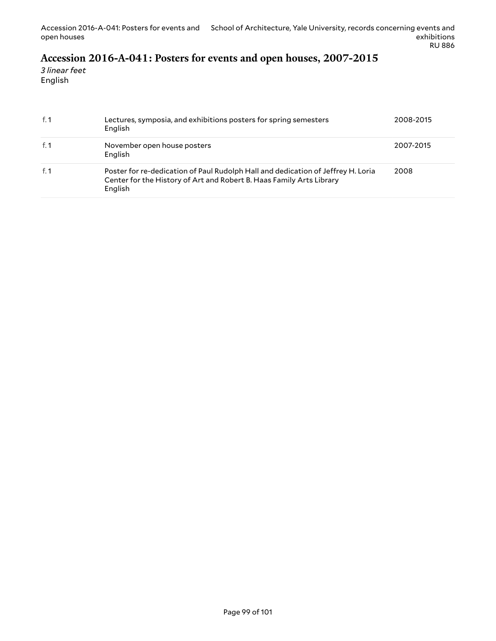# **Accession 2016-A-041: Posters for events and open houses, 2007-2015**

*3 linear feet* English

| f. $1$ | Lectures, symposia, and exhibitions posters for spring semesters<br>English                                                                                         | 2008-2015 |
|--------|---------------------------------------------------------------------------------------------------------------------------------------------------------------------|-----------|
| f. 1   | November open house posters<br>English                                                                                                                              | 2007-2015 |
| f. 1   | Poster for re-dedication of Paul Rudolph Hall and dedication of Jeffrey H. Loria<br>Center for the History of Art and Robert B. Haas Family Arts Library<br>English | 2008      |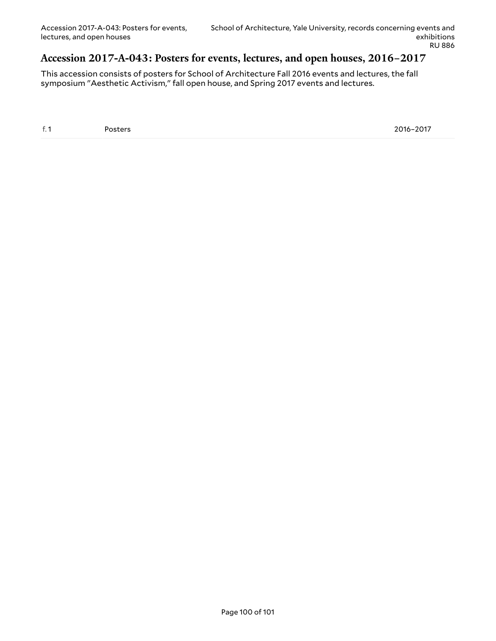#### **Accession 2017-A-043: Posters for events, lectures, and open houses, 2016–2017**

This accession consists of posters for School of Architecture Fall 2016 events and lectures, the fall symposium "Aesthetic Activism," fall open house, and Spring 2017 events and lectures.

f. 1 Posters 2016–2017